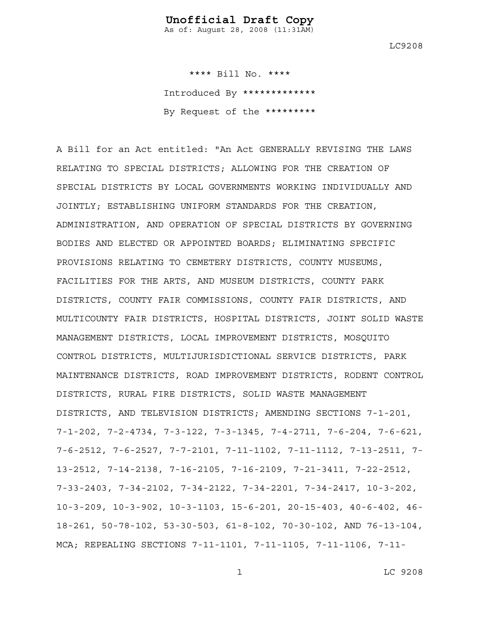As of: August 28, 2008 (11:31AM)

LC9208

 \*\*\*\* Bill No. \*\*\*\* Introduced By \*\*\*\*\*\*\*\*\*\*\*\*\* By Request of the \*\*\*\*\*\*\*\*\*

A Bill for an Act entitled: "An Act GENERALLY REVISING THE LAWS RELATING TO SPECIAL DISTRICTS; ALLOWING FOR THE CREATION OF SPECIAL DISTRICTS BY LOCAL GOVERNMENTS WORKING INDIVIDUALLY AND JOINTLY; ESTABLISHING UNIFORM STANDARDS FOR THE CREATION, ADMINISTRATION, AND OPERATION OF SPECIAL DISTRICTS BY GOVERNING BODIES AND ELECTED OR APPOINTED BOARDS; ELIMINATING SPECIFIC PROVISIONS RELATING TO CEMETERY DISTRICTS, COUNTY MUSEUMS, FACILITIES FOR THE ARTS, AND MUSEUM DISTRICTS, COUNTY PARK DISTRICTS, COUNTY FAIR COMMISSIONS, COUNTY FAIR DISTRICTS, AND MULTICOUNTY FAIR DISTRICTS, HOSPITAL DISTRICTS, JOINT SOLID WASTE MANAGEMENT DISTRICTS, LOCAL IMPROVEMENT DISTRICTS, MOSQUITO CONTROL DISTRICTS, MULTIJURISDICTIONAL SERVICE DISTRICTS, PARK MAINTENANCE DISTRICTS, ROAD IMPROVEMENT DISTRICTS, RODENT CONTROL DISTRICTS, RURAL FIRE DISTRICTS, SOLID WASTE MANAGEMENT DISTRICTS, AND TELEVISION DISTRICTS; AMENDING SECTIONS 7-1-201, 7-1-202, 7-2-4734, 7-3-122, 7-3-1345, 7-4-2711, 7-6-204, 7-6-621, 7-6-2512, 7-6-2527, 7-7-2101, 7-11-1102, 7-11-1112, 7-13-2511, 7- 13-2512, 7-14-2138, 7-16-2105, 7-16-2109, 7-21-3411, 7-22-2512, 7-33-2403, 7-34-2102, 7-34-2122, 7-34-2201, 7-34-2417, 10-3-202, 10-3-209, 10-3-902, 10-3-1103, 15-6-201, 20-15-403, 40-6-402, 46- 18-261, 50-78-102, 53-30-503, 61-8-102, 70-30-102, AND 76-13-104, MCA; REPEALING SECTIONS 7-11-1101, 7-11-1105, 7-11-1106, 7-11-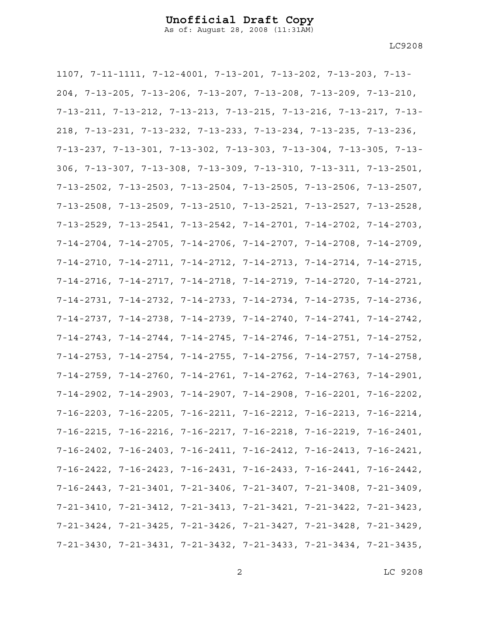As of: August 28, 2008 (11:31AM)

1107, 7-11-1111, 7-12-4001, 7-13-201, 7-13-202, 7-13-203, 7-13- 204, 7-13-205, 7-13-206, 7-13-207, 7-13-208, 7-13-209, 7-13-210, 7-13-211, 7-13-212, 7-13-213, 7-13-215, 7-13-216, 7-13-217, 7-13- 218, 7-13-231, 7-13-232, 7-13-233, 7-13-234, 7-13-235, 7-13-236, 7-13-237, 7-13-301, 7-13-302, 7-13-303, 7-13-304, 7-13-305, 7-13- 306, 7-13-307, 7-13-308, 7-13-309, 7-13-310, 7-13-311, 7-13-2501, 7-13-2502, 7-13-2503, 7-13-2504, 7-13-2505, 7-13-2506, 7-13-2507, 7-13-2508, 7-13-2509, 7-13-2510, 7-13-2521, 7-13-2527, 7-13-2528, 7-13-2529, 7-13-2541, 7-13-2542, 7-14-2701, 7-14-2702, 7-14-2703, 7-14-2704, 7-14-2705, 7-14-2706, 7-14-2707, 7-14-2708, 7-14-2709, 7-14-2710, 7-14-2711, 7-14-2712, 7-14-2713, 7-14-2714, 7-14-2715, 7-14-2716, 7-14-2717, 7-14-2718, 7-14-2719, 7-14-2720, 7-14-2721, 7-14-2731, 7-14-2732, 7-14-2733, 7-14-2734, 7-14-2735, 7-14-2736, 7-14-2737, 7-14-2738, 7-14-2739, 7-14-2740, 7-14-2741, 7-14-2742, 7-14-2743, 7-14-2744, 7-14-2745, 7-14-2746, 7-14-2751, 7-14-2752, 7-14-2753, 7-14-2754, 7-14-2755, 7-14-2756, 7-14-2757, 7-14-2758, 7-14-2759, 7-14-2760, 7-14-2761, 7-14-2762, 7-14-2763, 7-14-2901, 7-14-2902, 7-14-2903, 7-14-2907, 7-14-2908, 7-16-2201, 7-16-2202, 7-16-2203, 7-16-2205, 7-16-2211, 7-16-2212, 7-16-2213, 7-16-2214, 7-16-2215, 7-16-2216, 7-16-2217, 7-16-2218, 7-16-2219, 7-16-2401, 7-16-2402, 7-16-2403, 7-16-2411, 7-16-2412, 7-16-2413, 7-16-2421, 7-16-2422, 7-16-2423, 7-16-2431, 7-16-2433, 7-16-2441, 7-16-2442, 7-16-2443, 7-21-3401, 7-21-3406, 7-21-3407, 7-21-3408, 7-21-3409, 7-21-3410, 7-21-3412, 7-21-3413, 7-21-3421, 7-21-3422, 7-21-3423, 7-21-3424, 7-21-3425, 7-21-3426, 7-21-3427, 7-21-3428, 7-21-3429, 7-21-3430, 7-21-3431, 7-21-3432, 7-21-3433, 7-21-3434, 7-21-3435,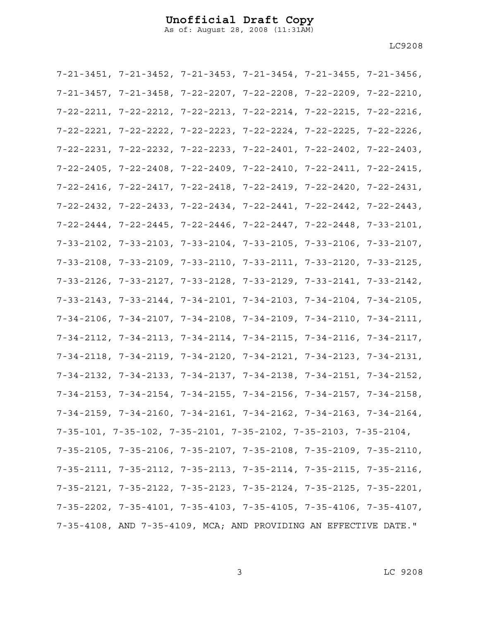As of: August 28, 2008 (11:31AM)

| 7-21-3451, 7-21-3452, 7-21-3453, 7-21-3454, 7-21-3455, 7-21-3456,                   |  |  |
|-------------------------------------------------------------------------------------|--|--|
| 7-21-3457, 7-21-3458, 7-22-2207, 7-22-2208, 7-22-2209, 7-22-2210,                   |  |  |
| 7-22-2211, 7-22-2212, 7-22-2213, 7-22-2214, 7-22-2215, 7-22-2216,                   |  |  |
| 7-22-2221, 7-22-2222, 7-22-2223, 7-22-2224, 7-22-2225, 7-22-2226,                   |  |  |
| $7-22-2231$ , $7-22-2232$ , $7-22-2233$ , $7-22-2401$ , $7-22-2402$ , $7-22-2403$ , |  |  |
| $7-22-2405$ , $7-22-2408$ , $7-22-2409$ , $7-22-2410$ , $7-22-2411$ , $7-22-2415$ , |  |  |
| 7-22-2416, 7-22-2417, 7-22-2418, 7-22-2419, 7-22-2420, 7-22-2431,                   |  |  |
| 7-22-2432, 7-22-2433, 7-22-2434, 7-22-2441, 7-22-2442, 7-22-2443,                   |  |  |
| $7-22-2444$ , $7-22-2445$ , $7-22-2446$ , $7-22-2447$ , $7-22-2448$ , $7-33-2101$ , |  |  |
| $7-33-2102$ , $7-33-2103$ , $7-33-2104$ , $7-33-2105$ , $7-33-2106$ , $7-33-2107$ , |  |  |
| $7-33-2108$ , $7-33-2109$ , $7-33-2110$ , $7-33-2111$ , $7-33-2120$ , $7-33-2125$ , |  |  |
| $7-33-2126$ , $7-33-2127$ , $7-33-2128$ , $7-33-2129$ , $7-33-2141$ , $7-33-2142$ , |  |  |
| $7-33-2143$ , $7-33-2144$ , $7-34-2101$ , $7-34-2103$ , $7-34-2104$ , $7-34-2105$ , |  |  |
| $7-34-2106$ , $7-34-2107$ , $7-34-2108$ , $7-34-2109$ , $7-34-2110$ , $7-34-2111$ , |  |  |
| $7-34-2112$ , $7-34-2113$ , $7-34-2114$ , $7-34-2115$ , $7-34-2116$ , $7-34-2117$ , |  |  |
| $7-34-2118$ , $7-34-2119$ , $7-34-2120$ , $7-34-2121$ , $7-34-2123$ , $7-34-2131$ , |  |  |
| 7-34-2132, 7-34-2133, 7-34-2137, 7-34-2138, 7-34-2151, 7-34-2152,                   |  |  |
| $7-34-2153$ , $7-34-2154$ , $7-34-2155$ , $7-34-2156$ , $7-34-2157$ , $7-34-2158$ , |  |  |
| 7-34-2159, 7-34-2160, 7-34-2161, 7-34-2162, 7-34-2163, 7-34-2164,                   |  |  |
| $7-35-101$ , $7-35-102$ , $7-35-2101$ , $7-35-2102$ , $7-35-2103$ , $7-35-2104$ ,   |  |  |
| 7-35-2105, 7-35-2106, 7-35-2107, 7-35-2108, 7-35-2109, 7-35-2110,                   |  |  |
| $7-35-2111$ , $7-35-2112$ , $7-35-2113$ , $7-35-2114$ , $7-35-2115$ , $7-35-2116$ , |  |  |
| 7-35-2121, 7-35-2122, 7-35-2123, 7-35-2124, 7-35-2125, 7-35-2201,                   |  |  |
| $7-35-2202$ , $7-35-4101$ , $7-35-4103$ , $7-35-4105$ , $7-35-4106$ , $7-35-4107$ , |  |  |
| 7-35-4108, AND 7-35-4109, MCA; AND PROVIDING AN EFFECTIVE DATE."                    |  |  |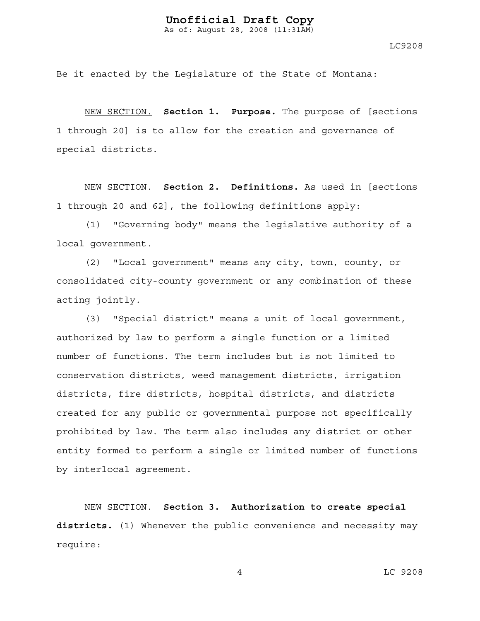Be it enacted by the Legislature of the State of Montana:

NEW SECTION. **Section 1. Purpose.** The purpose of [sections 1 through 20] is to allow for the creation and governance of special districts.

NEW SECTION. **Section 2. Definitions.** As used in [sections 1 through 20 and 62], the following definitions apply:

(1) "Governing body" means the legislative authority of a local government.

(2) "Local government" means any city, town, county, or consolidated city-county government or any combination of these acting jointly.

(3) "Special district" means a unit of local government, authorized by law to perform a single function or a limited number of functions. The term includes but is not limited to conservation districts, weed management districts, irrigation districts, fire districts, hospital districts, and districts created for any public or governmental purpose not specifically prohibited by law. The term also includes any district or other entity formed to perform a single or limited number of functions by interlocal agreement.

NEW SECTION. **Section 3. Authorization to create special districts.** (1) Whenever the public convenience and necessity may require: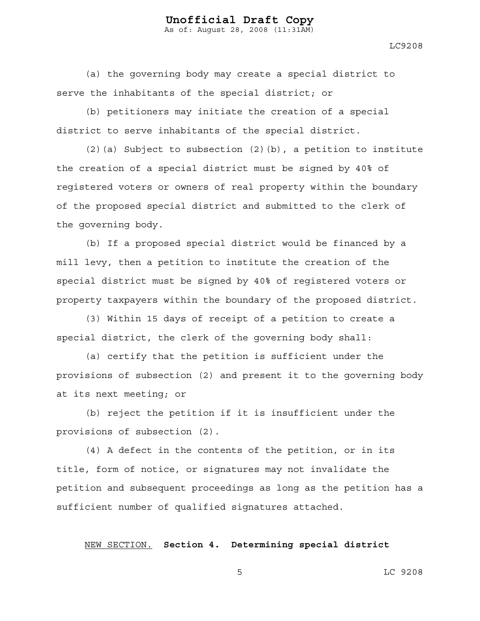LC9208

(a) the governing body may create a special district to serve the inhabitants of the special district; or

(b) petitioners may initiate the creation of a special district to serve inhabitants of the special district.

 $(2)$  (a) Subject to subsection  $(2)$  (b), a petition to institute the creation of a special district must be signed by 40% of registered voters or owners of real property within the boundary of the proposed special district and submitted to the clerk of the governing body.

(b) If a proposed special district would be financed by a mill levy, then a petition to institute the creation of the special district must be signed by 40% of registered voters or property taxpayers within the boundary of the proposed district.

(3) Within 15 days of receipt of a petition to create a special district, the clerk of the governing body shall:

(a) certify that the petition is sufficient under the provisions of subsection (2) and present it to the governing body at its next meeting; or

(b) reject the petition if it is insufficient under the provisions of subsection (2).

(4) A defect in the contents of the petition, or in its title, form of notice, or signatures may not invalidate the petition and subsequent proceedings as long as the petition has a sufficient number of qualified signatures attached.

NEW SECTION. **Section 4. Determining special district**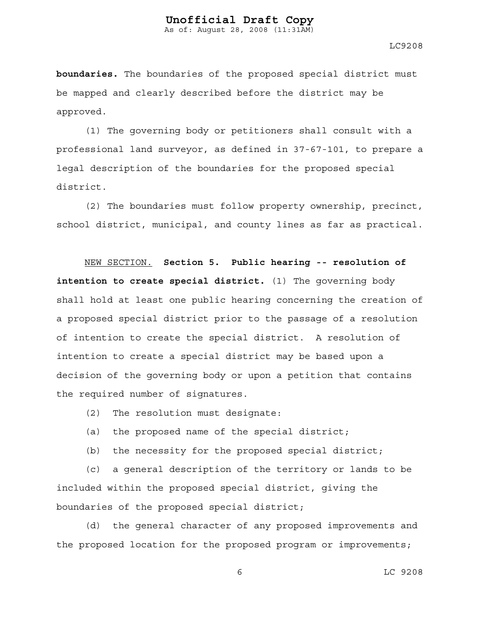As of: August 28, 2008 (11:31AM)

LC9208

**boundaries.** The boundaries of the proposed special district must be mapped and clearly described before the district may be approved.

(1) The governing body or petitioners shall consult with a professional land surveyor, as defined in 37-67-101, to prepare a legal description of the boundaries for the proposed special district.

(2) The boundaries must follow property ownership, precinct, school district, municipal, and county lines as far as practical.

NEW SECTION. **Section 5. Public hearing -- resolution of intention to create special district.** (1) The governing body shall hold at least one public hearing concerning the creation of a proposed special district prior to the passage of a resolution of intention to create the special district. A resolution of intention to create a special district may be based upon a decision of the governing body or upon a petition that contains the required number of signatures.

- (2) The resolution must designate:
- (a) the proposed name of the special district;
- (b) the necessity for the proposed special district;

(c) a general description of the territory or lands to be included within the proposed special district, giving the boundaries of the proposed special district;

(d) the general character of any proposed improvements and the proposed location for the proposed program or improvements;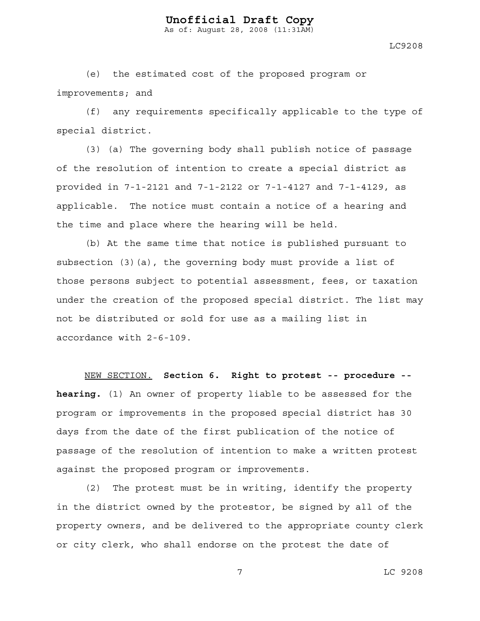LC9208

(e) the estimated cost of the proposed program or improvements; and

(f) any requirements specifically applicable to the type of special district.

(3) (a) The governing body shall publish notice of passage of the resolution of intention to create a special district as provided in 7-1-2121 and 7-1-2122 or 7-1-4127 and 7-1-4129, as applicable. The notice must contain a notice of a hearing and the time and place where the hearing will be held.

(b) At the same time that notice is published pursuant to subsection (3)(a), the governing body must provide a list of those persons subject to potential assessment, fees, or taxation under the creation of the proposed special district. The list may not be distributed or sold for use as a mailing list in accordance with 2-6-109.

NEW SECTION. **Section 6. Right to protest -- procedure - hearing.** (1) An owner of property liable to be assessed for the program or improvements in the proposed special district has 30 days from the date of the first publication of the notice of passage of the resolution of intention to make a written protest against the proposed program or improvements.

(2) The protest must be in writing, identify the property in the district owned by the protestor, be signed by all of the property owners, and be delivered to the appropriate county clerk or city clerk, who shall endorse on the protest the date of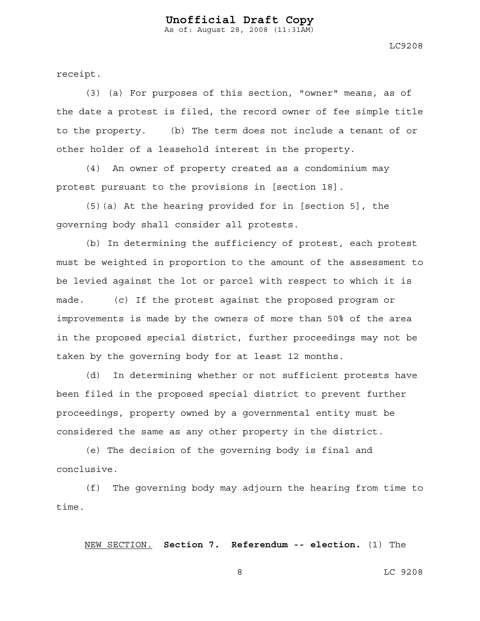LC9208

receipt.

(3) (a) For purposes of this section, "owner" means, as of the date a protest is filed, the record owner of fee simple title to the property. (b) The term does not include a tenant of or other holder of a leasehold interest in the property.

(4) An owner of property created as a condominium may protest pursuant to the provisions in [section 18].

(5)(a) At the hearing provided for in [section 5], the governing body shall consider all protests.

(b) In determining the sufficiency of protest, each protest must be weighted in proportion to the amount of the assessment to be levied against the lot or parcel with respect to which it is made. (c) If the protest against the proposed program or improvements is made by the owners of more than 50% of the area in the proposed special district, further proceedings may not be taken by the governing body for at least 12 months.

(d) In determining whether or not sufficient protests have been filed in the proposed special district to prevent further proceedings, property owned by a governmental entity must be considered the same as any other property in the district.

(e) The decision of the governing body is final and conclusive.

(f) The governing body may adjourn the hearing from time to time.

NEW SECTION. **Section 7. Referendum -- election.** (1) The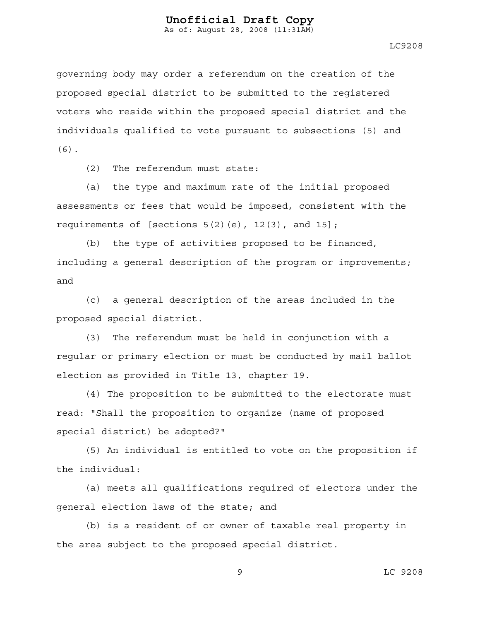LC9208

governing body may order a referendum on the creation of the proposed special district to be submitted to the registered voters who reside within the proposed special district and the individuals qualified to vote pursuant to subsections (5) and (6).

(2) The referendum must state:

(a) the type and maximum rate of the initial proposed assessments or fees that would be imposed, consistent with the requirements of [sections  $5(2)(e)$ ,  $12(3)$ , and  $15$ ];

(b) the type of activities proposed to be financed, including a general description of the program or improvements; and

(c) a general description of the areas included in the proposed special district.

(3) The referendum must be held in conjunction with a regular or primary election or must be conducted by mail ballot election as provided in Title 13, chapter 19.

(4) The proposition to be submitted to the electorate must read: "Shall the proposition to organize (name of proposed special district) be adopted?"

(5) An individual is entitled to vote on the proposition if the individual:

(a) meets all qualifications required of electors under the general election laws of the state; and

(b) is a resident of or owner of taxable real property in the area subject to the proposed special district.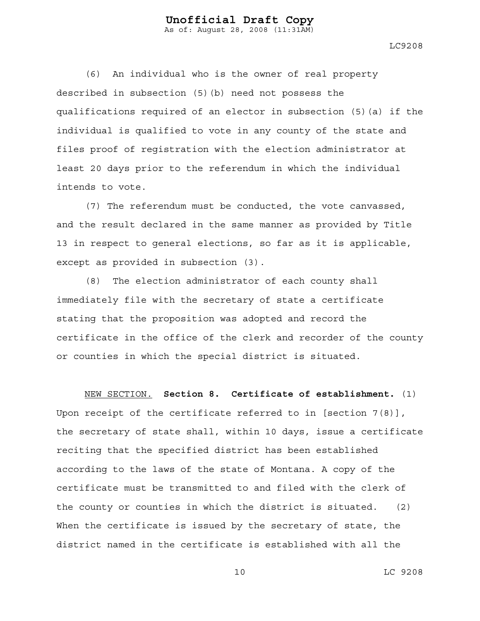LC9208

(6) An individual who is the owner of real property described in subsection (5)(b) need not possess the qualifications required of an elector in subsection (5)(a) if the individual is qualified to vote in any county of the state and files proof of registration with the election administrator at least 20 days prior to the referendum in which the individual intends to vote.

(7) The referendum must be conducted, the vote canvassed, and the result declared in the same manner as provided by Title 13 in respect to general elections, so far as it is applicable, except as provided in subsection (3).

(8) The election administrator of each county shall immediately file with the secretary of state a certificate stating that the proposition was adopted and record the certificate in the office of the clerk and recorder of the county or counties in which the special district is situated.

NEW SECTION. **Section 8. Certificate of establishment.** (1) Upon receipt of the certificate referred to in [section 7(8)], the secretary of state shall, within 10 days, issue a certificate reciting that the specified district has been established according to the laws of the state of Montana. A copy of the certificate must be transmitted to and filed with the clerk of the county or counties in which the district is situated. (2) When the certificate is issued by the secretary of state, the district named in the certificate is established with all the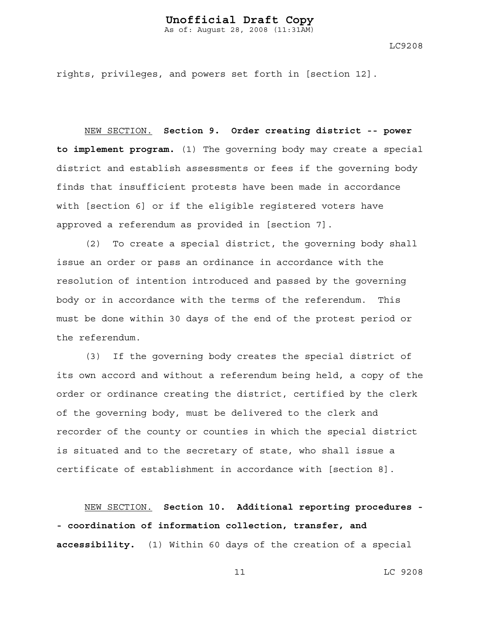As of: August 28, 2008 (11:31AM)

LC9208

rights, privileges, and powers set forth in [section 12].

NEW SECTION. **Section 9. Order creating district -- power to implement program.** (1) The governing body may create a special district and establish assessments or fees if the governing body finds that insufficient protests have been made in accordance with [section 6] or if the eligible registered voters have approved a referendum as provided in [section 7].

(2) To create a special district, the governing body shall issue an order or pass an ordinance in accordance with the resolution of intention introduced and passed by the governing body or in accordance with the terms of the referendum. This must be done within 30 days of the end of the protest period or the referendum.

(3) If the governing body creates the special district of its own accord and without a referendum being held, a copy of the order or ordinance creating the district, certified by the clerk of the governing body, must be delivered to the clerk and recorder of the county or counties in which the special district is situated and to the secretary of state, who shall issue a certificate of establishment in accordance with [section 8].

NEW SECTION. **Section 10. Additional reporting procedures - - coordination of information collection, transfer, and accessibility.** (1) Within 60 days of the creation of a special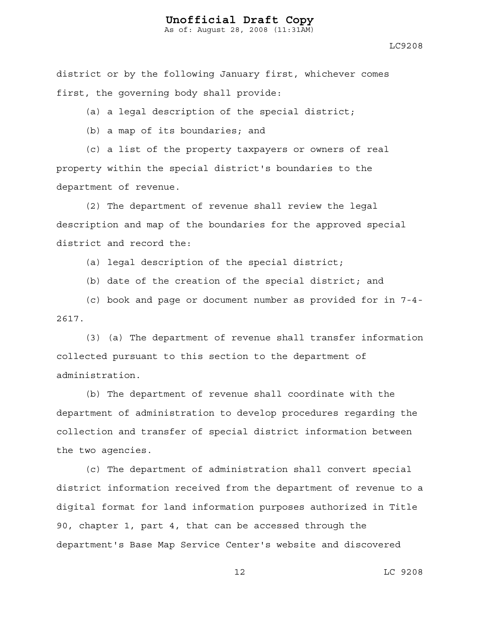As of: August 28, 2008 (11:31AM)

district or by the following January first, whichever comes first, the governing body shall provide:

(a) a legal description of the special district;

(b) a map of its boundaries; and

(c) a list of the property taxpayers or owners of real property within the special district's boundaries to the department of revenue.

(2) The department of revenue shall review the legal description and map of the boundaries for the approved special district and record the:

(a) legal description of the special district;

(b) date of the creation of the special district; and

(c) book and page or document number as provided for in 7-4- 2617.

(3) (a) The department of revenue shall transfer information collected pursuant to this section to the department of administration.

(b) The department of revenue shall coordinate with the department of administration to develop procedures regarding the collection and transfer of special district information between the two agencies.

(c) The department of administration shall convert special district information received from the department of revenue to a digital format for land information purposes authorized in Title 90, chapter 1, part 4, that can be accessed through the department's Base Map Service Center's website and discovered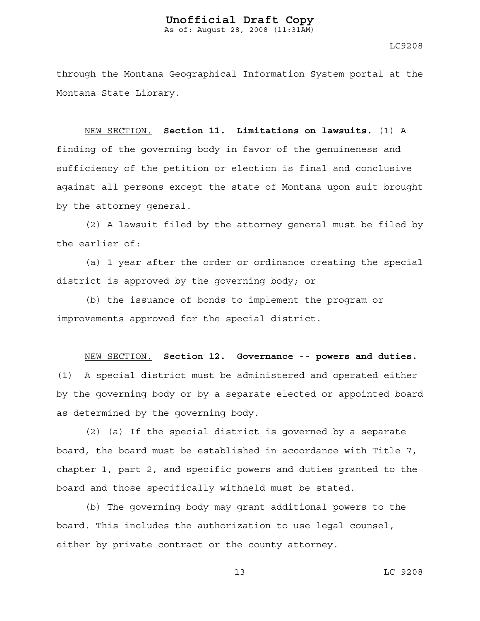LC9208

through the Montana Geographical Information System portal at the Montana State Library.

NEW SECTION. **Section 11. Limitations on lawsuits.** (1) A finding of the governing body in favor of the genuineness and sufficiency of the petition or election is final and conclusive against all persons except the state of Montana upon suit brought by the attorney general.

(2) A lawsuit filed by the attorney general must be filed by the earlier of:

(a) 1 year after the order or ordinance creating the special district is approved by the governing body; or

(b) the issuance of bonds to implement the program or improvements approved for the special district.

NEW SECTION. **Section 12. Governance -- powers and duties.**

(1) A special district must be administered and operated either by the governing body or by a separate elected or appointed board as determined by the governing body.

(2) (a) If the special district is governed by a separate board, the board must be established in accordance with Title 7, chapter 1, part 2, and specific powers and duties granted to the board and those specifically withheld must be stated.

(b) The governing body may grant additional powers to the board. This includes the authorization to use legal counsel, either by private contract or the county attorney.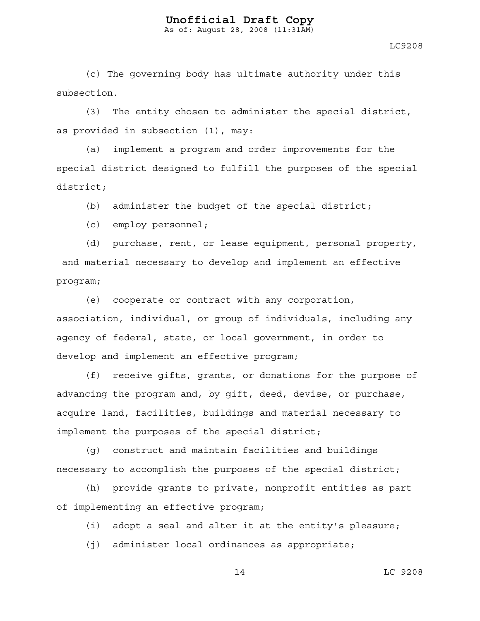As of: August 28, 2008 (11:31AM)

LC9208

(c) The governing body has ultimate authority under this subsection.

(3) The entity chosen to administer the special district, as provided in subsection (1), may:

(a) implement a program and order improvements for the special district designed to fulfill the purposes of the special district;

(b) administer the budget of the special district;

(c) employ personnel;

(d) purchase, rent, or lease equipment, personal property, and material necessary to develop and implement an effective program;

(e) cooperate or contract with any corporation, association, individual, or group of individuals, including any agency of federal, state, or local government, in order to develop and implement an effective program;

(f) receive gifts, grants, or donations for the purpose of advancing the program and, by gift, deed, devise, or purchase, acquire land, facilities, buildings and material necessary to implement the purposes of the special district;

(g) construct and maintain facilities and buildings necessary to accomplish the purposes of the special district;

(h) provide grants to private, nonprofit entities as part of implementing an effective program;

(i) adopt a seal and alter it at the entity's pleasure;

(j) administer local ordinances as appropriate;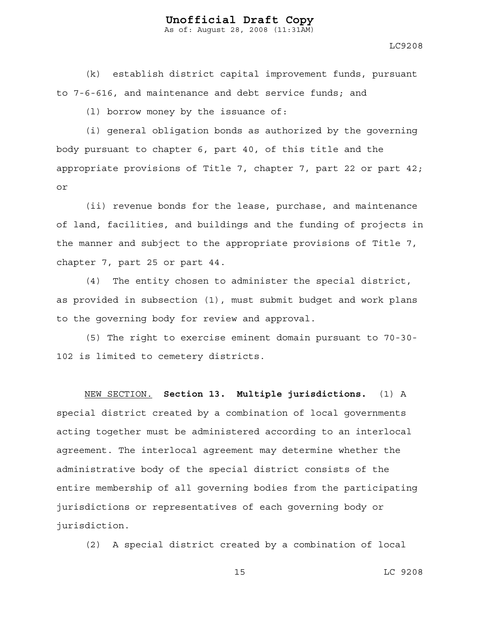As of: August 28, 2008 (11:31AM)

LC9208

(k) establish district capital improvement funds, pursuant to 7-6-616, and maintenance and debt service funds; and

(l) borrow money by the issuance of:

(i) general obligation bonds as authorized by the governing body pursuant to chapter 6, part 40, of this title and the appropriate provisions of Title 7, chapter 7, part 22 or part 42; or

(ii) revenue bonds for the lease, purchase, and maintenance of land, facilities, and buildings and the funding of projects in the manner and subject to the appropriate provisions of Title 7, chapter 7, part 25 or part 44.

(4) The entity chosen to administer the special district, as provided in subsection (1), must submit budget and work plans to the governing body for review and approval.

(5) The right to exercise eminent domain pursuant to 70-30- 102 is limited to cemetery districts.

NEW SECTION. **Section 13. Multiple jurisdictions.** (1) A special district created by a combination of local governments acting together must be administered according to an interlocal agreement. The interlocal agreement may determine whether the administrative body of the special district consists of the entire membership of all governing bodies from the participating jurisdictions or representatives of each governing body or jurisdiction.

(2) A special district created by a combination of local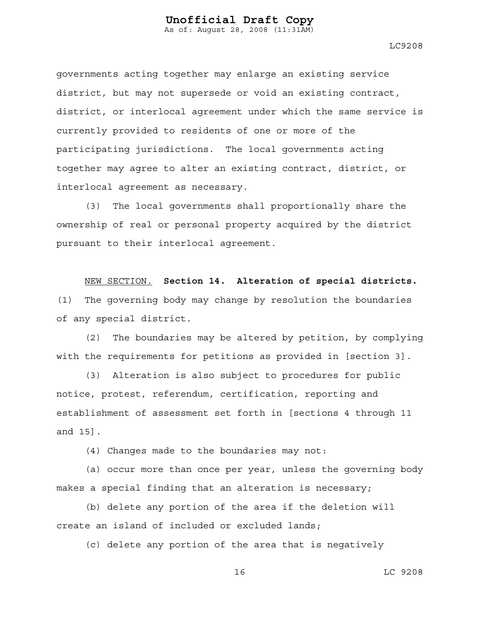LC9208

governments acting together may enlarge an existing service district, but may not supersede or void an existing contract, district, or interlocal agreement under which the same service is currently provided to residents of one or more of the participating jurisdictions. The local governments acting together may agree to alter an existing contract, district, or interlocal agreement as necessary.

(3) The local governments shall proportionally share the ownership of real or personal property acquired by the district pursuant to their interlocal agreement.

NEW SECTION. **Section 14. Alteration of special districts.** (1) The governing body may change by resolution the boundaries of any special district.

(2) The boundaries may be altered by petition, by complying with the requirements for petitions as provided in [section 3].

(3) Alteration is also subject to procedures for public notice, protest, referendum, certification, reporting and establishment of assessment set forth in [sections 4 through 11 and 15].

(4) Changes made to the boundaries may not:

(a) occur more than once per year, unless the governing body makes a special finding that an alteration is necessary;

(b) delete any portion of the area if the deletion will create an island of included or excluded lands;

(c) delete any portion of the area that is negatively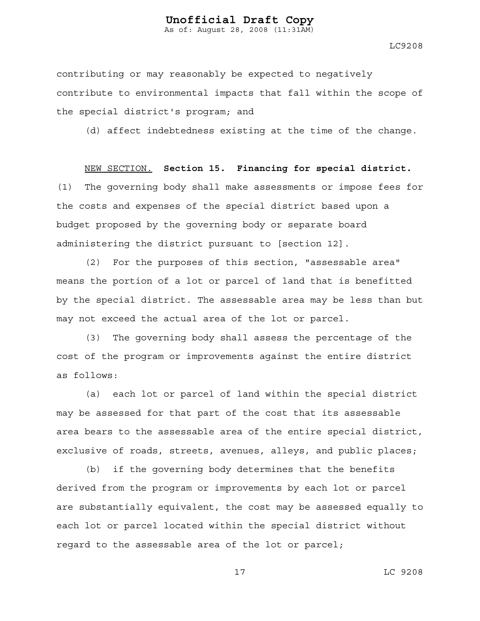As of: August 28, 2008 (11:31AM)

LC9208

contributing or may reasonably be expected to negatively contribute to environmental impacts that fall within the scope of the special district's program; and

(d) affect indebtedness existing at the time of the change.

NEW SECTION. **Section 15. Financing for special district.** (1) The governing body shall make assessments or impose fees for the costs and expenses of the special district based upon a budget proposed by the governing body or separate board administering the district pursuant to [section 12].

(2) For the purposes of this section, "assessable area" means the portion of a lot or parcel of land that is benefitted by the special district. The assessable area may be less than but may not exceed the actual area of the lot or parcel.

(3) The governing body shall assess the percentage of the cost of the program or improvements against the entire district as follows:

(a) each lot or parcel of land within the special district may be assessed for that part of the cost that its assessable area bears to the assessable area of the entire special district, exclusive of roads, streets, avenues, alleys, and public places;

(b) if the governing body determines that the benefits derived from the program or improvements by each lot or parcel are substantially equivalent, the cost may be assessed equally to each lot or parcel located within the special district without regard to the assessable area of the lot or parcel;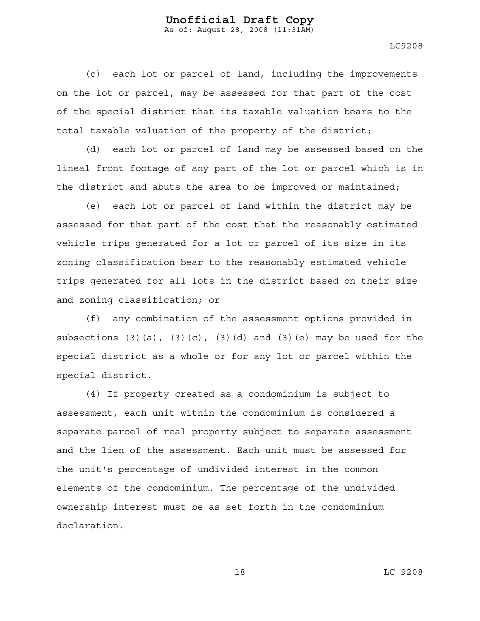LC9208

(c) each lot or parcel of land, including the improvements on the lot or parcel, may be assessed for that part of the cost of the special district that its taxable valuation bears to the total taxable valuation of the property of the district;

(d) each lot or parcel of land may be assessed based on the lineal front footage of any part of the lot or parcel which is in the district and abuts the area to be improved or maintained;

 (e) each lot or parcel of land within the district may be assessed for that part of the cost that the reasonably estimated vehicle trips generated for a lot or parcel of its size in its zoning classification bear to the reasonably estimated vehicle trips generated for all lots in the district based on their size and zoning classification; or

(f) any combination of the assessment options provided in subsections  $(3)(a)$ ,  $(3)(c)$ ,  $(3)(d)$  and  $(3)(e)$  may be used for the special district as a whole or for any lot or parcel within the special district.

(4) If property created as a condominium is subject to assessment, each unit within the condominium is considered a separate parcel of real property subject to separate assessment and the lien of the assessment. Each unit must be assessed for the unit's percentage of undivided interest in the common elements of the condominium. The percentage of the undivided ownership interest must be as set forth in the condominium declaration.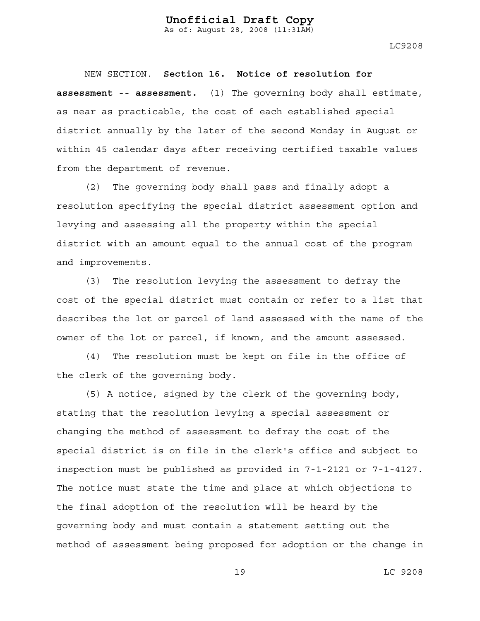As of: August 28, 2008 (11:31AM)

LC9208

NEW SECTION. **Section 16. Notice of resolution for assessment -- assessment.** (1) The governing body shall estimate, as near as practicable, the cost of each established special district annually by the later of the second Monday in August or within 45 calendar days after receiving certified taxable values from the department of revenue.

(2) The governing body shall pass and finally adopt a resolution specifying the special district assessment option and levying and assessing all the property within the special district with an amount equal to the annual cost of the program and improvements.

(3) The resolution levying the assessment to defray the cost of the special district must contain or refer to a list that describes the lot or parcel of land assessed with the name of the owner of the lot or parcel, if known, and the amount assessed.

(4) The resolution must be kept on file in the office of the clerk of the governing body.

(5) A notice, signed by the clerk of the governing body, stating that the resolution levying a special assessment or changing the method of assessment to defray the cost of the special district is on file in the clerk's office and subject to inspection must be published as provided in 7-1-2121 or 7-1-4127. The notice must state the time and place at which objections to the final adoption of the resolution will be heard by the governing body and must contain a statement setting out the method of assessment being proposed for adoption or the change in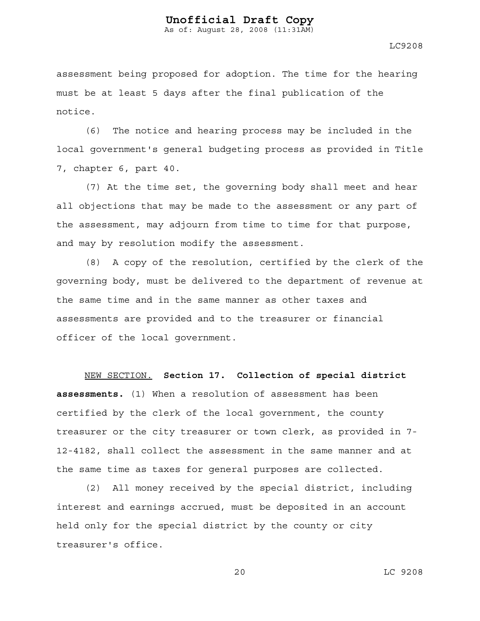As of: August 28, 2008 (11:31AM)

LC9208

assessment being proposed for adoption. The time for the hearing must be at least 5 days after the final publication of the notice.

(6) The notice and hearing process may be included in the local government's general budgeting process as provided in Title 7, chapter 6, part 40.

(7) At the time set, the governing body shall meet and hear all objections that may be made to the assessment or any part of the assessment, may adjourn from time to time for that purpose, and may by resolution modify the assessment.

(8) A copy of the resolution, certified by the clerk of the governing body, must be delivered to the department of revenue at the same time and in the same manner as other taxes and assessments are provided and to the treasurer or financial officer of the local government.

NEW SECTION. **Section 17. Collection of special district assessments.** (1) When a resolution of assessment has been certified by the clerk of the local government, the county treasurer or the city treasurer or town clerk, as provided in 7- 12-4182, shall collect the assessment in the same manner and at the same time as taxes for general purposes are collected.

(2) All money received by the special district, including interest and earnings accrued, must be deposited in an account held only for the special district by the county or city treasurer's office.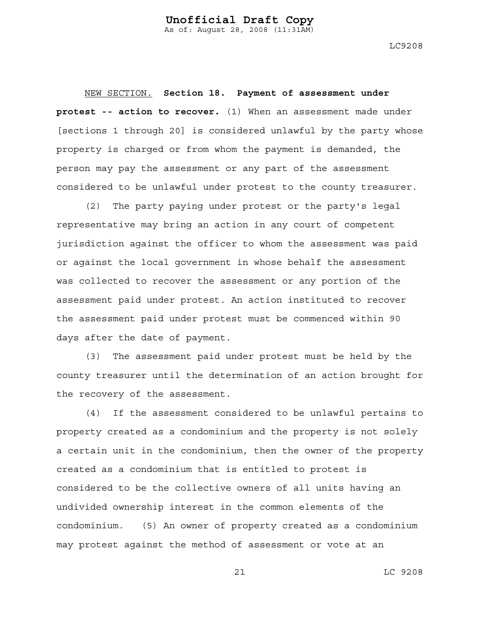LC9208

NEW SECTION. **Section 18. Payment of assessment under protest -- action to recover.** (1) When an assessment made under [sections 1 through 20] is considered unlawful by the party whose property is charged or from whom the payment is demanded, the person may pay the assessment or any part of the assessment considered to be unlawful under protest to the county treasurer.

(2) The party paying under protest or the party's legal representative may bring an action in any court of competent jurisdiction against the officer to whom the assessment was paid or against the local government in whose behalf the assessment was collected to recover the assessment or any portion of the assessment paid under protest. An action instituted to recover the assessment paid under protest must be commenced within 90 days after the date of payment.

(3) The assessment paid under protest must be held by the county treasurer until the determination of an action brought for the recovery of the assessment.

(4) If the assessment considered to be unlawful pertains to property created as a condominium and the property is not solely a certain unit in the condominium, then the owner of the property created as a condominium that is entitled to protest is considered to be the collective owners of all units having an undivided ownership interest in the common elements of the condominium. (5) An owner of property created as a condominium may protest against the method of assessment or vote at an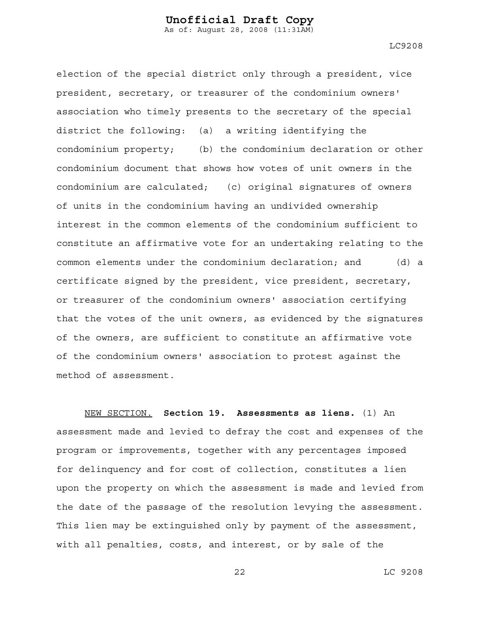LC9208

election of the special district only through a president, vice president, secretary, or treasurer of the condominium owners' association who timely presents to the secretary of the special district the following: (a) a writing identifying the condominium property; (b) the condominium declaration or other condominium document that shows how votes of unit owners in the condominium are calculated; (c) original signatures of owners of units in the condominium having an undivided ownership interest in the common elements of the condominium sufficient to constitute an affirmative vote for an undertaking relating to the common elements under the condominium declaration; and (d) a certificate signed by the president, vice president, secretary, or treasurer of the condominium owners' association certifying that the votes of the unit owners, as evidenced by the signatures of the owners, are sufficient to constitute an affirmative vote of the condominium owners' association to protest against the method of assessment.

NEW SECTION. **Section 19. Assessments as liens.** (1) An assessment made and levied to defray the cost and expenses of the program or improvements, together with any percentages imposed for delinquency and for cost of collection, constitutes a lien upon the property on which the assessment is made and levied from the date of the passage of the resolution levying the assessment. This lien may be extinguished only by payment of the assessment, with all penalties, costs, and interest, or by sale of the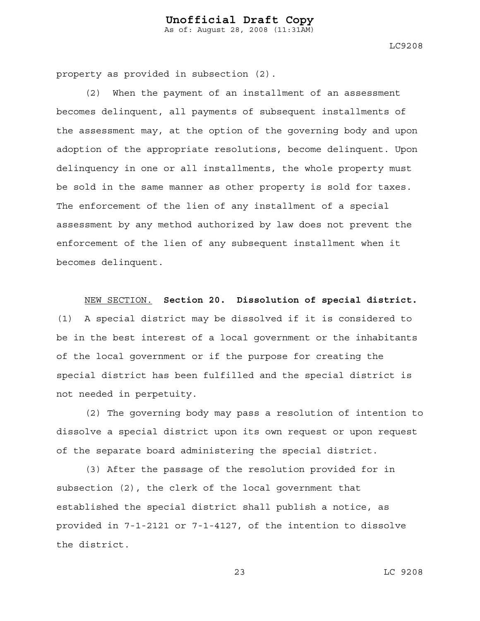LC9208

property as provided in subsection (2).

(2) When the payment of an installment of an assessment becomes delinquent, all payments of subsequent installments of the assessment may, at the option of the governing body and upon adoption of the appropriate resolutions, become delinquent. Upon delinquency in one or all installments, the whole property must be sold in the same manner as other property is sold for taxes. The enforcement of the lien of any installment of a special assessment by any method authorized by law does not prevent the enforcement of the lien of any subsequent installment when it becomes delinquent.

NEW SECTION. **Section 20. Dissolution of special district.**

(1) A special district may be dissolved if it is considered to be in the best interest of a local government or the inhabitants of the local government or if the purpose for creating the special district has been fulfilled and the special district is not needed in perpetuity.

(2) The governing body may pass a resolution of intention to dissolve a special district upon its own request or upon request of the separate board administering the special district.

(3) After the passage of the resolution provided for in subsection (2), the clerk of the local government that established the special district shall publish a notice, as provided in 7-1-2121 or 7-1-4127, of the intention to dissolve the district.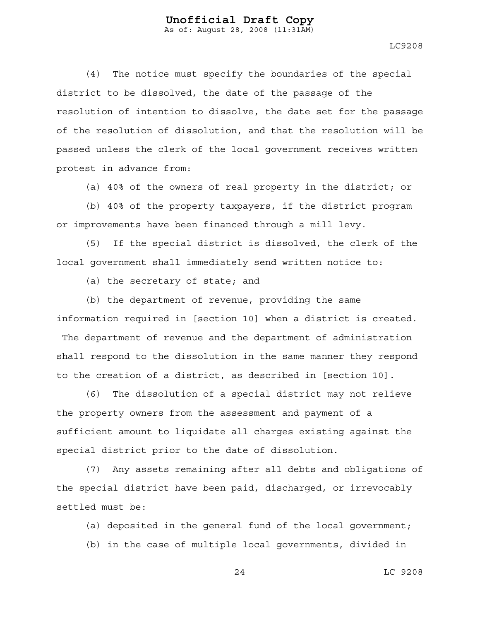LC9208

(4) The notice must specify the boundaries of the special district to be dissolved, the date of the passage of the resolution of intention to dissolve, the date set for the passage of the resolution of dissolution, and that the resolution will be passed unless the clerk of the local government receives written protest in advance from:

(a) 40% of the owners of real property in the district; or

(b) 40% of the property taxpayers, if the district program or improvements have been financed through a mill levy.

(5) If the special district is dissolved, the clerk of the local government shall immediately send written notice to:

(a) the secretary of state; and

(b) the department of revenue, providing the same information required in [section 10] when a district is created. The department of revenue and the department of administration shall respond to the dissolution in the same manner they respond to the creation of a district, as described in [section 10].

(6) The dissolution of a special district may not relieve the property owners from the assessment and payment of a sufficient amount to liquidate all charges existing against the special district prior to the date of dissolution.

(7) Any assets remaining after all debts and obligations of the special district have been paid, discharged, or irrevocably settled must be:

(a) deposited in the general fund of the local government;

(b) in the case of multiple local governments, divided in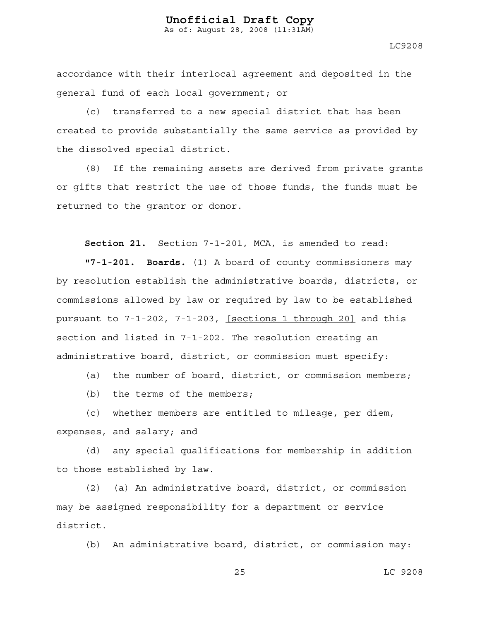LC9208

accordance with their interlocal agreement and deposited in the general fund of each local government; or

(c) transferred to a new special district that has been created to provide substantially the same service as provided by the dissolved special district.

(8) If the remaining assets are derived from private grants or gifts that restrict the use of those funds, the funds must be returned to the grantor or donor.

**Section 21.** Section 7-1-201, MCA, is amended to read:

**"7-1-201. Boards.** (1) A board of county commissioners may by resolution establish the administrative boards, districts, or commissions allowed by law or required by law to be established pursuant to 7-1-202, 7-1-203, [sections 1 through 20] and this section and listed in 7-1-202. The resolution creating an administrative board, district, or commission must specify:

(a) the number of board, district, or commission members;

(b) the terms of the members;

(c) whether members are entitled to mileage, per diem, expenses, and salary; and

(d) any special qualifications for membership in addition to those established by law.

(2) (a) An administrative board, district, or commission may be assigned responsibility for a department or service district.

(b) An administrative board, district, or commission may: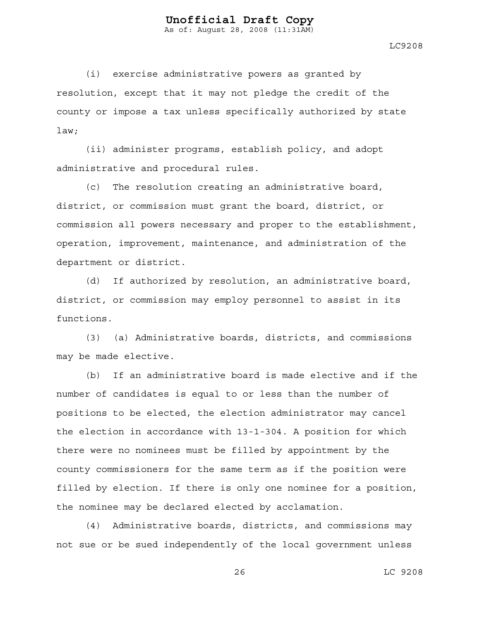As of: August 28, 2008 (11:31AM)

LC9208

(i) exercise administrative powers as granted by resolution, except that it may not pledge the credit of the county or impose a tax unless specifically authorized by state law;

(ii) administer programs, establish policy, and adopt administrative and procedural rules.

(c) The resolution creating an administrative board, district, or commission must grant the board, district, or commission all powers necessary and proper to the establishment, operation, improvement, maintenance, and administration of the department or district.

(d) If authorized by resolution, an administrative board, district, or commission may employ personnel to assist in its functions.

(3) (a) Administrative boards, districts, and commissions may be made elective.

(b) If an administrative board is made elective and if the number of candidates is equal to or less than the number of positions to be elected, the election administrator may cancel the election in accordance with 13-1-304. A position for which there were no nominees must be filled by appointment by the county commissioners for the same term as if the position were filled by election. If there is only one nominee for a position, the nominee may be declared elected by acclamation.

(4) Administrative boards, districts, and commissions may not sue or be sued independently of the local government unless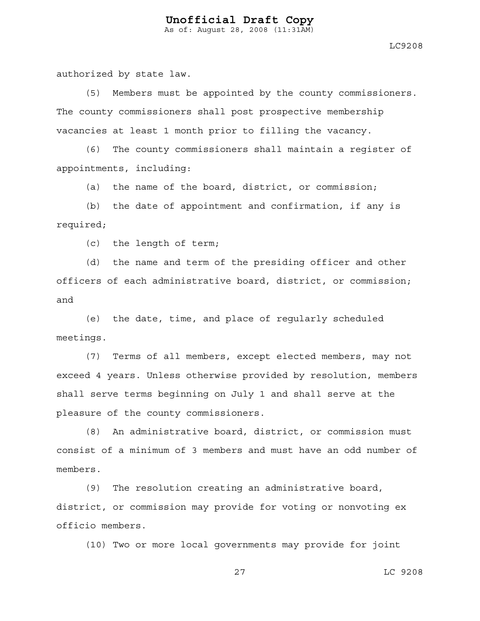LC9208

authorized by state law.

(5) Members must be appointed by the county commissioners. The county commissioners shall post prospective membership vacancies at least 1 month prior to filling the vacancy.

(6) The county commissioners shall maintain a register of appointments, including:

(a) the name of the board, district, or commission;

(b) the date of appointment and confirmation, if any is required;

(c) the length of term;

(d) the name and term of the presiding officer and other officers of each administrative board, district, or commission; and

(e) the date, time, and place of regularly scheduled meetings.

(7) Terms of all members, except elected members, may not exceed 4 years. Unless otherwise provided by resolution, members shall serve terms beginning on July 1 and shall serve at the pleasure of the county commissioners.

(8) An administrative board, district, or commission must consist of a minimum of 3 members and must have an odd number of members.

(9) The resolution creating an administrative board, district, or commission may provide for voting or nonvoting ex officio members.

(10) Two or more local governments may provide for joint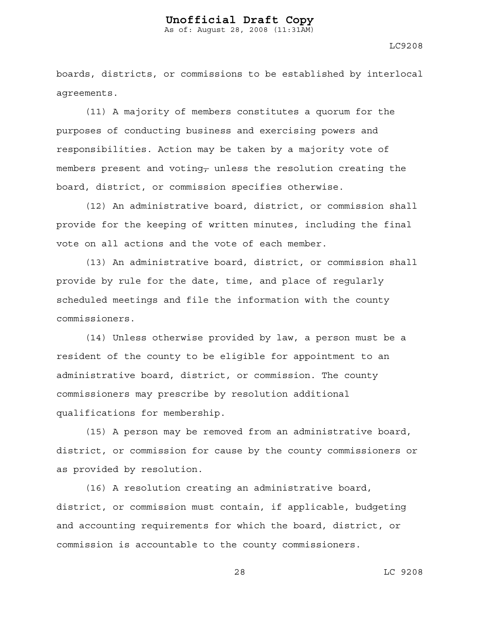LC9208

boards, districts, or commissions to be established by interlocal agreements.

(11) A majority of members constitutes a quorum for the purposes of conducting business and exercising powers and responsibilities. Action may be taken by a majority vote of members present and voting, unless the resolution creating the board, district, or commission specifies otherwise.

(12) An administrative board, district, or commission shall provide for the keeping of written minutes, including the final vote on all actions and the vote of each member.

(13) An administrative board, district, or commission shall provide by rule for the date, time, and place of regularly scheduled meetings and file the information with the county commissioners.

(14) Unless otherwise provided by law, a person must be a resident of the county to be eligible for appointment to an administrative board, district, or commission. The county commissioners may prescribe by resolution additional qualifications for membership.

(15) A person may be removed from an administrative board, district, or commission for cause by the county commissioners or as provided by resolution.

(16) A resolution creating an administrative board, district, or commission must contain, if applicable, budgeting and accounting requirements for which the board, district, or commission is accountable to the county commissioners.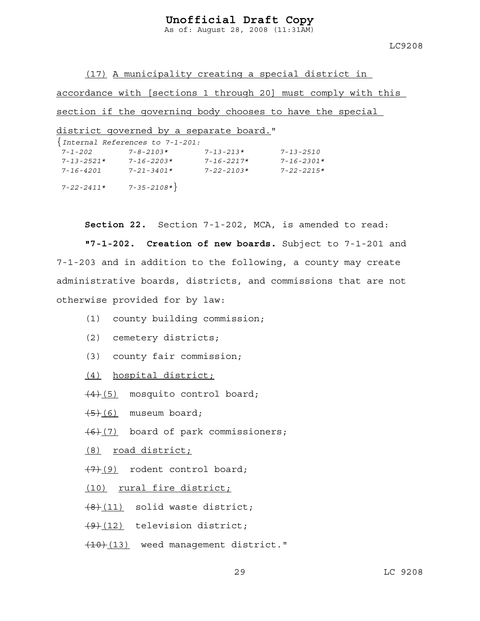As of: August 28, 2008 (11:31AM)

LC9208

(17) A municipality creating a special district in

accordance with [sections 1 through 20] must comply with this

section if the governing body chooses to have the special

district governed by a separate board."

|                  | $\{Internal References to 7-1-201:$ |                  |                  |
|------------------|-------------------------------------|------------------|------------------|
| $7 - 1 - 202$    | $7 - 8 - 2103*$                     | $7 - 13 - 213*$  | $7 - 13 - 2510$  |
| $7 - 13 - 2521*$ | $7 - 16 - 2203*$                    | $7 - 16 - 2217*$ | $7 - 16 - 2301*$ |
| 7-16-4201        | $7 - 21 - 3401*$                    | $7 - 22 - 2103*$ | $7 - 22 - 2215*$ |
| $7 - 22 - 2411*$ | $7 - 35 - 2108*$                    |                  |                  |

**Section 22.** Section 7-1-202, MCA, is amended to read:

**"7-1-202. Creation of new boards.** Subject to 7-1-201 and 7-1-203 and in addition to the following, a county may create administrative boards, districts, and commissions that are not otherwise provided for by law:

- (1) county building commission;
- (2) cemetery districts;
- (3) county fair commission;
- (4) hospital district;
- $\frac{(4)(5)}{2}$  mosquito control board;
- $\overline{(5)(6)}$  museum board;
- $(6)(7)$  board of park commissioners;
- (8) road district;
- $(7)$ (9) rodent control board;
- (10) rural fire district;
- $(8)(11)$  solid waste district;
- $(9)$  $(12)$  television district;
- (10)(13) weed management district."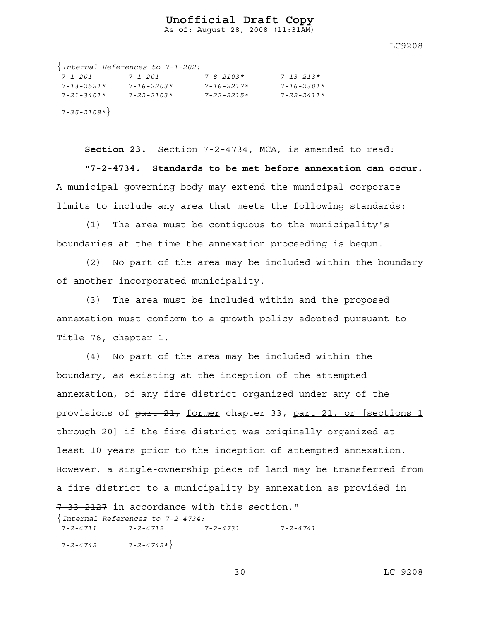As of: August 28, 2008 (11:31AM)

LC9208

|                  | $\{Internal References to 7-1-202:\}$ |                  |                  |
|------------------|---------------------------------------|------------------|------------------|
| 7-1-201          | $7 - 1 - 201$                         | $7 - 8 - 2103*$  | $7 - 13 - 213*$  |
| $7 - 13 - 2521*$ | $7 - 16 - 2203*$                      | $7 - 16 - 2217*$ | $7 - 16 - 2301*$ |
| $7 - 21 - 3401*$ | $7 - 22 - 2103*$                      | $7 - 22 - 2215*$ | $7 - 22 - 2411*$ |
| $7 - 35 - 2108*$ |                                       |                  |                  |

**Section 23.** Section 7-2-4734, MCA, is amended to read: **"7-2-4734. Standards to be met before annexation can occur.** A municipal governing body may extend the municipal corporate limits to include any area that meets the following standards:

(1) The area must be contiguous to the municipality's boundaries at the time the annexation proceeding is begun.

(2) No part of the area may be included within the boundary of another incorporated municipality.

(3) The area must be included within and the proposed annexation must conform to a growth policy adopted pursuant to Title 76, chapter 1.

(4) No part of the area may be included within the boundary, as existing at the inception of the attempted annexation, of any fire district organized under any of the provisions of part 21, former chapter 33, part 21, or [sections 1 through 20] if the fire district was originally organized at least 10 years prior to the inception of attempted annexation. However, a single-ownership piece of land may be transferred from a fire district to a municipality by annexation as provided in

7-33-2127 in accordance with this section."

{*Internal References to 7-2-4734: 7-2-4711 7-2-4712 7-2-4731 7-2-4741 7-2-4742 7-2-4742\**}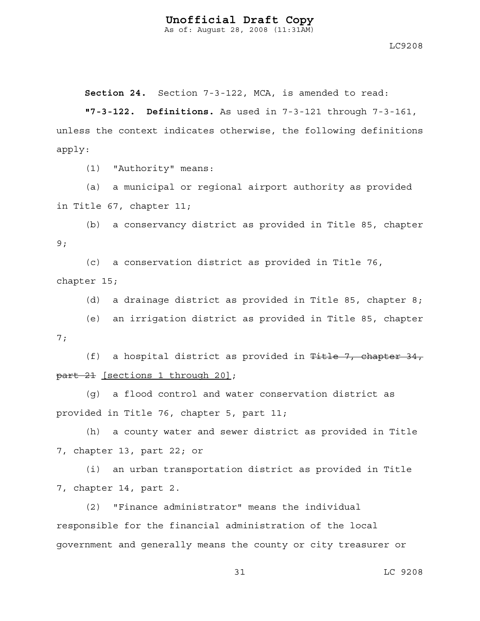As of: August 28, 2008 (11:31AM)

LC9208

**Section 24.** Section 7-3-122, MCA, is amended to read:

**"7-3-122. Definitions.** As used in 7-3-121 through 7-3-161, unless the context indicates otherwise, the following definitions apply:

(1) "Authority" means:

(a) a municipal or regional airport authority as provided in Title 67, chapter 11;

(b) a conservancy district as provided in Title 85, chapter 9;

(c) a conservation district as provided in Title 76, chapter 15;

(d) a drainage district as provided in Title 85, chapter 8;

(e) an irrigation district as provided in Title 85, chapter 7;

(f) a hospital district as provided in  $F$ itle 7, chapter 34, part 21 [sections 1 through 20];

(g) a flood control and water conservation district as provided in Title 76, chapter 5, part 11;

(h) a county water and sewer district as provided in Title 7, chapter 13, part 22; or

(i) an urban transportation district as provided in Title 7, chapter 14, part 2.

(2) "Finance administrator" means the individual responsible for the financial administration of the local government and generally means the county or city treasurer or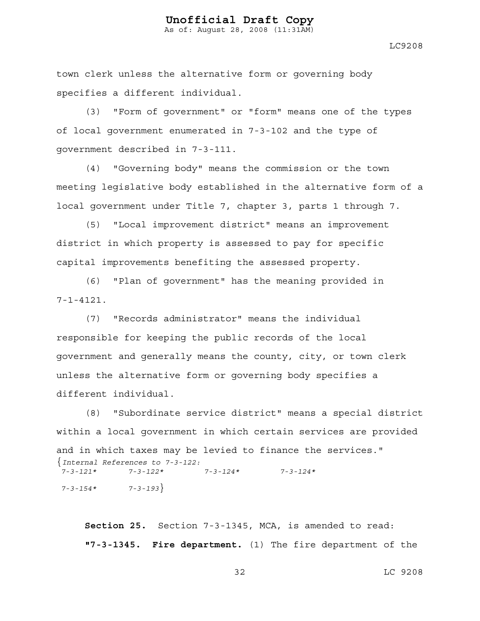As of: August 28, 2008 (11:31AM)

LC9208

town clerk unless the alternative form or governing body specifies a different individual.

(3) "Form of government" or "form" means one of the types of local government enumerated in 7-3-102 and the type of government described in 7-3-111.

(4) "Governing body" means the commission or the town meeting legislative body established in the alternative form of a local government under Title 7, chapter 3, parts 1 through 7.

(5) "Local improvement district" means an improvement district in which property is assessed to pay for specific capital improvements benefiting the assessed property.

(6) "Plan of government" has the meaning provided in  $7 - 1 - 4121$ .

(7) "Records administrator" means the individual responsible for keeping the public records of the local government and generally means the county, city, or town clerk unless the alternative form or governing body specifies a different individual.

(8) "Subordinate service district" means a special district within a local government in which certain services are provided and in which taxes may be levied to finance the services." {*Internal References to 7-3-122: 7-3-121\* 7-3-122\* 7-3-124\* 7-3-124\* 7-3-154\* 7-3-193*}

**Section 25.** Section 7-3-1345, MCA, is amended to read: **"7-3-1345. Fire department.** (1) The fire department of the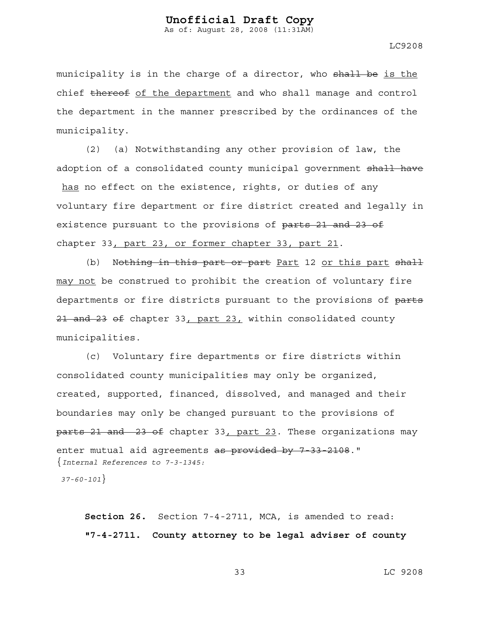LC9208

municipality is in the charge of a director, who shall be is the chief thereof of the department and who shall manage and control the department in the manner prescribed by the ordinances of the municipality.

(2) (a) Notwithstanding any other provision of law, the adoption of a consolidated county municipal government shall have has no effect on the existence, rights, or duties of any voluntary fire department or fire district created and legally in existence pursuant to the provisions of parts 21 and 23 of chapter 33, part 23, or former chapter 33, part 21.

(b) Nothing in this part or part Part 12 or this part shall may not be construed to prohibit the creation of voluntary fire departments or fire districts pursuant to the provisions of parts 21 and 23 of chapter 33, part 23, within consolidated county municipalities.

(c) Voluntary fire departments or fire districts within consolidated county municipalities may only be organized, created, supported, financed, dissolved, and managed and their boundaries may only be changed pursuant to the provisions of parts 21 and 23 of chapter 33, part 23. These organizations may enter mutual aid agreements as provided by 7 33 2108." {*Internal References to 7-3-1345:* 

 *37-60-101*}

**Section 26.** Section 7-4-2711, MCA, is amended to read: **"7-4-2711. County attorney to be legal adviser of county**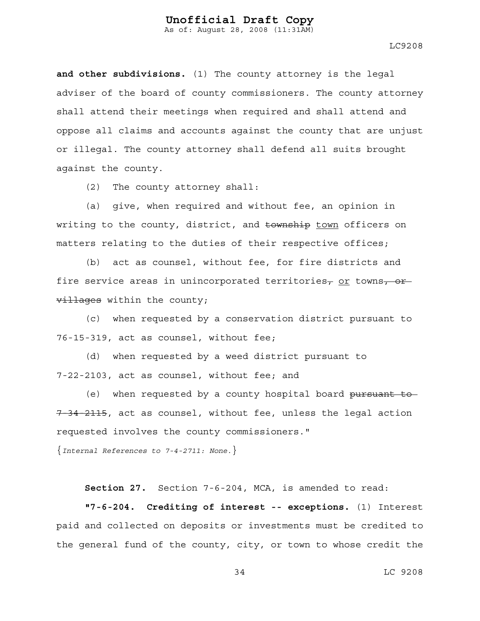LC9208

**and other subdivisions.** (1) The county attorney is the legal adviser of the board of county commissioners. The county attorney shall attend their meetings when required and shall attend and oppose all claims and accounts against the county that are unjust or illegal. The county attorney shall defend all suits brought against the county.

(2) The county attorney shall:

(a) give, when required and without fee, an opinion in writing to the county, district, and township town officers on matters relating to the duties of their respective offices;

(b) act as counsel, without fee, for fire districts and fire service areas in unincorporated territories, or towns,  $-$ or villages within the county;

(c) when requested by a conservation district pursuant to 76-15-319, act as counsel, without fee;

(d) when requested by a weed district pursuant to 7-22-2103, act as counsel, without fee; and

(e) when requested by a county hospital board pursuant to 7 34 2115, act as counsel, without fee, unless the legal action requested involves the county commissioners."

{*Internal References to 7-4-2711: None.*}

**Section 27.** Section 7-6-204, MCA, is amended to read:

**"7-6-204. Crediting of interest -- exceptions.** (1) Interest paid and collected on deposits or investments must be credited to the general fund of the county, city, or town to whose credit the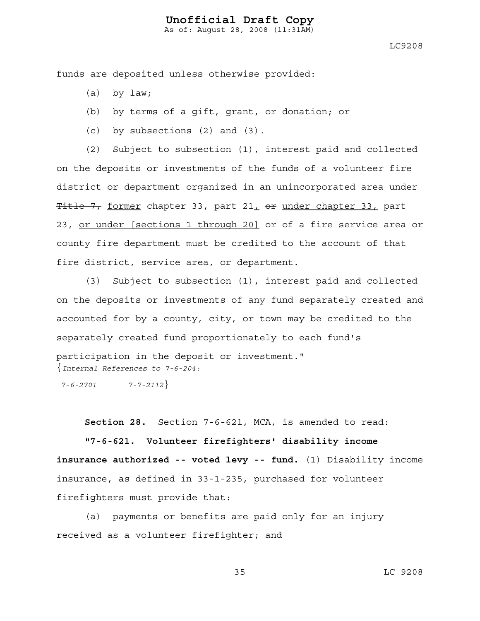As of: August 28, 2008 (11:31AM)

LC9208

funds are deposited unless otherwise provided:

- (a) by law;
- (b) by terms of a gift, grant, or donation; or
- (c) by subsections (2) and (3).

(2) Subject to subsection (1), interest paid and collected on the deposits or investments of the funds of a volunteer fire district or department organized in an unincorporated area under Title 7, former chapter 33, part  $21<sub>L</sub>$  or under chapter 33, part 23, or under [sections 1 through 20] or of a fire service area or county fire department must be credited to the account of that fire district, service area, or department.

(3) Subject to subsection (1), interest paid and collected on the deposits or investments of any fund separately created and accounted for by a county, city, or town may be credited to the separately created fund proportionately to each fund's participation in the deposit or investment." {*Internal References to 7-6-204:* 

 *7-6-2701 7-7-2112*}

**Section 28.** Section 7-6-621, MCA, is amended to read:

**"7-6-621. Volunteer firefighters' disability income insurance authorized -- voted levy -- fund.** (1) Disability income insurance, as defined in 33-1-235, purchased for volunteer firefighters must provide that:

(a) payments or benefits are paid only for an injury received as a volunteer firefighter; and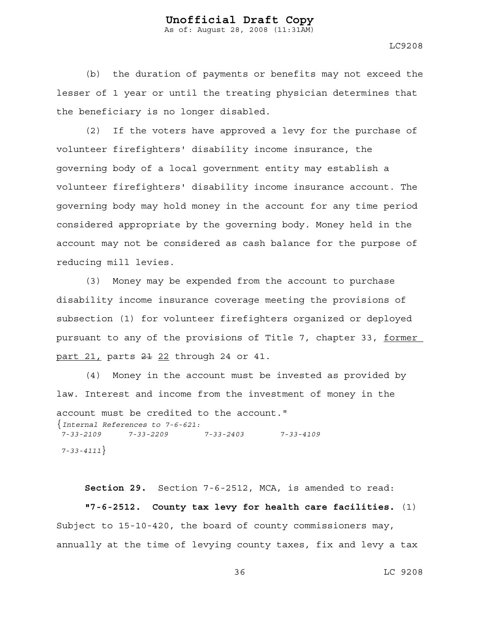LC9208

(b) the duration of payments or benefits may not exceed the lesser of 1 year or until the treating physician determines that the beneficiary is no longer disabled.

(2) If the voters have approved a levy for the purchase of volunteer firefighters' disability income insurance, the governing body of a local government entity may establish a volunteer firefighters' disability income insurance account. The governing body may hold money in the account for any time period considered appropriate by the governing body. Money held in the account may not be considered as cash balance for the purpose of reducing mill levies.

(3) Money may be expended from the account to purchase disability income insurance coverage meeting the provisions of subsection (1) for volunteer firefighters organized or deployed pursuant to any of the provisions of Title 7, chapter 33, former part 21, parts 21 22 through 24 or 41.

(4) Money in the account must be invested as provided by law. Interest and income from the investment of money in the account must be credited to the account." {*Internal References to 7-6-621: 7-33-2109 7-33-2209 7-33-2403 7-33-4109 7-33-4111*}

**Section 29.** Section 7-6-2512, MCA, is amended to read:

**"7-6-2512. County tax levy for health care facilities.** (1) Subject to 15-10-420, the board of county commissioners may, annually at the time of levying county taxes, fix and levy a tax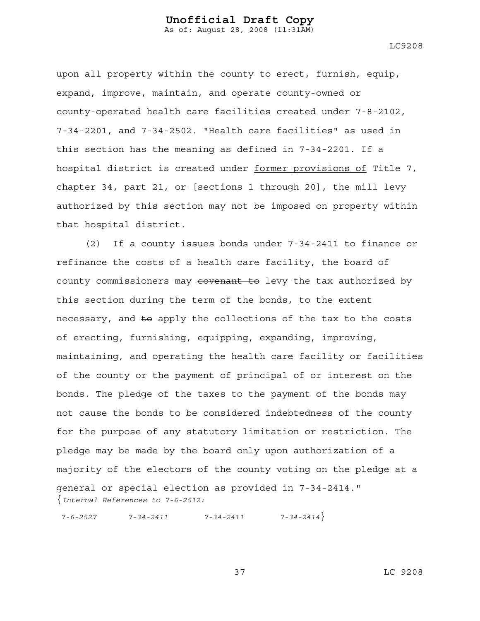LC9208

upon all property within the county to erect, furnish, equip, expand, improve, maintain, and operate county-owned or county-operated health care facilities created under 7-8-2102, 7-34-2201, and 7-34-2502. "Health care facilities" as used in this section has the meaning as defined in 7-34-2201. If a hospital district is created under former provisions of Title 7, chapter 34, part 21, or [sections 1 through 20], the mill levy authorized by this section may not be imposed on property within that hospital district.

(2) If a county issues bonds under 7-34-2411 to finance or refinance the costs of a health care facility, the board of county commissioners may eovenant to levy the tax authorized by this section during the term of the bonds, to the extent necessary, and to apply the collections of the tax to the costs of erecting, furnishing, equipping, expanding, improving, maintaining, and operating the health care facility or facilities of the county or the payment of principal of or interest on the bonds. The pledge of the taxes to the payment of the bonds may not cause the bonds to be considered indebtedness of the county for the purpose of any statutory limitation or restriction. The pledge may be made by the board only upon authorization of a majority of the electors of the county voting on the pledge at a general or special election as provided in 7-34-2414." {*Internal References to 7-6-2512:* 

 *7-6-2527 7-34-2411 7-34-2411 7-34-2414*}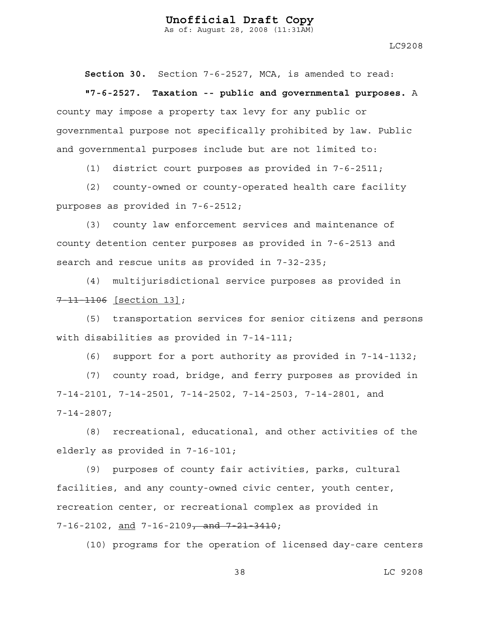As of: August 28, 2008 (11:31AM)

LC9208

**Section 30.** Section 7-6-2527, MCA, is amended to read:

**"7-6-2527. Taxation -- public and governmental purposes.** A county may impose a property tax levy for any public or governmental purpose not specifically prohibited by law. Public and governmental purposes include but are not limited to:

(1) district court purposes as provided in 7-6-2511;

(2) county-owned or county-operated health care facility purposes as provided in 7-6-2512;

(3) county law enforcement services and maintenance of county detention center purposes as provided in 7-6-2513 and search and rescue units as provided in 7-32-235;

(4) multijurisdictional service purposes as provided in 7 11 1106 [section 13];

(5) transportation services for senior citizens and persons with disabilities as provided in 7-14-111;

(6) support for a port authority as provided in 7-14-1132;

(7) county road, bridge, and ferry purposes as provided in 7-14-2101, 7-14-2501, 7-14-2502, 7-14-2503, 7-14-2801, and 7-14-2807;

(8) recreational, educational, and other activities of the elderly as provided in 7-16-101;

(9) purposes of county fair activities, parks, cultural facilities, and any county-owned civic center, youth center, recreation center, or recreational complex as provided in 7-16-2102, and 7-16-2109<del>, and 7-21-3410</del>;

(10) programs for the operation of licensed day-care centers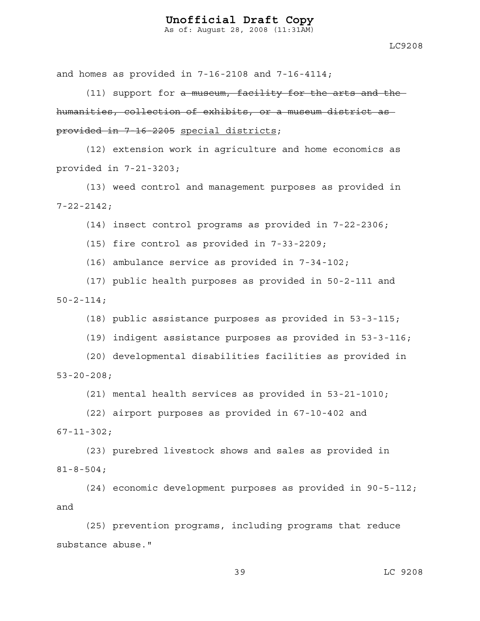As of: August 28, 2008 (11:31AM)

and homes as provided in 7-16-2108 and 7-16-4114;

(11) support for a museum, facility for the arts and the humanities, collection of exhibits, or a museum district as provided in 7-16-2205 special districts;

 (12) extension work in agriculture and home economics as provided in 7-21-3203;

(13) weed control and management purposes as provided in 7-22-2142;

(14) insect control programs as provided in 7-22-2306;

(15) fire control as provided in 7-33-2209;

(16) ambulance service as provided in 7-34-102;

(17) public health purposes as provided in 50-2-111 and  $50 - 2 - 114;$ 

(18) public assistance purposes as provided in 53-3-115;

(19) indigent assistance purposes as provided in 53-3-116;

(20) developmental disabilities facilities as provided in 53-20-208;

(21) mental health services as provided in 53-21-1010;

(22) airport purposes as provided in 67-10-402 and 67-11-302;

(23) purebred livestock shows and sales as provided in 81-8-504;

(24) economic development purposes as provided in 90-5-112; and

(25) prevention programs, including programs that reduce substance abuse."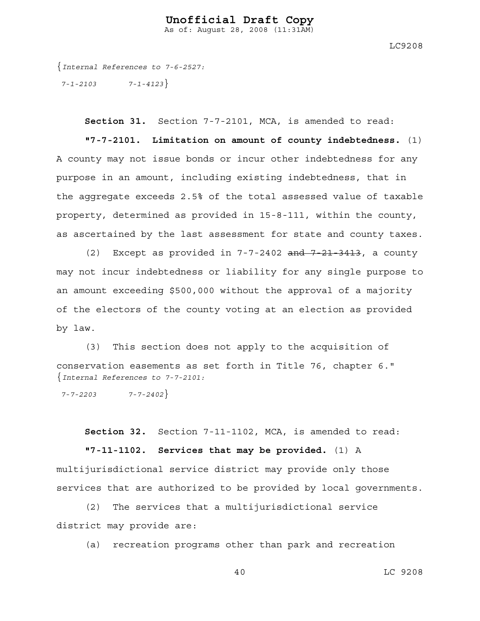LC9208

{*Internal References to 7-6-2527: 7-1-2103 7-1-4123*}

**Section 31.** Section 7-7-2101, MCA, is amended to read:

**"7-7-2101. Limitation on amount of county indebtedness.** (1) A county may not issue bonds or incur other indebtedness for any purpose in an amount, including existing indebtedness, that in the aggregate exceeds 2.5% of the total assessed value of taxable property, determined as provided in 15-8-111, within the county, as ascertained by the last assessment for state and county taxes.

(2) Except as provided in  $7-7-2402$  and  $7-21-3413$ , a county may not incur indebtedness or liability for any single purpose to an amount exceeding \$500,000 without the approval of a majority of the electors of the county voting at an election as provided by law.

(3) This section does not apply to the acquisition of conservation easements as set forth in Title 76, chapter 6." {*Internal References to 7-7-2101:* 

 *7-7-2203 7-7-2402*}

**Section 32.** Section 7-11-1102, MCA, is amended to read:

**"7-11-1102. Services that may be provided.** (1) A multijurisdictional service district may provide only those services that are authorized to be provided by local governments.

(2) The services that a multijurisdictional service district may provide are:

(a) recreation programs other than park and recreation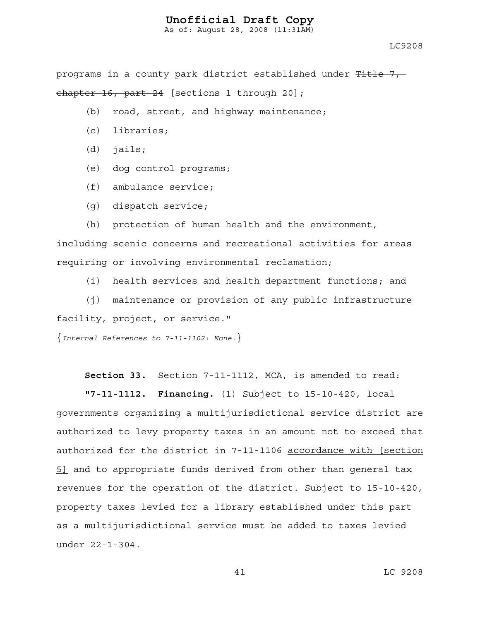As of: August 28, 2008 (11:31AM)

programs in a county park district established under Title 7, chapter 16, part 24 [sections 1 through 20];

- (b) road, street, and highway maintenance;
- (c) libraries;
- (d) jails;
- (e) dog control programs;
- (f) ambulance service;
- (g) dispatch service;
- (h) protection of human health and the environment,

including scenic concerns and recreational activities for areas requiring or involving environmental reclamation;

(i) health services and health department functions; and

(j) maintenance or provision of any public infrastructure facility, project, or service."

{*Internal References to 7-11-1102: None.*}

**Section 33.** Section 7-11-1112, MCA, is amended to read:

**"7-11-1112. Financing.** (1) Subject to 15-10-420, local governments organizing a multijurisdictional service district are authorized to levy property taxes in an amount not to exceed that authorized for the district in  $7-11-1106$  accordance with [section 5] and to appropriate funds derived from other than general tax revenues for the operation of the district. Subject to 15-10-420, property taxes levied for a library established under this part as a multijurisdictional service must be added to taxes levied under 22-1-304.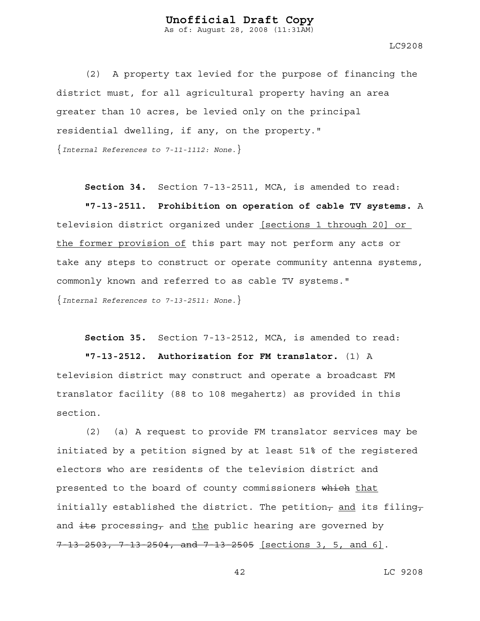As of: August 28, 2008 (11:31AM)

LC9208

(2) A property tax levied for the purpose of financing the district must, for all agricultural property having an area greater than 10 acres, be levied only on the principal residential dwelling, if any, on the property."

{*Internal References to 7-11-1112: None.*}

**Section 34.** Section 7-13-2511, MCA, is amended to read:

**"7-13-2511. Prohibition on operation of cable TV systems.** A television district organized under [sections 1 through 20] or the former provision of this part may not perform any acts or take any steps to construct or operate community antenna systems, commonly known and referred to as cable TV systems." {*Internal References to 7-13-2511: None.*}

**Section 35.** Section 7-13-2512, MCA, is amended to read:

**"7-13-2512. Authorization for FM translator.** (1) A television district may construct and operate a broadcast FM translator facility (88 to 108 megahertz) as provided in this section.

(2) (a) A request to provide FM translator services may be initiated by a petition signed by at least 51% of the registered electors who are residents of the television district and presented to the board of county commissioners which that initially established the district. The petition<sub>7</sub> and its filing<sub>7</sub> and  $\frac{1}{10}$  processing, and the public hearing are governed by 7-13-2503, 7-13-2504, and 7-13-2505 [sections 3, 5, and 6].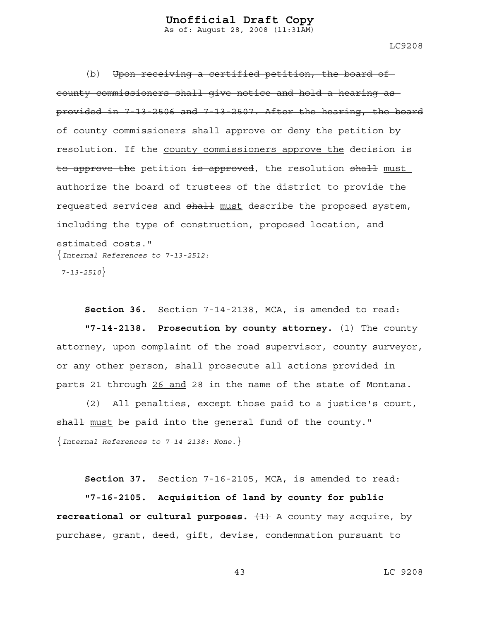As of: August 28, 2008 (11:31AM)

(b) Upon receiving a certified petition, the board of county commissioners shall give notice and hold a hearing as provided in 7-13-2506 and 7-13-2507. After the hearing, the board of county commissioners shall approve or deny the petition by resolution. If the county commissioners approve the decision is to approve the petition is approved, the resolution shall must authorize the board of trustees of the district to provide the requested services and shall must describe the proposed system, including the type of construction, proposed location, and estimated costs." {*Internal References to 7-13-2512:* 

 *7-13-2510*}

**Section 36.** Section 7-14-2138, MCA, is amended to read: **"7-14-2138. Prosecution by county attorney.** (1) The county attorney, upon complaint of the road supervisor, county surveyor, or any other person, shall prosecute all actions provided in parts 21 through 26 and 28 in the name of the state of Montana.

(2) All penalties, except those paid to a justice's court, shall must be paid into the general fund of the county." {*Internal References to 7-14-2138: None.*}

**Section 37.** Section 7-16-2105, MCA, is amended to read:

**"7-16-2105. Acquisition of land by county for public recreational or cultural purposes.**  $\left\{\frac{1}{1}\right\}$  A county may acquire, by purchase, grant, deed, gift, devise, condemnation pursuant to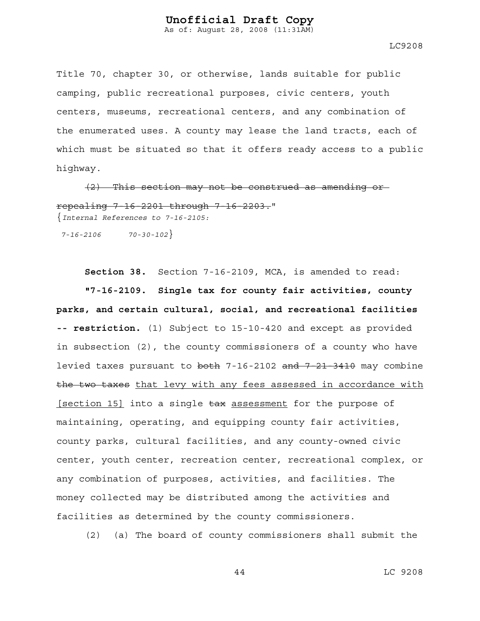As of: August 28, 2008 (11:31AM)

LC9208

Title 70, chapter 30, or otherwise, lands suitable for public camping, public recreational purposes, civic centers, youth centers, museums, recreational centers, and any combination of the enumerated uses. A county may lease the land tracts, each of which must be situated so that it offers ready access to a public highway.

(2) This section may not be construed as amending or repealing 7-16-2201 through 7-16-2203." {*Internal References to 7-16-2105:* 

 *7-16-2106 70-30-102*}

**Section 38.** Section 7-16-2109, MCA, is amended to read: **"7-16-2109. Single tax for county fair activities, county parks, and certain cultural, social, and recreational facilities -- restriction.** (1) Subject to 15-10-420 and except as provided in subsection (2), the county commissioners of a county who have levied taxes pursuant to both 7-16-2102 and 7-21-3410 may combine the two taxes that levy with any fees assessed in accordance with [section 15] into a single  $\frac{1}{2}$  assessment for the purpose of maintaining, operating, and equipping county fair activities, county parks, cultural facilities, and any county-owned civic center, youth center, recreation center, recreational complex, or any combination of purposes, activities, and facilities. The money collected may be distributed among the activities and facilities as determined by the county commissioners.

(2) (a) The board of county commissioners shall submit the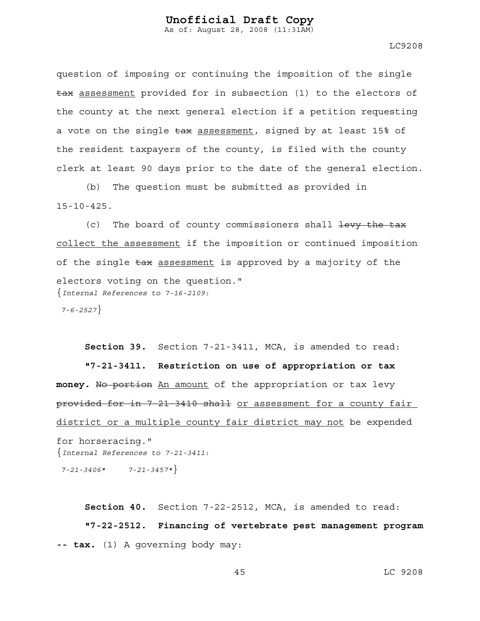LC9208

question of imposing or continuing the imposition of the single tax assessment provided for in subsection (1) to the electors of the county at the next general election if a petition requesting a vote on the single tax assessment, signed by at least 15% of the resident taxpayers of the county, is filed with the county clerk at least 90 days prior to the date of the general election.

(b) The question must be submitted as provided in 15-10-425.

(c) The board of county commissioners shall  $\frac{1}{1}$  to  $\frac{1}{1}$ collect the assessment if the imposition or continued imposition of the single tax assessment is approved by a majority of the electors voting on the question." {*Internal References to 7-16-2109: 7-6-2527*}

**Section 39.** Section 7-21-3411, MCA, is amended to read: **"7-21-3411. Restriction on use of appropriation or tax**  money. No portion An amount of the appropriation or tax levy provided for in 7-21-3410 shall or assessment for a county fair district or a multiple county fair district may not be expended for horseracing." {*Internal References to 7-21-3411: 7-21-3406\* 7-21-3457\**}

**Section 40.** Section 7-22-2512, MCA, is amended to read: **"7-22-2512. Financing of vertebrate pest management program -- tax.** (1) A governing body may: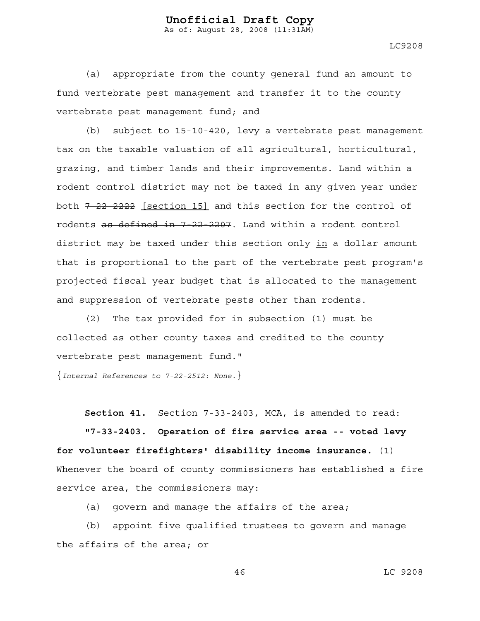LC9208

(a) appropriate from the county general fund an amount to fund vertebrate pest management and transfer it to the county vertebrate pest management fund; and

(b) subject to 15-10-420, levy a vertebrate pest management tax on the taxable valuation of all agricultural, horticultural, grazing, and timber lands and their improvements. Land within a rodent control district may not be taxed in any given year under both  $7-22-2222$  [section 15] and this section for the control of rodents as defined in 7-22-2207. Land within a rodent control district may be taxed under this section only in a dollar amount that is proportional to the part of the vertebrate pest program's projected fiscal year budget that is allocated to the management and suppression of vertebrate pests other than rodents.

(2) The tax provided for in subsection (1) must be collected as other county taxes and credited to the county vertebrate pest management fund."

{*Internal References to 7-22-2512: None.*}

**Section 41.** Section 7-33-2403, MCA, is amended to read:

**"7-33-2403. Operation of fire service area -- voted levy for volunteer firefighters' disability income insurance.** (1) Whenever the board of county commissioners has established a fire service area, the commissioners may:

(a) govern and manage the affairs of the area;

(b) appoint five qualified trustees to govern and manage the affairs of the area; or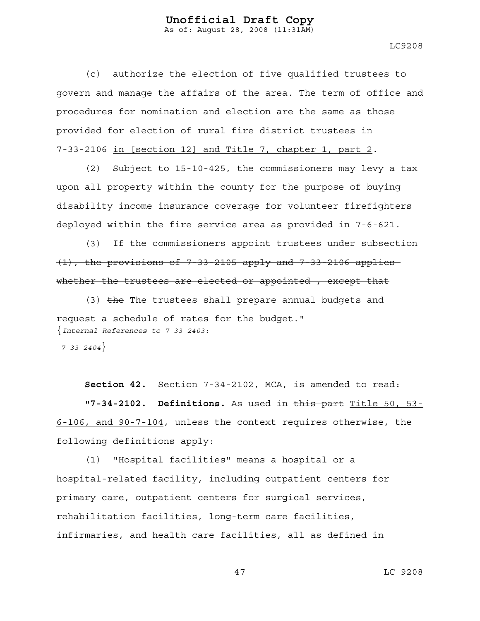As of: August 28, 2008 (11:31AM)

LC9208

(c) authorize the election of five qualified trustees to govern and manage the affairs of the area. The term of office and procedures for nomination and election are the same as those provided for election of rural fire district trustees in 7-33-2106 in [section 12] and Title 7, chapter 1, part 2.

(2) Subject to 15-10-425, the commissioners may levy a tax upon all property within the county for the purpose of buying disability income insurance coverage for volunteer firefighters deployed within the fire service area as provided in 7-6-621.

(3) If the commissioners appoint trustees under subsection  $(1)$ , the provisions of 7-33-2105 apply and 7-33-2106 applies whether the trustees are elected or appointed, except that

 $(3)$  the The trustees shall prepare annual budgets and request a schedule of rates for the budget." {*Internal References to 7-33-2403:* 

 *7-33-2404*}

**Section 42.** Section 7-34-2102, MCA, is amended to read:

**"7-34-2102. Definitions.** As used in this part Title 50, 53- 6-106, and 90-7-104, unless the context requires otherwise, the following definitions apply:

(1) "Hospital facilities" means a hospital or a hospital-related facility, including outpatient centers for primary care, outpatient centers for surgical services, rehabilitation facilities, long-term care facilities, infirmaries, and health care facilities, all as defined in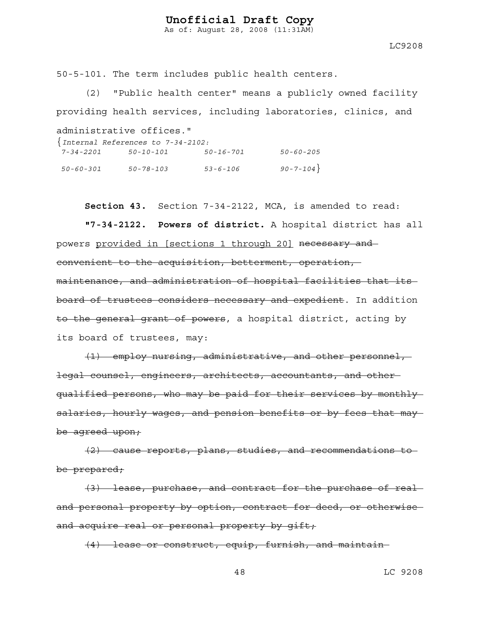As of: August 28, 2008 (11:31AM)

LC9208

50-5-101. The term includes public health centers.

(2) "Public health center" means a publicly owned facility providing health services, including laboratories, clinics, and

administrative offices."

| $\{Internal References to 7-34-2102:\}$ |           |                |                |  |  |
|-----------------------------------------|-----------|----------------|----------------|--|--|
| 7-34-2201                               | 50-10-101 | 50-16-701      | 50-60-205      |  |  |
| 50-60-301                               | 50-78-103 | $53 - 6 - 106$ | $90 - 7 - 104$ |  |  |

**Section 43.** Section 7-34-2122, MCA, is amended to read:

**"7-34-2122. Powers of district.** A hospital district has all powers provided in [sections 1 through 20] necessary and convenient to the acquisition, betterment, operation, maintenance, and administration of hospital facilities that its board of trustees considers necessary and expedient. In addition to the general grant of powers, a hospital district, acting by its board of trustees, may:

(1) employ nursing, administrative, and other personnel, legal counsel, engineers, architects, accountants, and other qualified persons, who may be paid for their services by monthly salaries, hourly wages, and pension benefits or by fees that may be agreed upon;

(2) cause reports, plans, studies, and recommendations to be prepared;

(3) lease, purchase, and contract for the purchase of real and personal property by option, contract for deed, or otherwise and acquire real or personal property by gift;

(4) lease or construct, equip, furnish, and maintain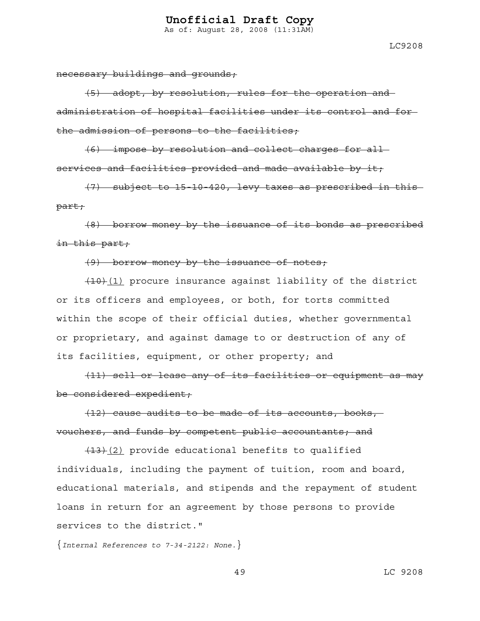As of: August 28, 2008 (11:31AM)

necessary buildings and grounds;

(5) adopt, by resolution, rules for the operation and administration of hospital facilities under its control and for the admission of persons to the facilities;

(6) impose by resolution and collect charges for all services and facilities provided and made available by it;

(7) subject to 15-10-420, levy taxes as prescribed in this part;

(8) borrow money by the issuance of its bonds as prescribed in this part;

#### (9) borrow money by the issuance of notes;

 $(10)(1)$  procure insurance against liability of the district or its officers and employees, or both, for torts committed within the scope of their official duties, whether governmental or proprietary, and against damage to or destruction of any of its facilities, equipment, or other property; and

(11) sell or lease any of its facilities or equipment as may be considered expedient;

 $(12)$  cause audits to be made of its accounts, books, vouchers, and funds by competent public accountants; and

 $\overline{(13)(2)}$  provide educational benefits to qualified individuals, including the payment of tuition, room and board, educational materials, and stipends and the repayment of student loans in return for an agreement by those persons to provide services to the district."

{*Internal References to 7-34-2122: None.*}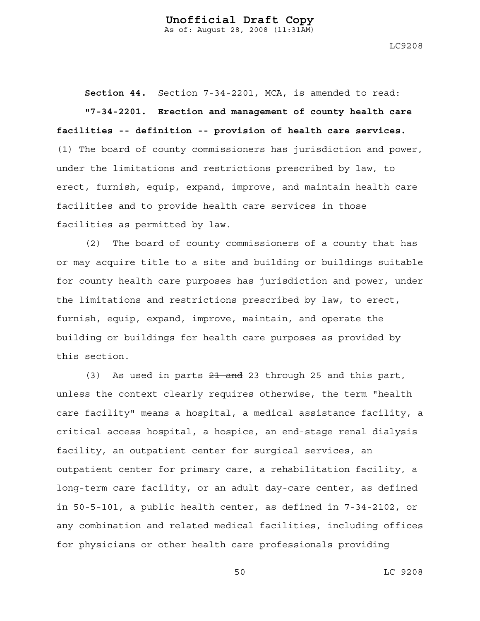LC9208

**Section 44.** Section 7-34-2201, MCA, is amended to read:

**"7-34-2201. Erection and management of county health care facilities -- definition -- provision of health care services.** (1) The board of county commissioners has jurisdiction and power, under the limitations and restrictions prescribed by law, to erect, furnish, equip, expand, improve, and maintain health care facilities and to provide health care services in those facilities as permitted by law.

(2) The board of county commissioners of a county that has or may acquire title to a site and building or buildings suitable for county health care purposes has jurisdiction and power, under the limitations and restrictions prescribed by law, to erect, furnish, equip, expand, improve, maintain, and operate the building or buildings for health care purposes as provided by this section.

(3) As used in parts  $21$  and 23 through 25 and this part, unless the context clearly requires otherwise, the term "health care facility" means a hospital, a medical assistance facility, a critical access hospital, a hospice, an end-stage renal dialysis facility, an outpatient center for surgical services, an outpatient center for primary care, a rehabilitation facility, a long-term care facility, or an adult day-care center, as defined in 50-5-101, a public health center, as defined in 7-34-2102, or any combination and related medical facilities, including offices for physicians or other health care professionals providing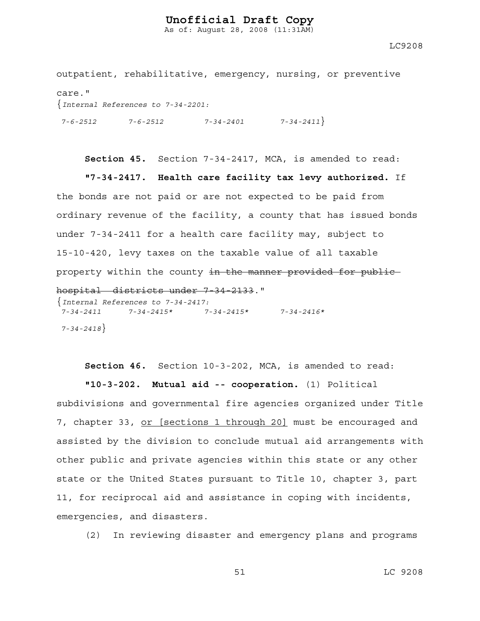As of: August 28, 2008 (11:31AM)

LC9208

outpatient, rehabilitative, emergency, nursing, or preventive care." {*Internal References to 7-34-2201: 7-6-2512 7-6-2512 7-34-2401 7-34-2411*}

**Section 45.** Section 7-34-2417, MCA, is amended to read: **"7-34-2417. Health care facility tax levy authorized.** If the bonds are not paid or are not expected to be paid from ordinary revenue of the facility, a county that has issued bonds under 7-34-2411 for a health care facility may, subject to 15-10-420, levy taxes on the taxable value of all taxable property within the county in the manner provided for public hospital districts under 7-34-2133." {*Internal References to 7-34-2417: 7-34-2411 7-34-2415\* 7-34-2415\* 7-34-2416\** 

 *7-34-2418*}

**Section 46.** Section 10-3-202, MCA, is amended to read:

**"10-3-202. Mutual aid -- cooperation.** (1) Political subdivisions and governmental fire agencies organized under Title 7, chapter 33, or [sections 1 through 20] must be encouraged and assisted by the division to conclude mutual aid arrangements with other public and private agencies within this state or any other state or the United States pursuant to Title 10, chapter 3, part 11, for reciprocal aid and assistance in coping with incidents, emergencies, and disasters.

(2) In reviewing disaster and emergency plans and programs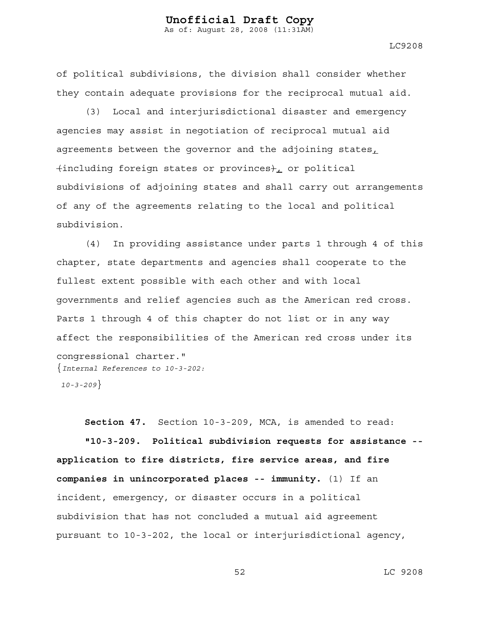LC9208

of political subdivisions, the division shall consider whether they contain adequate provisions for the reciprocal mutual aid.

(3) Local and interjurisdictional disaster and emergency agencies may assist in negotiation of reciprocal mutual aid agreements between the governor and the adjoining states,  $\{$ including foreign states or provinces $\}$ , or political subdivisions of adjoining states and shall carry out arrangements of any of the agreements relating to the local and political subdivision.

(4) In providing assistance under parts 1 through 4 of this chapter, state departments and agencies shall cooperate to the fullest extent possible with each other and with local governments and relief agencies such as the American red cross. Parts 1 through 4 of this chapter do not list or in any way affect the responsibilities of the American red cross under its congressional charter." {*Internal References to 10-3-202:* 

 *10-3-209*}

**Section 47.** Section 10-3-209, MCA, is amended to read: **"10-3-209. Political subdivision requests for assistance - application to fire districts, fire service areas, and fire companies in unincorporated places -- immunity.** (1) If an incident, emergency, or disaster occurs in a political subdivision that has not concluded a mutual aid agreement pursuant to 10-3-202, the local or interjurisdictional agency,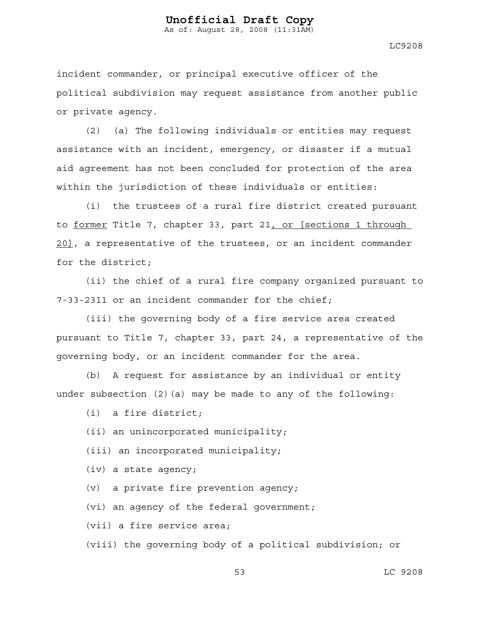As of: August 28, 2008 (11:31AM)

LC9208

incident commander, or principal executive officer of the political subdivision may request assistance from another public or private agency.

(2) (a) The following individuals or entities may request assistance with an incident, emergency, or disaster if a mutual aid agreement has not been concluded for protection of the area within the jurisdiction of these individuals or entities:

(i) the trustees of a rural fire district created pursuant to former Title 7, chapter 33, part 21, or [sections 1 through 20], a representative of the trustees, or an incident commander for the district;

(ii) the chief of a rural fire company organized pursuant to 7-33-2311 or an incident commander for the chief;

(iii) the governing body of a fire service area created pursuant to Title 7, chapter 33, part 24, a representative of the governing body, or an incident commander for the area.

(b) A request for assistance by an individual or entity under subsection  $(2)(a)$  may be made to any of the following:

(i) a fire district;

(ii) an unincorporated municipality;

(iii) an incorporated municipality;

(iv) a state agency;

(v) a private fire prevention agency;

(vi) an agency of the federal government;

(vii) a fire service area;

(viii) the governing body of a political subdivision; or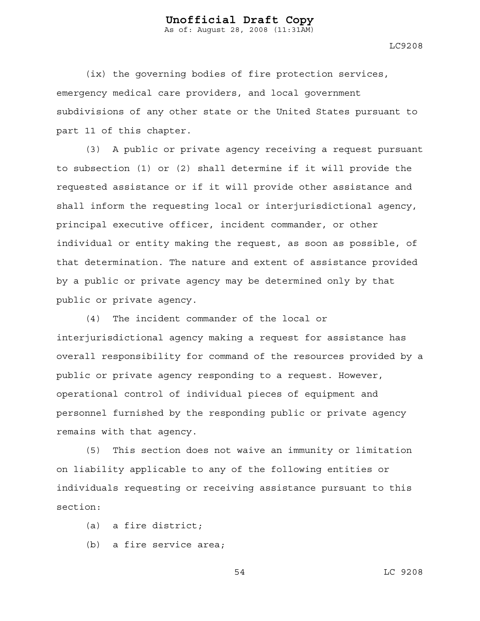As of: August 28, 2008 (11:31AM)

LC9208

(ix) the governing bodies of fire protection services, emergency medical care providers, and local government subdivisions of any other state or the United States pursuant to part 11 of this chapter.

(3) A public or private agency receiving a request pursuant to subsection (1) or (2) shall determine if it will provide the requested assistance or if it will provide other assistance and shall inform the requesting local or interjurisdictional agency, principal executive officer, incident commander, or other individual or entity making the request, as soon as possible, of that determination. The nature and extent of assistance provided by a public or private agency may be determined only by that public or private agency.

(4) The incident commander of the local or interjurisdictional agency making a request for assistance has overall responsibility for command of the resources provided by a public or private agency responding to a request. However, operational control of individual pieces of equipment and personnel furnished by the responding public or private agency remains with that agency.

(5) This section does not waive an immunity or limitation on liability applicable to any of the following entities or individuals requesting or receiving assistance pursuant to this section:

- (a) a fire district;
- (b) a fire service area;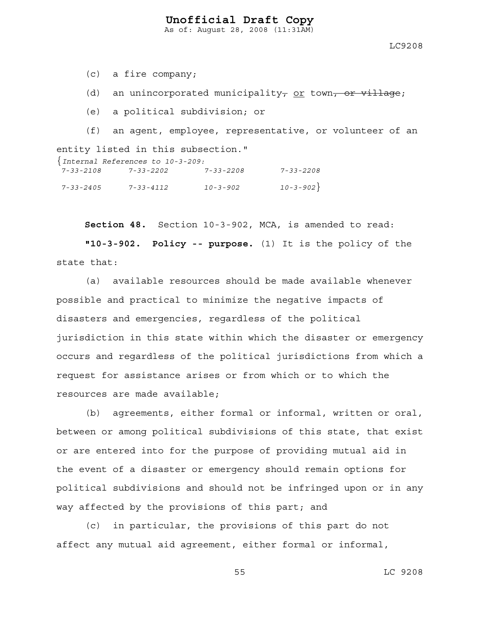As of: August 28, 2008 (11:31AM)

LC9208

(c) a fire company;

(d) an unincorporated municipality, or town, or village;

(e) a political subdivision; or

(f) an agent, employee, representative, or volunteer of an entity listed in this subsection." {*Internal References to 10-3-209:* 

| lucernal References to 10-3-209: |                 |                 |                |  |  |  |
|----------------------------------|-----------------|-----------------|----------------|--|--|--|
| 7-33-2108                        | 7-33-2202       | $7 - 33 - 2208$ | 7-33-2208      |  |  |  |
| 7-33-2405                        | $7 - 33 - 4112$ | $10 - 3 - 902$  | $10 - 3 - 902$ |  |  |  |

**Section 48.** Section 10-3-902, MCA, is amended to read:

**"10-3-902. Policy -- purpose.** (1) It is the policy of the state that:

(a) available resources should be made available whenever possible and practical to minimize the negative impacts of disasters and emergencies, regardless of the political jurisdiction in this state within which the disaster or emergency occurs and regardless of the political jurisdictions from which a request for assistance arises or from which or to which the resources are made available;

(b) agreements, either formal or informal, written or oral, between or among political subdivisions of this state, that exist or are entered into for the purpose of providing mutual aid in the event of a disaster or emergency should remain options for political subdivisions and should not be infringed upon or in any way affected by the provisions of this part; and

(c) in particular, the provisions of this part do not affect any mutual aid agreement, either formal or informal,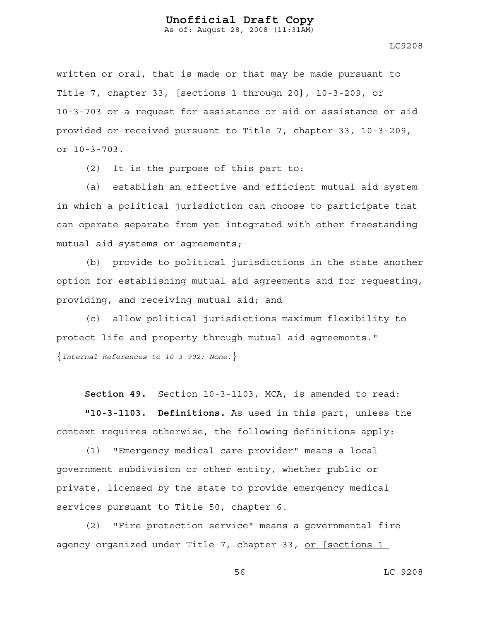As of: August 28, 2008 (11:31AM)

LC9208

written or oral, that is made or that may be made pursuant to Title 7, chapter 33, [sections 1 through 20], 10-3-209, or 10-3-703 or a request for assistance or aid or assistance or aid provided or received pursuant to Title 7, chapter 33, 10-3-209, or 10-3-703.

(2) It is the purpose of this part to:

(a) establish an effective and efficient mutual aid system in which a political jurisdiction can choose to participate that can operate separate from yet integrated with other freestanding mutual aid systems or agreements;

(b) provide to political jurisdictions in the state another option for establishing mutual aid agreements and for requesting, providing, and receiving mutual aid; and

(c) allow political jurisdictions maximum flexibility to protect life and property through mutual aid agreements." {*Internal References to 10-3-902: None.*}

**Section 49.** Section 10-3-1103, MCA, is amended to read:

**"10-3-1103. Definitions.** As used in this part, unless the context requires otherwise, the following definitions apply:

(1) "Emergency medical care provider" means a local government subdivision or other entity, whether public or private, licensed by the state to provide emergency medical services pursuant to Title 50, chapter 6.

(2) "Fire protection service" means a governmental fire agency organized under Title 7, chapter 33, or [sections 1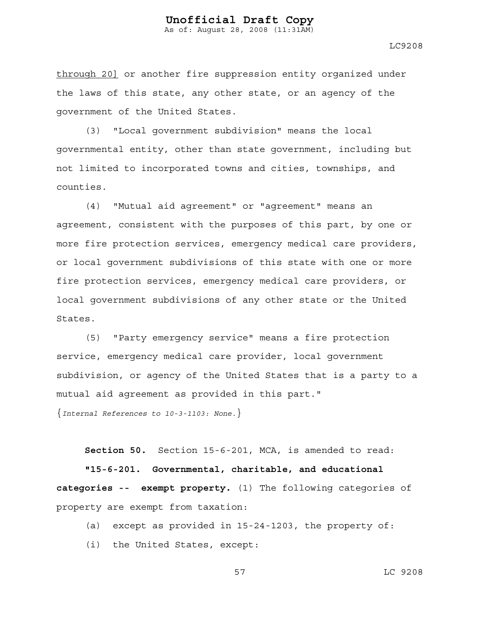As of: August 28, 2008 (11:31AM)

LC9208

through 20] or another fire suppression entity organized under the laws of this state, any other state, or an agency of the government of the United States.

(3) "Local government subdivision" means the local governmental entity, other than state government, including but not limited to incorporated towns and cities, townships, and counties.

(4) "Mutual aid agreement" or "agreement" means an agreement, consistent with the purposes of this part, by one or more fire protection services, emergency medical care providers, or local government subdivisions of this state with one or more fire protection services, emergency medical care providers, or local government subdivisions of any other state or the United States.

(5) "Party emergency service" means a fire protection service, emergency medical care provider, local government subdivision, or agency of the United States that is a party to a mutual aid agreement as provided in this part."

{*Internal References to 10-3-1103: None.*}

**Section 50.** Section 15-6-201, MCA, is amended to read:

**"15-6-201. Governmental, charitable, and educational categories -- exempt property.** (1) The following categories of property are exempt from taxation:

- (a) except as provided in 15-24-1203, the property of:
- (i) the United States, except: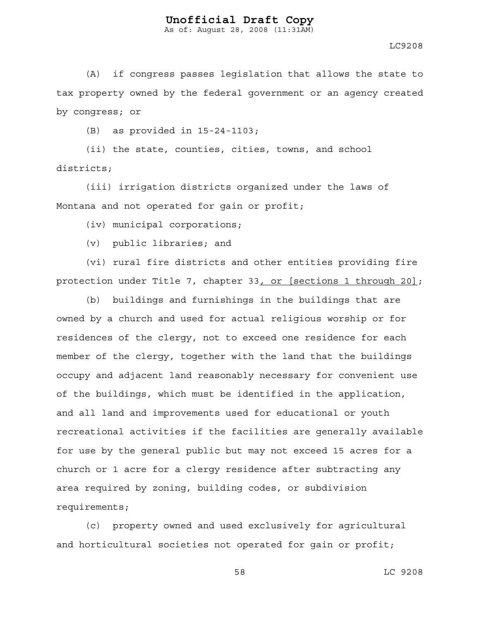As of: August 28, 2008 (11:31AM)

LC9208

(A) if congress passes legislation that allows the state to tax property owned by the federal government or an agency created by congress; or

(B) as provided in 15-24-1103;

(ii) the state, counties, cities, towns, and school districts;

(iii) irrigation districts organized under the laws of Montana and not operated for gain or profit;

(iv) municipal corporations;

(v) public libraries; and

(vi) rural fire districts and other entities providing fire protection under Title 7, chapter 33, or [sections 1 through 20];

(b) buildings and furnishings in the buildings that are owned by a church and used for actual religious worship or for residences of the clergy, not to exceed one residence for each member of the clergy, together with the land that the buildings occupy and adjacent land reasonably necessary for convenient use of the buildings, which must be identified in the application, and all land and improvements used for educational or youth recreational activities if the facilities are generally available for use by the general public but may not exceed 15 acres for a church or 1 acre for a clergy residence after subtracting any area required by zoning, building codes, or subdivision requirements;

(c) property owned and used exclusively for agricultural and horticultural societies not operated for gain or profit;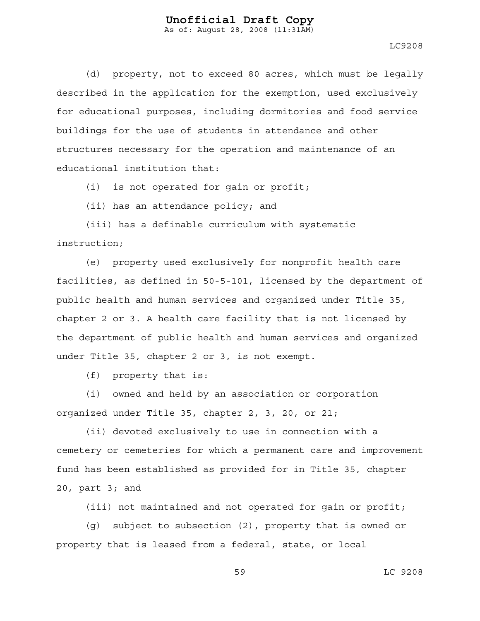LC9208

(d) property, not to exceed 80 acres, which must be legally described in the application for the exemption, used exclusively for educational purposes, including dormitories and food service buildings for the use of students in attendance and other structures necessary for the operation and maintenance of an educational institution that:

(i) is not operated for gain or profit;

(ii) has an attendance policy; and

(iii) has a definable curriculum with systematic instruction;

(e) property used exclusively for nonprofit health care facilities, as defined in 50-5-101, licensed by the department of public health and human services and organized under Title 35, chapter 2 or 3. A health care facility that is not licensed by the department of public health and human services and organized under Title 35, chapter 2 or 3, is not exempt.

(f) property that is:

(i) owned and held by an association or corporation organized under Title 35, chapter 2, 3, 20, or 21;

(ii) devoted exclusively to use in connection with a cemetery or cemeteries for which a permanent care and improvement fund has been established as provided for in Title 35, chapter 20, part 3; and

(iii) not maintained and not operated for gain or profit;

(g) subject to subsection (2), property that is owned or property that is leased from a federal, state, or local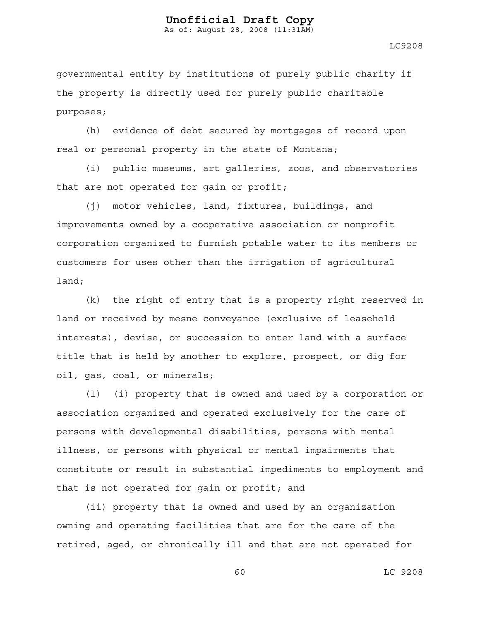As of: August 28, 2008 (11:31AM)

LC9208

governmental entity by institutions of purely public charity if the property is directly used for purely public charitable purposes;

(h) evidence of debt secured by mortgages of record upon real or personal property in the state of Montana;

(i) public museums, art galleries, zoos, and observatories that are not operated for gain or profit;

(j) motor vehicles, land, fixtures, buildings, and improvements owned by a cooperative association or nonprofit corporation organized to furnish potable water to its members or customers for uses other than the irrigation of agricultural land;

(k) the right of entry that is a property right reserved in land or received by mesne conveyance (exclusive of leasehold interests), devise, or succession to enter land with a surface title that is held by another to explore, prospect, or dig for oil, gas, coal, or minerals;

(l) (i) property that is owned and used by a corporation or association organized and operated exclusively for the care of persons with developmental disabilities, persons with mental illness, or persons with physical or mental impairments that constitute or result in substantial impediments to employment and that is not operated for gain or profit; and

(ii) property that is owned and used by an organization owning and operating facilities that are for the care of the retired, aged, or chronically ill and that are not operated for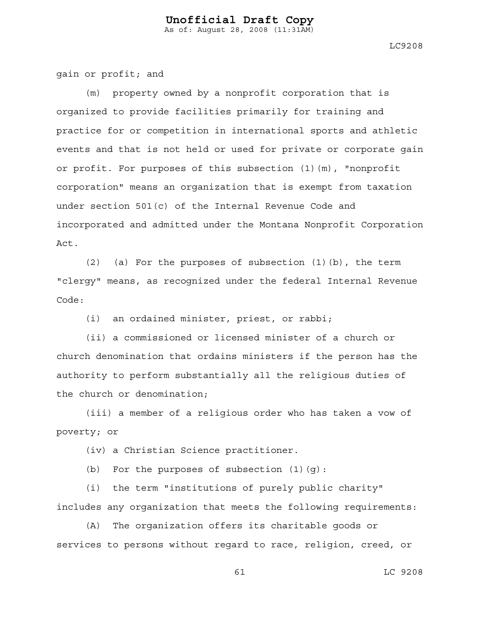LC9208

gain or profit; and

property owned by a nonprofit corporation that is organized to provide facilities primarily for training and practice for or competition in international sports and athletic events and that is not held or used for private or corporate gain or profit. For purposes of this subsection (1)(m), "nonprofit corporation" means an organization that is exempt from taxation under section 501(c) of the Internal Revenue Code and incorporated and admitted under the Montana Nonprofit Corporation Act.

(2) (a) For the purposes of subsection (1)(b), the term "clergy" means, as recognized under the federal Internal Revenue Code:

(i) an ordained minister, priest, or rabbi;

(ii) a commissioned or licensed minister of a church or church denomination that ordains ministers if the person has the authority to perform substantially all the religious duties of the church or denomination;

(iii) a member of a religious order who has taken a vow of poverty; or

(iv) a Christian Science practitioner.

(b) For the purposes of subsection (1)(g):

(i) the term "institutions of purely public charity" includes any organization that meets the following requirements:

(A) The organization offers its charitable goods or services to persons without regard to race, religion, creed, or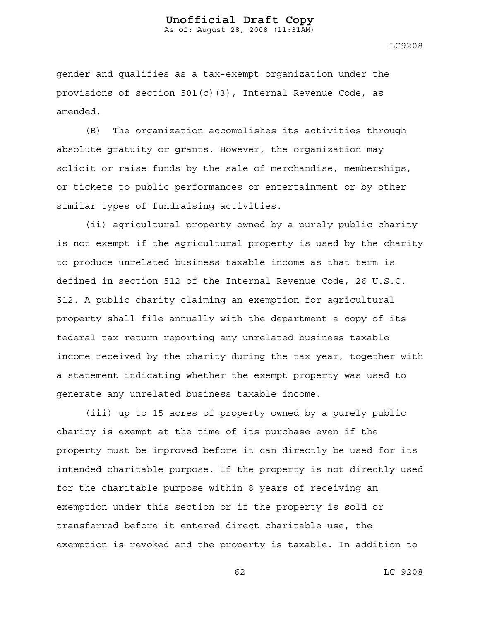LC9208

gender and qualifies as a tax-exempt organization under the provisions of section  $501(c)(3)$ , Internal Revenue Code, as amended.

(B) The organization accomplishes its activities through absolute gratuity or grants. However, the organization may solicit or raise funds by the sale of merchandise, memberships, or tickets to public performances or entertainment or by other similar types of fundraising activities.

(ii) agricultural property owned by a purely public charity is not exempt if the agricultural property is used by the charity to produce unrelated business taxable income as that term is defined in section 512 of the Internal Revenue Code, 26 U.S.C. 512. A public charity claiming an exemption for agricultural property shall file annually with the department a copy of its federal tax return reporting any unrelated business taxable income received by the charity during the tax year, together with a statement indicating whether the exempt property was used to generate any unrelated business taxable income.

(iii) up to 15 acres of property owned by a purely public charity is exempt at the time of its purchase even if the property must be improved before it can directly be used for its intended charitable purpose. If the property is not directly used for the charitable purpose within 8 years of receiving an exemption under this section or if the property is sold or transferred before it entered direct charitable use, the exemption is revoked and the property is taxable. In addition to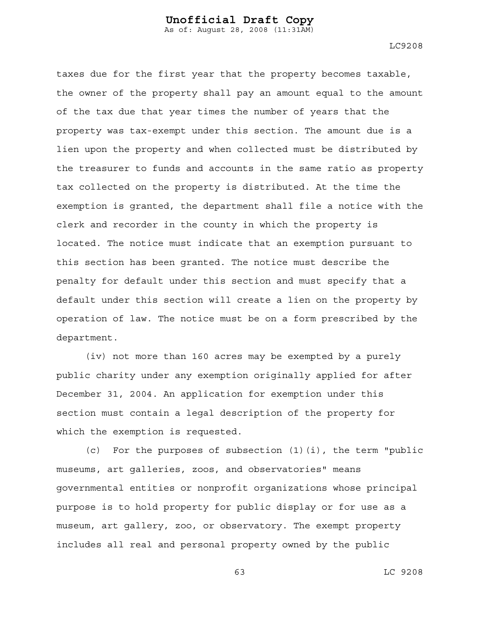LC9208

taxes due for the first year that the property becomes taxable, the owner of the property shall pay an amount equal to the amount of the tax due that year times the number of years that the property was tax-exempt under this section. The amount due is a lien upon the property and when collected must be distributed by the treasurer to funds and accounts in the same ratio as property tax collected on the property is distributed. At the time the exemption is granted, the department shall file a notice with the clerk and recorder in the county in which the property is located. The notice must indicate that an exemption pursuant to this section has been granted. The notice must describe the penalty for default under this section and must specify that a default under this section will create a lien on the property by operation of law. The notice must be on a form prescribed by the

department.

(iv) not more than 160 acres may be exempted by a purely public charity under any exemption originally applied for after December 31, 2004. An application for exemption under this section must contain a legal description of the property for which the exemption is requested.

(c) For the purposes of subsection (1)(i), the term "public museums, art galleries, zoos, and observatories" means governmental entities or nonprofit organizations whose principal purpose is to hold property for public display or for use as a museum, art gallery, zoo, or observatory. The exempt property includes all real and personal property owned by the public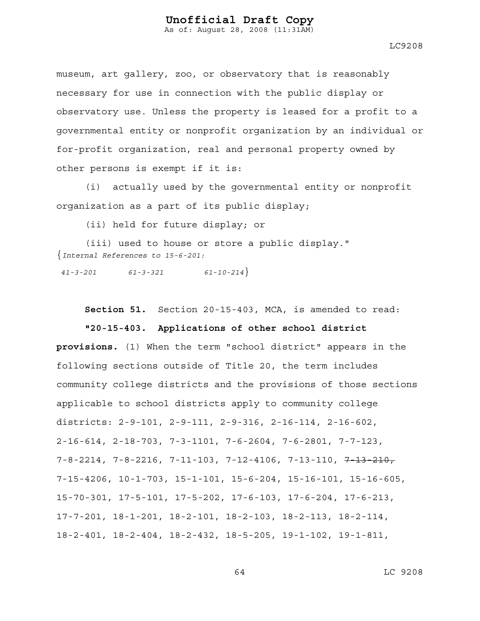As of: August 28, 2008 (11:31AM)

LC9208

museum, art gallery, zoo, or observatory that is reasonably necessary for use in connection with the public display or observatory use. Unless the property is leased for a profit to a governmental entity or nonprofit organization by an individual or for-profit organization, real and personal property owned by other persons is exempt if it is:

(i) actually used by the governmental entity or nonprofit organization as a part of its public display;

(ii) held for future display; or

(iii) used to house or store a public display." {*Internal References to 15-6-201:* 

 *41-3-201 61-3-321 61-10-214*}

**Section 51.** Section 20-15-403, MCA, is amended to read:

**"20-15-403. Applications of other school district** 

**provisions.** (1) When the term "school district" appears in the following sections outside of Title 20, the term includes community college districts and the provisions of those sections applicable to school districts apply to community college districts: 2-9-101, 2-9-111, 2-9-316, 2-16-114, 2-16-602, 2-16-614, 2-18-703, 7-3-1101, 7-6-2604, 7-6-2801, 7-7-123,  $7-8-2214$ ,  $7-8-2216$ ,  $7-11-103$ ,  $7-12-4106$ ,  $7-13-110$ ,  $7\overline{+13-210}$ , 7-15-4206, 10-1-703, 15-1-101, 15-6-204, 15-16-101, 15-16-605, 15-70-301, 17-5-101, 17-5-202, 17-6-103, 17-6-204, 17-6-213, 17-7-201, 18-1-201, 18-2-101, 18-2-103, 18-2-113, 18-2-114, 18-2-401, 18-2-404, 18-2-432, 18-5-205, 19-1-102, 19-1-811,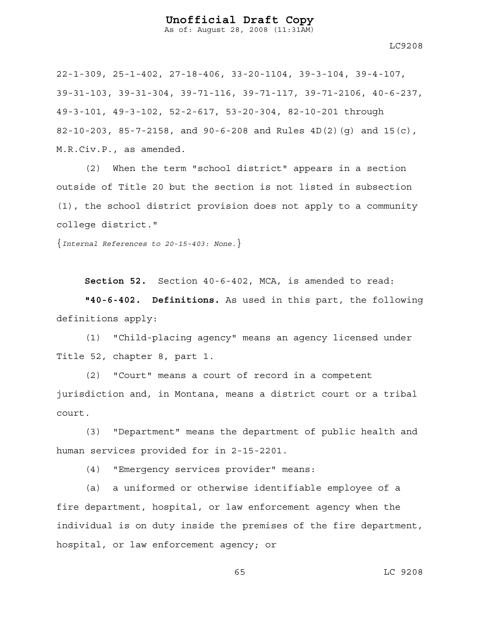As of: August 28, 2008 (11:31AM)

22-1-309, 25-1-402, 27-18-406, 33-20-1104, 39-3-104, 39-4-107, 39-31-103, 39-31-304, 39-71-116, 39-71-117, 39-71-2106, 40-6-237, 49-3-101, 49-3-102, 52-2-617, 53-20-304, 82-10-201 through 82-10-203, 85-7-2158, and 90-6-208 and Rules 4D(2)(g) and 15(c), M.R.Civ.P., as amended.

(2) When the term "school district" appears in a section outside of Title 20 but the section is not listed in subsection (1), the school district provision does not apply to a community college district."

{*Internal References to 20-15-403: None.*}

**Section 52.** Section 40-6-402, MCA, is amended to read:

**"40-6-402. Definitions.** As used in this part, the following definitions apply:

(1) "Child-placing agency" means an agency licensed under Title 52, chapter 8, part 1.

(2) "Court" means a court of record in a competent jurisdiction and, in Montana, means a district court or a tribal court.

(3) "Department" means the department of public health and human services provided for in 2-15-2201.

(4) "Emergency services provider" means:

(a) a uniformed or otherwise identifiable employee of a fire department, hospital, or law enforcement agency when the individual is on duty inside the premises of the fire department, hospital, or law enforcement agency; or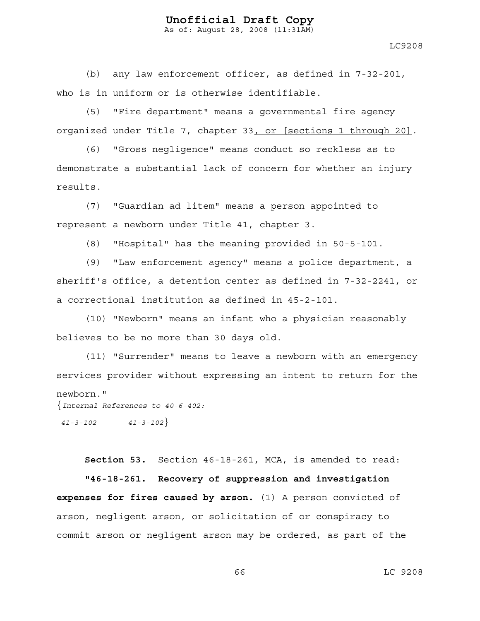As of: August 28, 2008 (11:31AM)

(b) any law enforcement officer, as defined in 7-32-201, who is in uniform or is otherwise identifiable.

(5) "Fire department" means a governmental fire agency organized under Title 7, chapter 33, or [sections 1 through 20].

(6) "Gross negligence" means conduct so reckless as to demonstrate a substantial lack of concern for whether an injury results.

(7) "Guardian ad litem" means a person appointed to represent a newborn under Title 41, chapter 3.

(8) "Hospital" has the meaning provided in 50-5-101.

(9) "Law enforcement agency" means a police department, a sheriff's office, a detention center as defined in 7-32-2241, or a correctional institution as defined in 45-2-101.

(10) "Newborn" means an infant who a physician reasonably believes to be no more than 30 days old.

(11) "Surrender" means to leave a newborn with an emergency services provider without expressing an intent to return for the newborn."

{*Internal References to 40-6-402:* 

 *41-3-102 41-3-102*}

**Section 53.** Section 46-18-261, MCA, is amended to read:

**"46-18-261. Recovery of suppression and investigation expenses for fires caused by arson.** (1) A person convicted of arson, negligent arson, or solicitation of or conspiracy to commit arson or negligent arson may be ordered, as part of the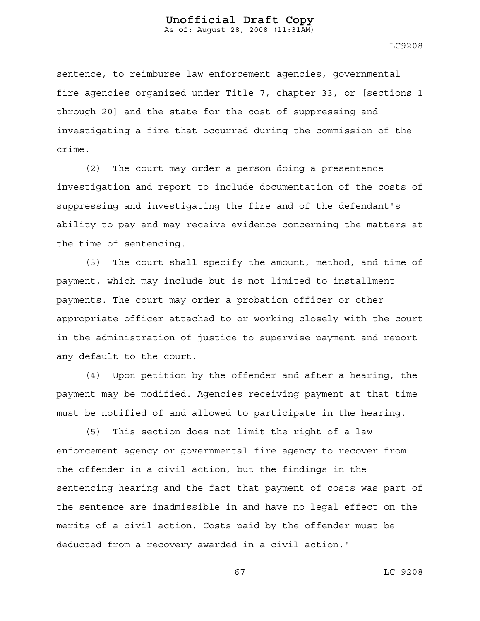LC9208

sentence, to reimburse law enforcement agencies, governmental fire agencies organized under Title 7, chapter 33, or [sections 1 through 20] and the state for the cost of suppressing and investigating a fire that occurred during the commission of the crime.

(2) The court may order a person doing a presentence investigation and report to include documentation of the costs of suppressing and investigating the fire and of the defendant's ability to pay and may receive evidence concerning the matters at the time of sentencing.

(3) The court shall specify the amount, method, and time of payment, which may include but is not limited to installment payments. The court may order a probation officer or other appropriate officer attached to or working closely with the court in the administration of justice to supervise payment and report any default to the court.

(4) Upon petition by the offender and after a hearing, the payment may be modified. Agencies receiving payment at that time must be notified of and allowed to participate in the hearing.

(5) This section does not limit the right of a law enforcement agency or governmental fire agency to recover from the offender in a civil action, but the findings in the sentencing hearing and the fact that payment of costs was part of the sentence are inadmissible in and have no legal effect on the merits of a civil action. Costs paid by the offender must be deducted from a recovery awarded in a civil action."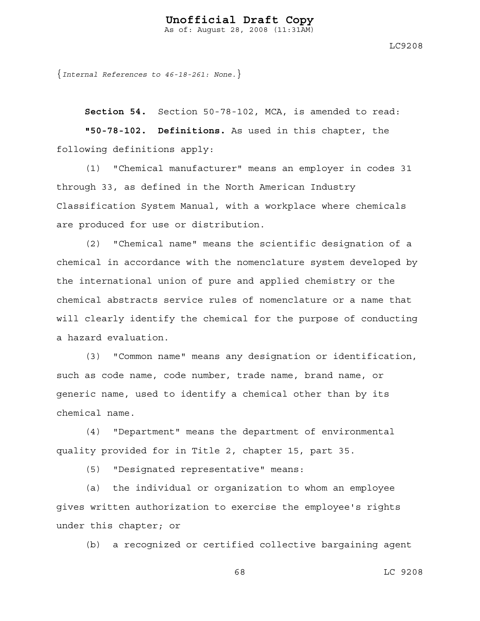LC9208

{*Internal References to 46-18-261: None.*}

**Section 54.** Section 50-78-102, MCA, is amended to read:

**"50-78-102. Definitions.** As used in this chapter, the following definitions apply:

(1) "Chemical manufacturer" means an employer in codes 31 through 33, as defined in the North American Industry Classification System Manual, with a workplace where chemicals are produced for use or distribution.

(2) "Chemical name" means the scientific designation of a chemical in accordance with the nomenclature system developed by the international union of pure and applied chemistry or the chemical abstracts service rules of nomenclature or a name that will clearly identify the chemical for the purpose of conducting a hazard evaluation.

(3) "Common name" means any designation or identification, such as code name, code number, trade name, brand name, or generic name, used to identify a chemical other than by its chemical name.

(4) "Department" means the department of environmental quality provided for in Title 2, chapter 15, part 35.

(5) "Designated representative" means:

(a) the individual or organization to whom an employee gives written authorization to exercise the employee's rights under this chapter; or

(b) a recognized or certified collective bargaining agent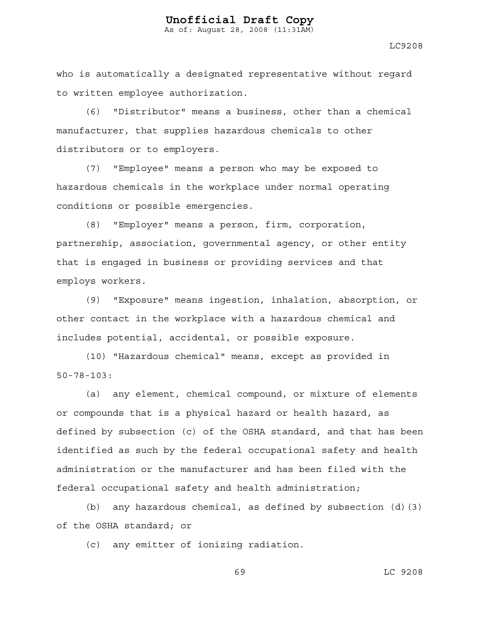LC9208

who is automatically a designated representative without regard to written employee authorization.

(6) "Distributor" means a business, other than a chemical manufacturer, that supplies hazardous chemicals to other distributors or to employers.

(7) "Employee" means a person who may be exposed to hazardous chemicals in the workplace under normal operating conditions or possible emergencies.

(8) "Employer" means a person, firm, corporation, partnership, association, governmental agency, or other entity that is engaged in business or providing services and that employs workers.

(9) "Exposure" means ingestion, inhalation, absorption, or other contact in the workplace with a hazardous chemical and includes potential, accidental, or possible exposure.

(10) "Hazardous chemical" means, except as provided in 50-78-103:

(a) any element, chemical compound, or mixture of elements or compounds that is a physical hazard or health hazard, as defined by subsection (c) of the OSHA standard, and that has been identified as such by the federal occupational safety and health administration or the manufacturer and has been filed with the federal occupational safety and health administration;

(b) any hazardous chemical, as defined by subsection  $(d)$  (3) of the OSHA standard; or

(c) any emitter of ionizing radiation.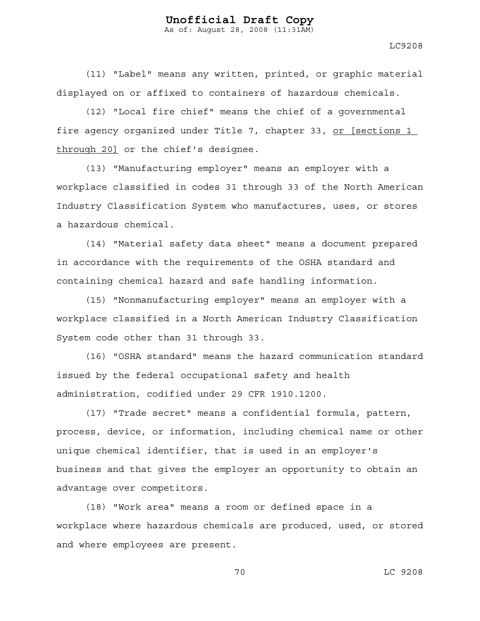LC9208

(11) "Label" means any written, printed, or graphic material displayed on or affixed to containers of hazardous chemicals.

(12) "Local fire chief" means the chief of a governmental fire agency organized under Title 7, chapter 33, or [sections 1 through 20] or the chief's designee.

(13) "Manufacturing employer" means an employer with a workplace classified in codes 31 through 33 of the North American Industry Classification System who manufactures, uses, or stores a hazardous chemical.

(14) "Material safety data sheet" means a document prepared in accordance with the requirements of the OSHA standard and containing chemical hazard and safe handling information.

(15) "Nonmanufacturing employer" means an employer with a workplace classified in a North American Industry Classification System code other than 31 through 33.

(16) "OSHA standard" means the hazard communication standard issued by the federal occupational safety and health administration, codified under 29 CFR 1910.1200.

(17) "Trade secret" means a confidential formula, pattern, process, device, or information, including chemical name or other unique chemical identifier, that is used in an employer's business and that gives the employer an opportunity to obtain an advantage over competitors.

(18) "Work area" means a room or defined space in a workplace where hazardous chemicals are produced, used, or stored and where employees are present.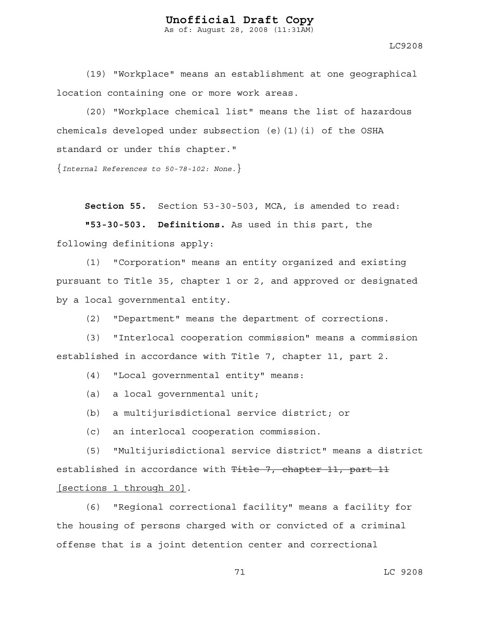LC9208

(19) "Workplace" means an establishment at one geographical location containing one or more work areas.

(20) "Workplace chemical list" means the list of hazardous chemicals developed under subsection (e)(1)(i) of the OSHA standard or under this chapter."

{*Internal References to 50-78-102: None.*}

**Section 55.** Section 53-30-503, MCA, is amended to read:

**"53-30-503. Definitions.** As used in this part, the following definitions apply:

(1) "Corporation" means an entity organized and existing pursuant to Title 35, chapter 1 or 2, and approved or designated by a local governmental entity.

(2) "Department" means the department of corrections.

(3) "Interlocal cooperation commission" means a commission established in accordance with Title 7, chapter 11, part 2.

(4) "Local governmental entity" means:

(a) a local governmental unit;

(b) a multijurisdictional service district; or

(c) an interlocal cooperation commission.

(5) "Multijurisdictional service district" means a district established in accordance with Title 7, chapter 11, part 11 [sections 1 through 20].

(6) "Regional correctional facility" means a facility for the housing of persons charged with or convicted of a criminal offense that is a joint detention center and correctional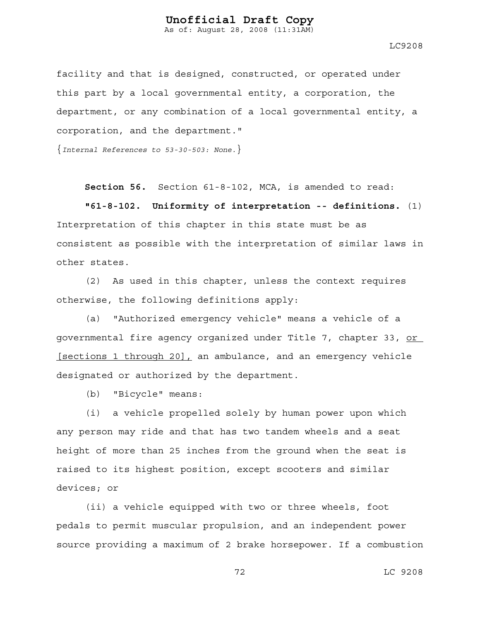As of: August 28, 2008 (11:31AM)

LC9208

facility and that is designed, constructed, or operated under this part by a local governmental entity, a corporation, the department, or any combination of a local governmental entity, a corporation, and the department."

{*Internal References to 53-30-503: None.*}

**Section 56.** Section 61-8-102, MCA, is amended to read:

**"61-8-102. Uniformity of interpretation -- definitions.** (1) Interpretation of this chapter in this state must be as consistent as possible with the interpretation of similar laws in other states.

(2) As used in this chapter, unless the context requires otherwise, the following definitions apply:

(a) "Authorized emergency vehicle" means a vehicle of a governmental fire agency organized under Title 7, chapter 33, or [sections 1 through 20], an ambulance, and an emergency vehicle designated or authorized by the department.

(b) "Bicycle" means:

(i) a vehicle propelled solely by human power upon which any person may ride and that has two tandem wheels and a seat height of more than 25 inches from the ground when the seat is raised to its highest position, except scooters and similar devices; or

(ii) a vehicle equipped with two or three wheels, foot pedals to permit muscular propulsion, and an independent power source providing a maximum of 2 brake horsepower. If a combustion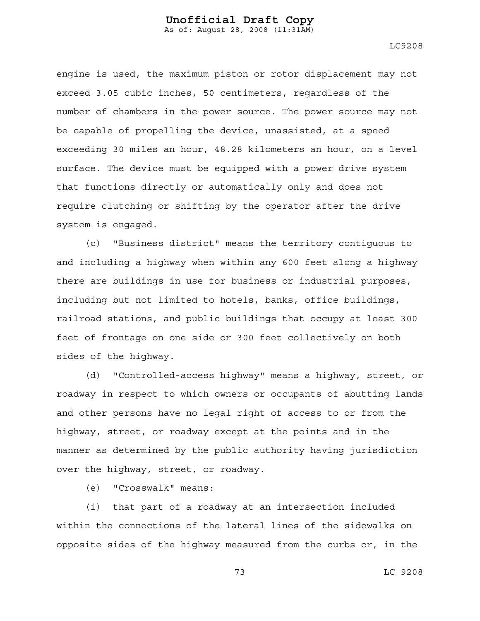LC9208

engine is used, the maximum piston or rotor displacement may not exceed 3.05 cubic inches, 50 centimeters, regardless of the number of chambers in the power source. The power source may not be capable of propelling the device, unassisted, at a speed exceeding 30 miles an hour, 48.28 kilometers an hour, on a level surface. The device must be equipped with a power drive system that functions directly or automatically only and does not require clutching or shifting by the operator after the drive system is engaged.

(c) "Business district" means the territory contiguous to and including a highway when within any 600 feet along a highway there are buildings in use for business or industrial purposes, including but not limited to hotels, banks, office buildings, railroad stations, and public buildings that occupy at least 300 feet of frontage on one side or 300 feet collectively on both sides of the highway.

(d) "Controlled-access highway" means a highway, street, or roadway in respect to which owners or occupants of abutting lands and other persons have no legal right of access to or from the highway, street, or roadway except at the points and in the manner as determined by the public authority having jurisdiction over the highway, street, or roadway.

(e) "Crosswalk" means:

(i) that part of a roadway at an intersection included within the connections of the lateral lines of the sidewalks on opposite sides of the highway measured from the curbs or, in the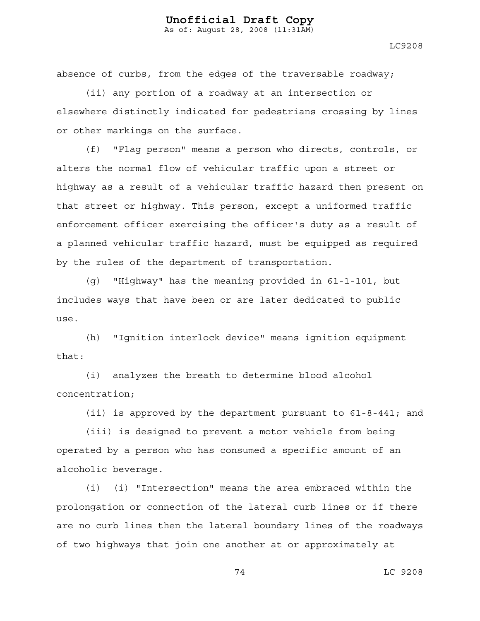LC9208

absence of curbs, from the edges of the traversable roadway;

(ii) any portion of a roadway at an intersection or elsewhere distinctly indicated for pedestrians crossing by lines or other markings on the surface.

(f) "Flag person" means a person who directs, controls, or alters the normal flow of vehicular traffic upon a street or highway as a result of a vehicular traffic hazard then present on that street or highway. This person, except a uniformed traffic enforcement officer exercising the officer's duty as a result of a planned vehicular traffic hazard, must be equipped as required by the rules of the department of transportation.

(g) "Highway" has the meaning provided in 61-1-101, but includes ways that have been or are later dedicated to public use.

(h) "Ignition interlock device" means ignition equipment that:

(i) analyzes the breath to determine blood alcohol concentration;

(ii) is approved by the department pursuant to 61-8-441; and

(iii) is designed to prevent a motor vehicle from being operated by a person who has consumed a specific amount of an alcoholic beverage.

(i) (i) "Intersection" means the area embraced within the prolongation or connection of the lateral curb lines or if there are no curb lines then the lateral boundary lines of the roadways of two highways that join one another at or approximately at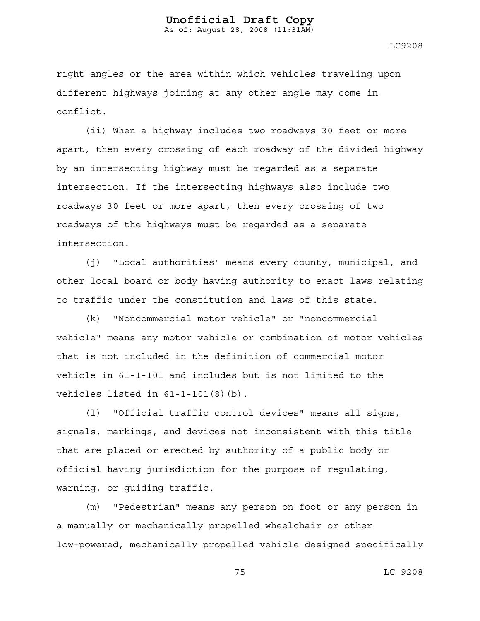As of: August 28, 2008 (11:31AM)

LC9208

right angles or the area within which vehicles traveling upon different highways joining at any other angle may come in conflict.

(ii) When a highway includes two roadways 30 feet or more apart, then every crossing of each roadway of the divided highway by an intersecting highway must be regarded as a separate intersection. If the intersecting highways also include two roadways 30 feet or more apart, then every crossing of two roadways of the highways must be regarded as a separate intersection.

(j) "Local authorities" means every county, municipal, and other local board or body having authority to enact laws relating to traffic under the constitution and laws of this state.

(k) "Noncommercial motor vehicle" or "noncommercial vehicle" means any motor vehicle or combination of motor vehicles that is not included in the definition of commercial motor vehicle in 61-1-101 and includes but is not limited to the vehicles listed in 61-1-101(8)(b).

(l) "Official traffic control devices" means all signs, signals, markings, and devices not inconsistent with this title that are placed or erected by authority of a public body or official having jurisdiction for the purpose of regulating, warning, or guiding traffic.

(m) "Pedestrian" means any person on foot or any person in a manually or mechanically propelled wheelchair or other low-powered, mechanically propelled vehicle designed specifically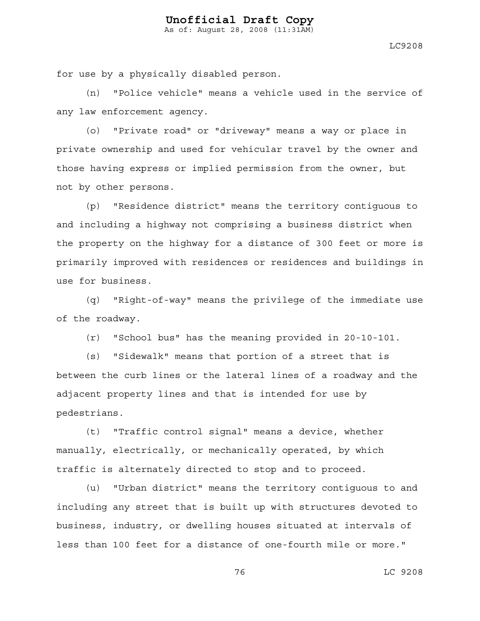As of: August 28, 2008 (11:31AM)

LC9208

for use by a physically disabled person.

(n) "Police vehicle" means a vehicle used in the service of any law enforcement agency.

(o) "Private road" or "driveway" means a way or place in private ownership and used for vehicular travel by the owner and those having express or implied permission from the owner, but not by other persons.

(p) "Residence district" means the territory contiguous to and including a highway not comprising a business district when the property on the highway for a distance of 300 feet or more is primarily improved with residences or residences and buildings in use for business.

(q) "Right-of-way" means the privilege of the immediate use of the roadway.

(r) "School bus" has the meaning provided in 20-10-101.

(s) "Sidewalk" means that portion of a street that is between the curb lines or the lateral lines of a roadway and the adjacent property lines and that is intended for use by pedestrians.

(t) "Traffic control signal" means a device, whether manually, electrically, or mechanically operated, by which traffic is alternately directed to stop and to proceed.

(u) "Urban district" means the territory contiguous to and including any street that is built up with structures devoted to business, industry, or dwelling houses situated at intervals of less than 100 feet for a distance of one-fourth mile or more."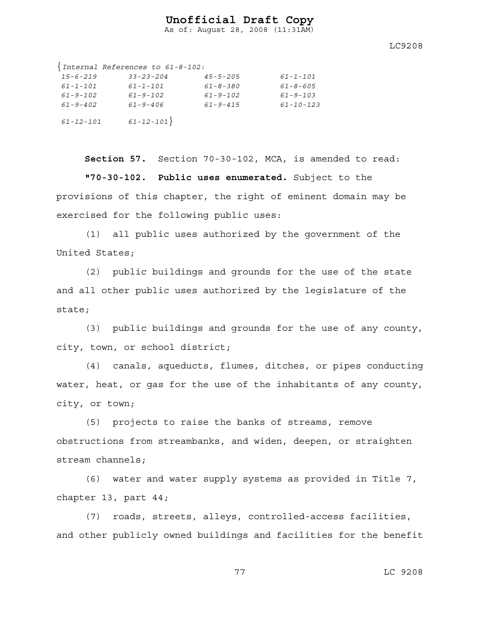As of: August 28, 2008 (11:31AM)

LC9208

|                 | $\{Internal References to 61-8-102:\}$ |                |                 |
|-----------------|----------------------------------------|----------------|-----------------|
| $15 - 6 - 219$  | $33 - 23 - 204$                        | $45 - 5 - 205$ | $61 - 1 - 101$  |
| $61 - 1 - 101$  | $61 - 1 - 101$                         | $61 - 8 - 380$ | $61 - 8 - 605$  |
| $61 - 9 - 102$  | $61 - 9 - 102$                         | $61 - 9 - 102$ | $61 - 9 - 103$  |
| $61 - 9 - 402$  | $61 - 9 - 406$                         | $61 - 9 - 415$ | $61 - 10 - 123$ |
| $61 - 12 - 101$ | $61 - 12 - 101$                        |                |                 |

**Section 57.** Section 70-30-102, MCA, is amended to read: **"70-30-102. Public uses enumerated.** Subject to the provisions of this chapter, the right of eminent domain may be exercised for the following public uses:

(1) all public uses authorized by the government of the United States;

(2) public buildings and grounds for the use of the state and all other public uses authorized by the legislature of the state;

(3) public buildings and grounds for the use of any county, city, town, or school district;

(4) canals, aqueducts, flumes, ditches, or pipes conducting water, heat, or gas for the use of the inhabitants of any county, city, or town;

(5) projects to raise the banks of streams, remove obstructions from streambanks, and widen, deepen, or straighten stream channels;

(6) water and water supply systems as provided in Title 7, chapter 13, part 44;

(7) roads, streets, alleys, controlled-access facilities, and other publicly owned buildings and facilities for the benefit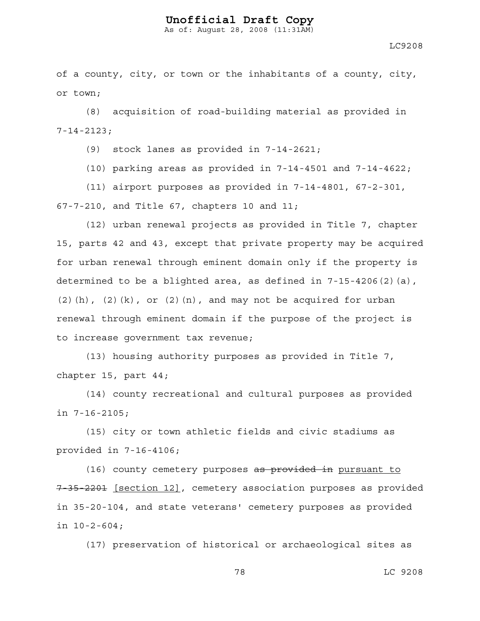As of: August 28, 2008 (11:31AM)

LC9208

of a county, city, or town or the inhabitants of a county, city, or town;

(8) acquisition of road-building material as provided in 7-14-2123;

(9) stock lanes as provided in 7-14-2621;

(10) parking areas as provided in 7-14-4501 and 7-14-4622;

(11) airport purposes as provided in 7-14-4801, 67-2-301, 67-7-210, and Title 67, chapters 10 and 11;

(12) urban renewal projects as provided in Title 7, chapter 15, parts 42 and 43, except that private property may be acquired for urban renewal through eminent domain only if the property is determined to be a blighted area, as defined in 7-15-4206(2)(a),  $(2)(h)$ ,  $(2)(k)$ , or  $(2)(n)$ , and may not be acquired for urban renewal through eminent domain if the purpose of the project is to increase government tax revenue;

(13) housing authority purposes as provided in Title 7, chapter 15, part 44;

(14) county recreational and cultural purposes as provided in 7-16-2105;

(15) city or town athletic fields and civic stadiums as provided in 7-16-4106;

(16) county cemetery purposes as provided in pursuant to 7-35-2201 [section 12], cemetery association purposes as provided in 35-20-104, and state veterans' cemetery purposes as provided in 10-2-604;

(17) preservation of historical or archaeological sites as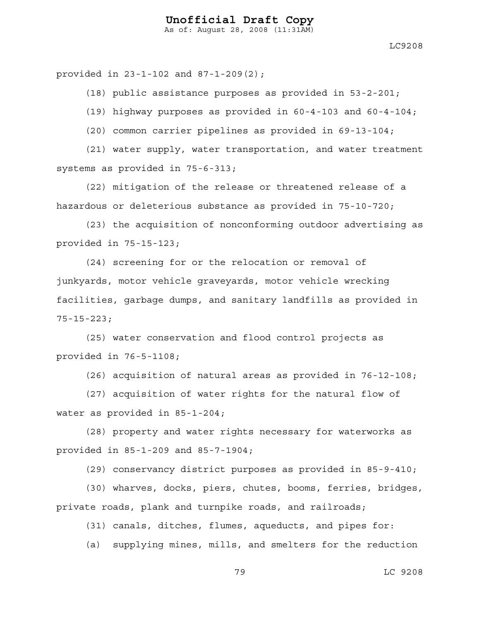As of: August 28, 2008 (11:31AM)

LC9208

provided in 23-1-102 and 87-1-209(2);

(18) public assistance purposes as provided in 53-2-201;

(19) highway purposes as provided in 60-4-103 and 60-4-104;

(20) common carrier pipelines as provided in 69-13-104;

(21) water supply, water transportation, and water treatment systems as provided in 75-6-313;

(22) mitigation of the release or threatened release of a hazardous or deleterious substance as provided in 75-10-720;

(23) the acquisition of nonconforming outdoor advertising as provided in 75-15-123;

(24) screening for or the relocation or removal of junkyards, motor vehicle graveyards, motor vehicle wrecking facilities, garbage dumps, and sanitary landfills as provided in 75-15-223;

(25) water conservation and flood control projects as provided in 76-5-1108;

(26) acquisition of natural areas as provided in 76-12-108;

(27) acquisition of water rights for the natural flow of water as provided in 85-1-204;

(28) property and water rights necessary for waterworks as provided in 85-1-209 and 85-7-1904;

(29) conservancy district purposes as provided in 85-9-410;

(30) wharves, docks, piers, chutes, booms, ferries, bridges, private roads, plank and turnpike roads, and railroads;

(31) canals, ditches, flumes, aqueducts, and pipes for:

(a) supplying mines, mills, and smelters for the reduction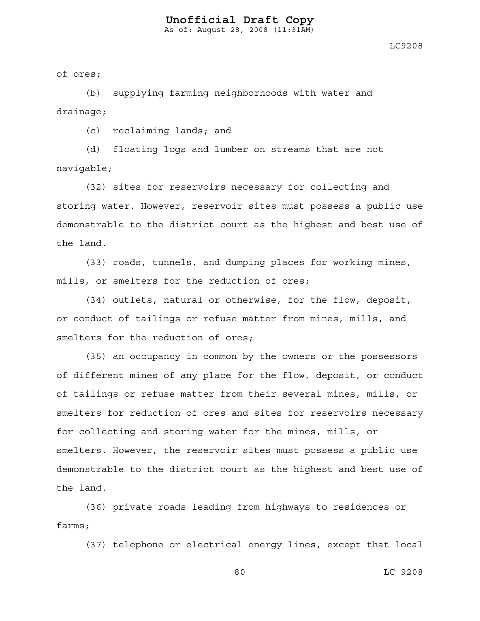LC9208

of ores;

(b) supplying farming neighborhoods with water and drainage;

(c) reclaiming lands; and

(d) floating logs and lumber on streams that are not navigable;

(32) sites for reservoirs necessary for collecting and storing water. However, reservoir sites must possess a public use demonstrable to the district court as the highest and best use of the land.

(33) roads, tunnels, and dumping places for working mines, mills, or smelters for the reduction of ores;

(34) outlets, natural or otherwise, for the flow, deposit, or conduct of tailings or refuse matter from mines, mills, and smelters for the reduction of ores;

(35) an occupancy in common by the owners or the possessors of different mines of any place for the flow, deposit, or conduct of tailings or refuse matter from their several mines, mills, or smelters for reduction of ores and sites for reservoirs necessary for collecting and storing water for the mines, mills, or smelters. However, the reservoir sites must possess a public use demonstrable to the district court as the highest and best use of the land.

(36) private roads leading from highways to residences or farms;

(37) telephone or electrical energy lines, except that local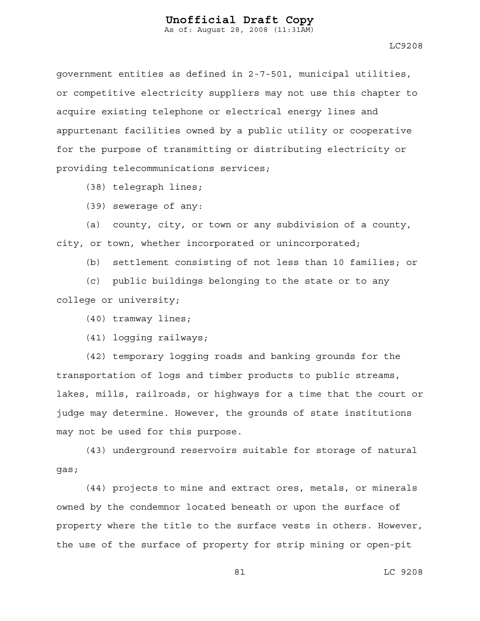LC9208

government entities as defined in 2-7-501, municipal utilities, or competitive electricity suppliers may not use this chapter to acquire existing telephone or electrical energy lines and appurtenant facilities owned by a public utility or cooperative for the purpose of transmitting or distributing electricity or providing telecommunications services;

(38) telegraph lines;

(39) sewerage of any:

(a) county, city, or town or any subdivision of a county, city, or town, whether incorporated or unincorporated;

(b) settlement consisting of not less than 10 families; or

(c) public buildings belonging to the state or to any college or university;

(40) tramway lines;

(41) logging railways;

(42) temporary logging roads and banking grounds for the transportation of logs and timber products to public streams, lakes, mills, railroads, or highways for a time that the court or judge may determine. However, the grounds of state institutions may not be used for this purpose.

(43) underground reservoirs suitable for storage of natural gas;

(44) projects to mine and extract ores, metals, or minerals owned by the condemnor located beneath or upon the surface of property where the title to the surface vests in others. However, the use of the surface of property for strip mining or open-pit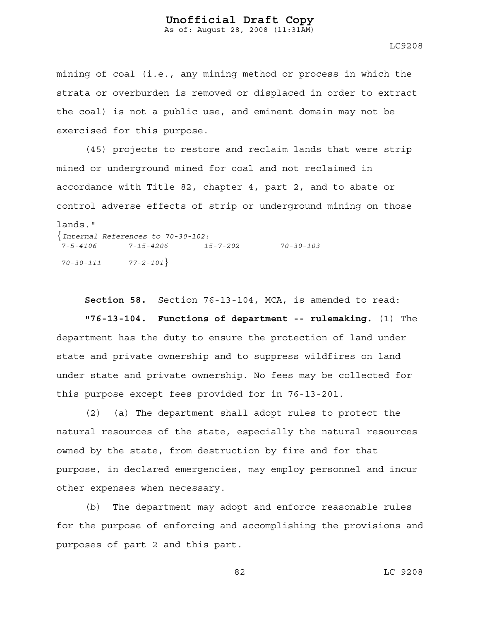As of: August 28, 2008 (11:31AM)

LC9208

mining of coal (i.e., any mining method or process in which the strata or overburden is removed or displaced in order to extract the coal) is not a public use, and eminent domain may not be exercised for this purpose.

(45) projects to restore and reclaim lands that were strip mined or underground mined for coal and not reclaimed in accordance with Title 82, chapter 4, part 2, and to abate or control adverse effects of strip or underground mining on those lands." {*Internal References to 70-30-102: 7-5-4106 7-15-4206 15-7-202 70-30-103 70-30-111 77-2-101*}

**Section 58.** Section 76-13-104, MCA, is amended to read:

**"76-13-104. Functions of department -- rulemaking.** (1) The department has the duty to ensure the protection of land under state and private ownership and to suppress wildfires on land under state and private ownership. No fees may be collected for this purpose except fees provided for in 76-13-201.

(2) (a) The department shall adopt rules to protect the natural resources of the state, especially the natural resources owned by the state, from destruction by fire and for that purpose, in declared emergencies, may employ personnel and incur other expenses when necessary.

(b) The department may adopt and enforce reasonable rules for the purpose of enforcing and accomplishing the provisions and purposes of part 2 and this part.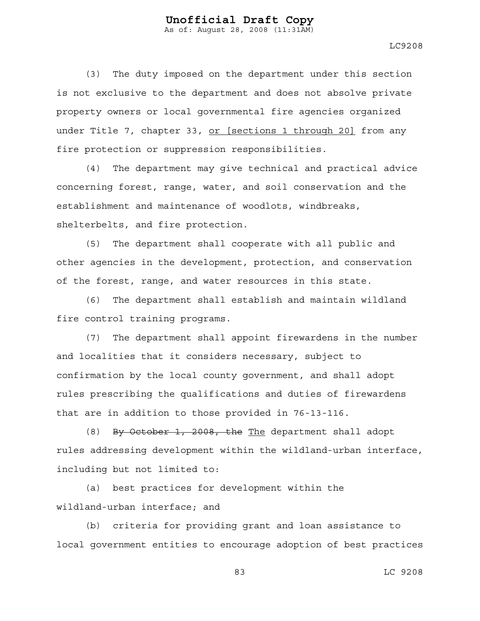LC9208

(3) The duty imposed on the department under this section is not exclusive to the department and does not absolve private property owners or local governmental fire agencies organized under Title 7, chapter 33, or [sections 1 through 20] from any fire protection or suppression responsibilities.

(4) The department may give technical and practical advice concerning forest, range, water, and soil conservation and the establishment and maintenance of woodlots, windbreaks, shelterbelts, and fire protection.

(5) The department shall cooperate with all public and other agencies in the development, protection, and conservation of the forest, range, and water resources in this state.

(6) The department shall establish and maintain wildland fire control training programs.

(7) The department shall appoint firewardens in the number and localities that it considers necessary, subject to confirmation by the local county government, and shall adopt rules prescribing the qualifications and duties of firewardens that are in addition to those provided in 76-13-116.

(8) By October 1, 2008, the The department shall adopt rules addressing development within the wildland-urban interface, including but not limited to:

(a) best practices for development within the wildland-urban interface; and

(b) criteria for providing grant and loan assistance to local government entities to encourage adoption of best practices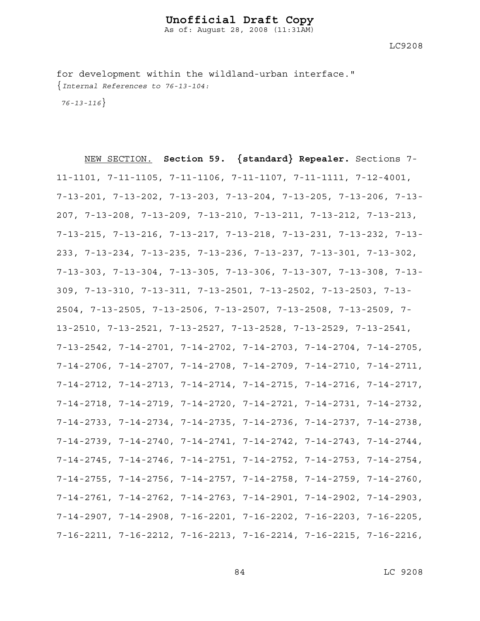LC9208

for development within the wildland-urban interface." {*Internal References to 76-13-104:* 

 *76-13-116*}

NEW SECTION. **Section 59. {standard} Repealer.** Sections 7- 11-1101, 7-11-1105, 7-11-1106, 7-11-1107, 7-11-1111, 7-12-4001, 7-13-201, 7-13-202, 7-13-203, 7-13-204, 7-13-205, 7-13-206, 7-13- 207, 7-13-208, 7-13-209, 7-13-210, 7-13-211, 7-13-212, 7-13-213, 7-13-215, 7-13-216, 7-13-217, 7-13-218, 7-13-231, 7-13-232, 7-13- 233, 7-13-234, 7-13-235, 7-13-236, 7-13-237, 7-13-301, 7-13-302, 7-13-303, 7-13-304, 7-13-305, 7-13-306, 7-13-307, 7-13-308, 7-13- 309, 7-13-310, 7-13-311, 7-13-2501, 7-13-2502, 7-13-2503, 7-13- 2504, 7-13-2505, 7-13-2506, 7-13-2507, 7-13-2508, 7-13-2509, 7- 13-2510, 7-13-2521, 7-13-2527, 7-13-2528, 7-13-2529, 7-13-2541, 7-13-2542, 7-14-2701, 7-14-2702, 7-14-2703, 7-14-2704, 7-14-2705, 7-14-2706, 7-14-2707, 7-14-2708, 7-14-2709, 7-14-2710, 7-14-2711, 7-14-2712, 7-14-2713, 7-14-2714, 7-14-2715, 7-14-2716, 7-14-2717, 7-14-2718, 7-14-2719, 7-14-2720, 7-14-2721, 7-14-2731, 7-14-2732, 7-14-2733, 7-14-2734, 7-14-2735, 7-14-2736, 7-14-2737, 7-14-2738, 7-14-2739, 7-14-2740, 7-14-2741, 7-14-2742, 7-14-2743, 7-14-2744, 7-14-2745, 7-14-2746, 7-14-2751, 7-14-2752, 7-14-2753, 7-14-2754, 7-14-2755, 7-14-2756, 7-14-2757, 7-14-2758, 7-14-2759, 7-14-2760, 7-14-2761, 7-14-2762, 7-14-2763, 7-14-2901, 7-14-2902, 7-14-2903, 7-14-2907, 7-14-2908, 7-16-2201, 7-16-2202, 7-16-2203, 7-16-2205, 7-16-2211, 7-16-2212, 7-16-2213, 7-16-2214, 7-16-2215, 7-16-2216,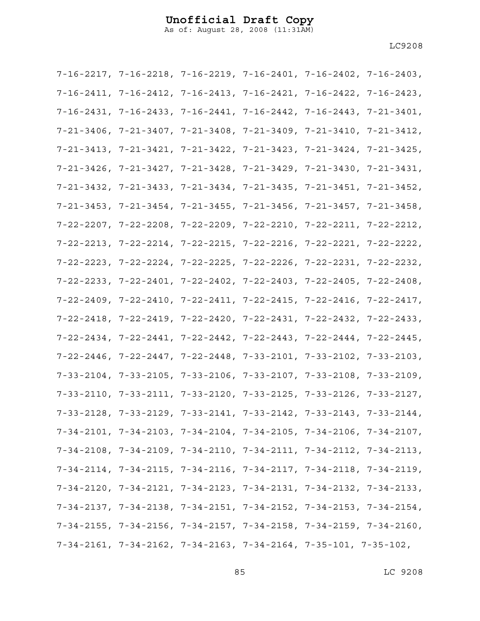As of: August 28, 2008 (11:31AM)

| $7-16-2217$ , $7-16-2218$ , $7-16-2219$ , $7-16-2401$ , $7-16-2402$ , $7-16-2403$ , |  |  |
|-------------------------------------------------------------------------------------|--|--|
| 7-16-2411, 7-16-2412, 7-16-2413, 7-16-2421, 7-16-2422, 7-16-2423,                   |  |  |
| 7-16-2431, 7-16-2433, 7-16-2441, 7-16-2442, 7-16-2443, 7-21-3401,                   |  |  |
| $7-21-3406$ , $7-21-3407$ , $7-21-3408$ , $7-21-3409$ , $7-21-3410$ , $7-21-3412$ , |  |  |
| $7-21-3413$ , $7-21-3421$ , $7-21-3422$ , $7-21-3423$ , $7-21-3424$ , $7-21-3425$ , |  |  |
| 7-21-3426, 7-21-3427, 7-21-3428, 7-21-3429, 7-21-3430, 7-21-3431,                   |  |  |
| 7-21-3432, 7-21-3433, 7-21-3434, 7-21-3435, 7-21-3451, 7-21-3452,                   |  |  |
| 7-21-3453, 7-21-3454, 7-21-3455, 7-21-3456, 7-21-3457, 7-21-3458,                   |  |  |
| 7-22-2207, 7-22-2208, 7-22-2209, 7-22-2210, 7-22-2211, 7-22-2212,                   |  |  |
| 7-22-2213, 7-22-2214, 7-22-2215, 7-22-2216, 7-22-2221, 7-22-2222,                   |  |  |
| 7-22-2223, 7-22-2224, 7-22-2225, 7-22-2226, 7-22-2231, 7-22-2232,                   |  |  |
| 7-22-2233, 7-22-2401, 7-22-2402, 7-22-2403, 7-22-2405, 7-22-2408,                   |  |  |
| $7-22-2409$ , $7-22-2410$ , $7-22-2411$ , $7-22-2415$ , $7-22-2416$ , $7-22-2417$ , |  |  |
| 7-22-2418, 7-22-2419, 7-22-2420, 7-22-2431, 7-22-2432, 7-22-2433,                   |  |  |
| 7-22-2434, 7-22-2441, 7-22-2442, 7-22-2443, 7-22-2444, 7-22-2445,                   |  |  |
| $7-22-2446$ , $7-22-2447$ , $7-22-2448$ , $7-33-2101$ , $7-33-2102$ , $7-33-2103$ , |  |  |
| $7-33-2104$ , $7-33-2105$ , $7-33-2106$ , $7-33-2107$ , $7-33-2108$ , $7-33-2109$ , |  |  |
| 7-33-2110, 7-33-2111, 7-33-2120, 7-33-2125, 7-33-2126, 7-33-2127,                   |  |  |
| 7-33-2128, 7-33-2129, 7-33-2141, 7-33-2142, 7-33-2143, 7-33-2144,                   |  |  |
| $7-34-2101$ , $7-34-2103$ , $7-34-2104$ , $7-34-2105$ , $7-34-2106$ , $7-34-2107$ , |  |  |
| $7-34-2108$ , $7-34-2109$ , $7-34-2110$ , $7-34-2111$ , $7-34-2112$ , $7-34-2113$ , |  |  |
| $7-34-2114$ , $7-34-2115$ , $7-34-2116$ , $7-34-2117$ , $7-34-2118$ , $7-34-2119$ , |  |  |
| $7-34-2120$ , $7-34-2121$ , $7-34-2123$ , $7-34-2131$ , $7-34-2132$ , $7-34-2133$ , |  |  |
| 7-34-2137, 7-34-2138, 7-34-2151, 7-34-2152, 7-34-2153, 7-34-2154,                   |  |  |
| 7-34-2155, 7-34-2156, 7-34-2157, 7-34-2158, 7-34-2159, 7-34-2160,                   |  |  |
| $7-34-2161$ , $7-34-2162$ , $7-34-2163$ , $7-34-2164$ , $7-35-101$ , $7-35-102$ ,   |  |  |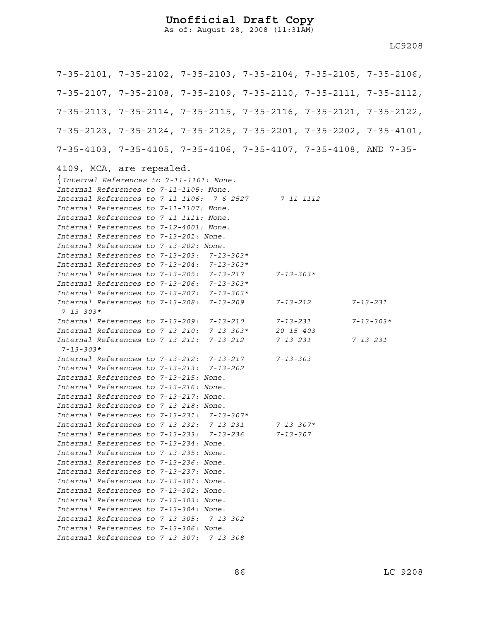As of: August 28, 2008 (11:31AM)

7-35-2101, 7-35-2102, 7-35-2103, 7-35-2104, 7-35-2105, 7-35-2106, 7-35-2107, 7-35-2108, 7-35-2109, 7-35-2110, 7-35-2111, 7-35-2112, 7-35-2113, 7-35-2114, 7-35-2115, 7-35-2116, 7-35-2121, 7-35-2122, 7-35-2123, 7-35-2124, 7-35-2125, 7-35-2201, 7-35-2202, 7-35-4101, 7-35-4103, 7-35-4105, 7-35-4106, 7-35-4107, 7-35-4108, AND 7-35- 4109, MCA, are repealed. {*Internal References to 7-11-1101: None. Internal References to 7-11-1105: None. Internal References to 7-11-1106: 7-6-2527 7-11-1112 Internal References to 7-11-1107: None. Internal References to 7-11-1111: None. Internal References to 7-12-4001: None. Internal References to 7-13-201: None. Internal References to 7-13-202: None. Internal References to 7-13-203: 7-13-303\* Internal References to 7-13-204: 7-13-303\* Internal References to 7-13-205: 7-13-217 7-13-303\* Internal References to 7-13-206: 7-13-303\* Internal References to 7-13-207: 7-13-303\* Internal References to 7-13-208: 7-13-209 7-13-212 7-13-231 7-13-303\* Internal References to 7-13-209: 7-13-210 7-13-231 7-13-303\* Internal References to 7-13-210: 7-13-303\* 20-15-403 Internal References to 7-13-211: 7-13-212 7-13-231 7-13-231 7-13-303\* Internal References to 7-13-212: 7-13-217 7-13-303 Internal References to 7-13-213: 7-13-202 Internal References to 7-13-215: None. Internal References to 7-13-216: None. Internal References to 7-13-217: None. Internal References to 7-13-218: None. Internal References to 7-13-231: 7-13-307\* Internal References to 7-13-232: 7-13-231 7-13-307\* Internal References to 7-13-233: 7-13-236 7-13-307 Internal References to 7-13-234: None. Internal References to 7-13-235: None. Internal References to 7-13-236: None. Internal References to 7-13-237: None. Internal References to 7-13-301: None. Internal References to 7-13-302: None. Internal References to 7-13-303: None. Internal References to 7-13-304: None. Internal References to 7-13-305: 7-13-302 Internal References to 7-13-306: None. Internal References to 7-13-307: 7-13-308*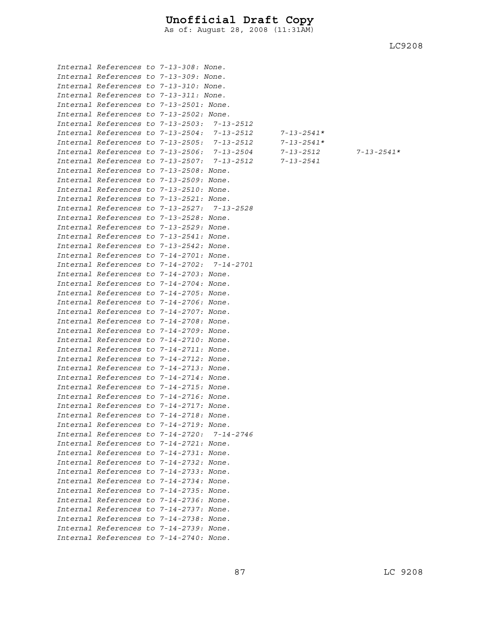As of: August 28, 2008 (11:31AM)

LC9208

*Internal References to 7-13-2506: 7-13-2504 7-13-2512 7-13-2541\** 

|  | Internal References to 7-13-308: None.      |                                             |            |
|--|---------------------------------------------|---------------------------------------------|------------|
|  | Internal References to 7-13-309: None.      |                                             |            |
|  | Internal References to 7-13-310: None.      |                                             |            |
|  | Internal References to 7-13-311: None.      |                                             |            |
|  | Internal References to 7-13-2501: None.     |                                             |            |
|  | Internal References to 7-13-2502: None.     |                                             |            |
|  | Internal References to 7-13-2503: 7-13-2512 |                                             |            |
|  |                                             | Internal References to 7-13-2504: 7-13-2512 | 7-13-2541* |
|  | Internal References to 7-13-2505: 7-13-2512 |                                             | 7-13-2541* |
|  | Internal References to 7-13-2506: 7-13-2504 |                                             | 7-13-2512  |
|  |                                             | Internal References to 7-13-2507: 7-13-2512 | 7-13-2541  |
|  | Internal References to 7-13-2508: None.     |                                             |            |
|  | Internal References to 7-13-2509: None.     |                                             |            |
|  | Internal References to 7-13-2510: None.     |                                             |            |
|  | Internal References to 7-13-2521: None.     |                                             |            |
|  | Internal References to 7-13-2527: 7-13-2528 |                                             |            |
|  | Internal References to 7-13-2528: None.     |                                             |            |
|  | Internal References to 7-13-2529: None.     |                                             |            |
|  | Internal References to 7-13-2541: None.     |                                             |            |
|  | Internal References to 7-13-2542: None.     |                                             |            |
|  | Internal References to 7-14-2701: None.     |                                             |            |
|  | Internal References to 7-14-2702: 7-14-2701 |                                             |            |
|  | Internal References to 7-14-2703: None.     |                                             |            |
|  | Internal References to 7-14-2704: None.     |                                             |            |
|  | Internal References to 7-14-2705: None.     |                                             |            |
|  | Internal References to 7-14-2706: None.     |                                             |            |
|  | Internal References to 7-14-2707: None.     |                                             |            |
|  | Internal References to 7-14-2708: None.     |                                             |            |
|  | Internal References to 7-14-2709: None.     |                                             |            |
|  | Internal References to 7-14-2710: None.     |                                             |            |
|  | Internal References to 7-14-2711: None.     |                                             |            |
|  | Internal References to 7-14-2712: None.     |                                             |            |
|  | Internal References to 7-14-2713: None.     |                                             |            |
|  | Internal References to 7-14-2714: None.     |                                             |            |
|  | Internal References to 7-14-2715: None.     |                                             |            |
|  | Internal References to 7-14-2716: None.     |                                             |            |
|  | Internal References to 7-14-2717: None.     |                                             |            |
|  | Internal References to 7-14-2718: None.     |                                             |            |
|  | Internal References to 7-14-2719: None.     |                                             |            |
|  | Internal References to 7-14-2720: 7-14-2746 |                                             |            |
|  | Internal References to 7-14-2721: None.     |                                             |            |
|  | Internal References to 7-14-2731: None.     |                                             |            |
|  | Internal References to 7-14-2732: None.     |                                             |            |
|  | Internal References to 7-14-2733: None.     |                                             |            |
|  | Internal References to 7-14-2734: None.     |                                             |            |
|  | Internal References to 7-14-2735: None.     |                                             |            |
|  | Internal References to 7-14-2736: None.     |                                             |            |
|  | Internal References to 7-14-2737: None.     |                                             |            |
|  | Internal References to 7-14-2738: None.     |                                             |            |
|  | Internal References to 7-14-2739: None.     |                                             |            |
|  | Internal References to 7-14-2740: None.     |                                             |            |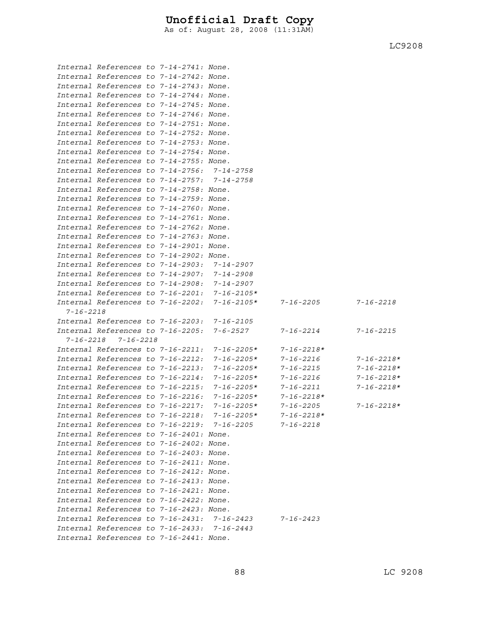As of: August 28, 2008 (11:31AM)

|                 | Internal References to 7-14-2741: None.     |  |                                             |                  |                  |
|-----------------|---------------------------------------------|--|---------------------------------------------|------------------|------------------|
|                 | Internal References to 7-14-2742: None.     |  |                                             |                  |                  |
|                 | Internal References to 7-14-2743: None.     |  |                                             |                  |                  |
|                 | Internal References to 7-14-2744: None.     |  |                                             |                  |                  |
|                 | Internal References to 7-14-2745: None.     |  |                                             |                  |                  |
|                 | Internal References to 7-14-2746: None.     |  |                                             |                  |                  |
|                 | Internal References to 7-14-2751: None.     |  |                                             |                  |                  |
|                 | Internal References to 7-14-2752: None.     |  |                                             |                  |                  |
|                 | Internal References to 7-14-2753: None.     |  |                                             |                  |                  |
|                 | Internal References to 7-14-2754: None.     |  |                                             |                  |                  |
|                 | Internal References to 7-14-2755: None.     |  |                                             |                  |                  |
|                 | Internal References to 7-14-2756: 7-14-2758 |  |                                             |                  |                  |
|                 | Internal References to 7-14-2757: 7-14-2758 |  |                                             |                  |                  |
|                 | Internal References to 7-14-2758: None.     |  |                                             |                  |                  |
|                 | Internal References to 7-14-2759: None.     |  |                                             |                  |                  |
|                 | Internal References to 7-14-2760: None.     |  |                                             |                  |                  |
|                 | Internal References to 7-14-2761: None.     |  |                                             |                  |                  |
|                 | Internal References to 7-14-2762: None.     |  |                                             |                  |                  |
|                 | Internal References to 7-14-2763: None.     |  |                                             |                  |                  |
|                 | Internal References to 7-14-2901: None.     |  |                                             |                  |                  |
|                 | Internal References to 7-14-2902: None.     |  |                                             |                  |                  |
|                 | Internal References to 7-14-2903:           |  | 7-14-2907                                   |                  |                  |
|                 | Internal References to 7-14-2907:           |  | 7-14-2908                                   |                  |                  |
|                 | Internal References to 7-14-2908:           |  | $7 - 14 - 2907$                             |                  |                  |
|                 | Internal References to 7-16-2201:           |  | $7 - 16 - 2105*$                            |                  |                  |
|                 | Internal References to 7-16-2202:           |  | $7 - 16 - 2105*$                            | $7 - 16 - 2205$  | $7 - 16 - 2218$  |
| $7 - 16 - 2218$ |                                             |  |                                             |                  |                  |
|                 | Internal References to 7-16-2203:           |  | $7 - 16 - 2105$                             |                  |                  |
|                 | Internal References to 7-16-2205:           |  | 7-6-2527                                    | 7-16-2214        | $7 - 16 - 2215$  |
|                 | $7 - 16 - 2218$ $7 - 16 - 2218$             |  |                                             |                  |                  |
|                 | Internal References to 7-16-2211:           |  | $7 - 16 - 2205*$                            | $7 - 16 - 2218*$ |                  |
|                 | Internal References to 7-16-2212:           |  | $7 - 16 - 2205*$                            | 7-16-2216        | $7 - 16 - 2218*$ |
|                 | Internal References to 7-16-2213:           |  | $7 - 16 - 2205*$                            | 7-16-2215        | $7 - 16 - 2218*$ |
|                 | Internal References to 7-16-2214:           |  | $7 - 16 - 2205*$                            | 7-16-2216        | $7 - 16 - 2218*$ |
|                 | Internal References to 7-16-2215:           |  | $7 - 16 - 2205*$                            | $7 - 16 - 2211$  | $7 - 16 - 2218*$ |
|                 | Internal References to 7-16-2216:           |  | $7 - 16 - 2205*$                            | $7 - 16 - 2218*$ |                  |
|                 | Internal References to 7-16-2217:           |  | $7 - 16 - 2205*$                            | $7 - 16 - 2205$  | $7 - 16 - 2218*$ |
|                 | Internal References to 7-16-2218:           |  | $7 - 16 - 2205*$                            | 7-16-2218*       |                  |
|                 |                                             |  | Internal References to 7-16-2219: 7-16-2205 | 7-16-2218        |                  |
|                 | Internal References to 7-16-2401: None.     |  |                                             |                  |                  |
|                 | Internal References to 7-16-2402: None.     |  |                                             |                  |                  |
|                 | Internal References to 7-16-2403: None.     |  |                                             |                  |                  |
|                 | Internal References to 7-16-2411: None.     |  |                                             |                  |                  |
|                 | Internal References to 7-16-2412: None.     |  |                                             |                  |                  |
|                 | Internal References to 7-16-2413: None.     |  |                                             |                  |                  |
|                 | Internal References to 7-16-2421: None.     |  |                                             |                  |                  |
|                 | Internal References to 7-16-2422: None.     |  |                                             |                  |                  |
|                 | Internal References to 7-16-2423: None.     |  |                                             |                  |                  |
|                 |                                             |  | Internal References to 7-16-2431: 7-16-2423 | $7 - 16 - 2423$  |                  |
|                 |                                             |  | Internal References to 7-16-2433: 7-16-2443 |                  |                  |
|                 | Internal References to 7-16-2441: None.     |  |                                             |                  |                  |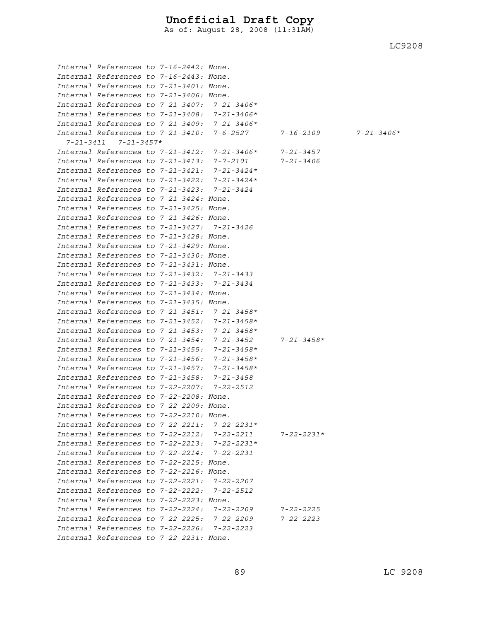As of: August 28, 2008 (11:31AM)

| Internal References to 7-16-2442: None.     |  |                                                |                  |                  |
|---------------------------------------------|--|------------------------------------------------|------------------|------------------|
| Internal References to 7-16-2443: None.     |  |                                                |                  |                  |
| Internal References to 7-21-3401: None.     |  |                                                |                  |                  |
| Internal References to 7-21-3406: None.     |  |                                                |                  |                  |
|                                             |  |                                                |                  |                  |
| Internal References to 7-21-3407:           |  | $7 - 21 - 3406*$                               |                  |                  |
| Internal References to 7-21-3408:           |  | 7-21-3406*                                     |                  |                  |
| Internal References to 7-21-3409:           |  | 7-21-3406*                                     |                  |                  |
| Internal References to 7-21-3410:           |  | 7-6-2527                                       | $7 - 16 - 2109$  | $7 - 21 - 3406*$ |
| $7 - 21 - 3411$ $7 - 21 - 3457*$            |  |                                                |                  |                  |
| Internal References to 7-21-3412:           |  | $7 - 21 - 3406*$                               | 7-21-3457        |                  |
| Internal References to 7-21-3413:           |  | 7-7-2101                                       | $7 - 21 - 3406$  |                  |
| Internal References to 7-21-3421:           |  | $7 - 21 - 3424*$                               |                  |                  |
| Internal References to 7-21-3422:           |  | $7 - 21 - 3424*$                               |                  |                  |
| Internal References to 7-21-3423:           |  | 7-21-3424                                      |                  |                  |
| Internal References to 7-21-3424: None.     |  |                                                |                  |                  |
| Internal References to 7-21-3425: None.     |  |                                                |                  |                  |
| Internal References to 7-21-3426: None.     |  |                                                |                  |                  |
| Internal References to 7-21-3427: 7-21-3426 |  |                                                |                  |                  |
| Internal References to 7-21-3428: None.     |  |                                                |                  |                  |
| Internal References to 7-21-3429: None.     |  |                                                |                  |                  |
| Internal References to 7-21-3430: None.     |  |                                                |                  |                  |
| Internal References to 7-21-3431: None.     |  |                                                |                  |                  |
| Internal References to 7-21-3432:           |  | 7-21-3433                                      |                  |                  |
| Internal References to 7-21-3433: 7-21-3434 |  |                                                |                  |                  |
| Internal References to 7-21-3434: None.     |  |                                                |                  |                  |
| Internal References to 7-21-3435: None.     |  |                                                |                  |                  |
| Internal References to 7-21-3451:           |  | $7 - 21 - 3458*$                               |                  |                  |
| Internal References to 7-21-3452:           |  | $7 - 21 - 3458*$                               |                  |                  |
| Internal References to 7-21-3453:           |  | $7 - 21 - 3458*$                               |                  |                  |
| Internal References to 7-21-3454:           |  | $7 - 21 - 3452$                                | $7 - 21 - 3458*$ |                  |
| Internal References to 7-21-3455:           |  | $7 - 21 - 3458*$                               |                  |                  |
| Internal References to 7-21-3456:           |  | $7 - 21 - 3458*$                               |                  |                  |
| Internal References to 7-21-3457:           |  | $7 - 21 - 3458*$                               |                  |                  |
| Internal References to 7-21-3458:           |  | $7 - 21 - 3458$                                |                  |                  |
| Internal References to 7-22-2207:           |  | $7 - 22 - 2512$                                |                  |                  |
| Internal References to 7-22-2208: None.     |  |                                                |                  |                  |
| Internal References to 7-22-2209: None.     |  |                                                |                  |                  |
|                                             |  |                                                |                  |                  |
| Internal References to 7-22-2210: None.     |  |                                                |                  |                  |
|                                             |  | Internal References to 7-22-2211: $7-22-2231*$ |                  |                  |
|                                             |  | Internal References to 7-22-2212: 7-22-2211    | $7 - 22 - 2231*$ |                  |
|                                             |  | Internal References to $7-22-2213: 7-22-2231*$ |                  |                  |
| Internal References to 7-22-2214: 7-22-2231 |  |                                                |                  |                  |
| Internal References to 7-22-2215: None.     |  |                                                |                  |                  |
| Internal References to 7-22-2216: None.     |  |                                                |                  |                  |
| Internal References to 7-22-2221: 7-22-2207 |  |                                                |                  |                  |
| Internal References to 7-22-2222: 7-22-2512 |  |                                                |                  |                  |
| Internal References to 7-22-2223: None.     |  |                                                |                  |                  |
| Internal References to 7-22-2224:           |  | $7 - 22 - 2209$                                | 7-22-2225        |                  |
|                                             |  | Internal References to 7-22-2225: 7-22-2209    | $7 - 22 - 2223$  |                  |
| Internal References to 7-22-2226: 7-22-2223 |  |                                                |                  |                  |
| Internal References to 7-22-2231: None.     |  |                                                |                  |                  |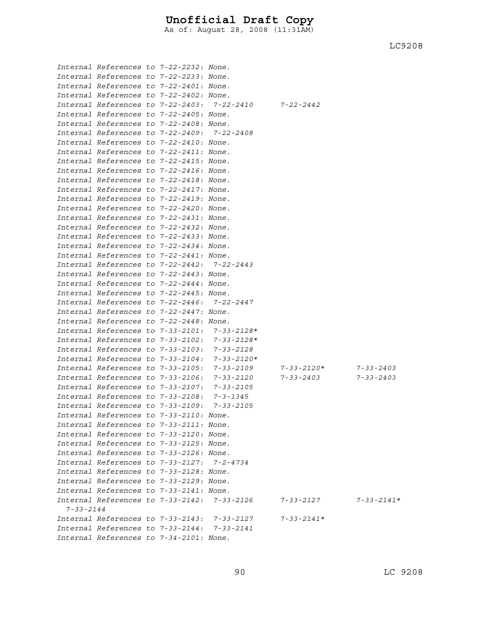As of: August 28, 2008 (11:31AM)

|                 | Internal References to 7-22-2232: None.     |  |                                              |                  |                  |
|-----------------|---------------------------------------------|--|----------------------------------------------|------------------|------------------|
|                 | Internal References to 7-22-2233: None.     |  |                                              |                  |                  |
|                 | Internal References to 7-22-2401: None.     |  |                                              |                  |                  |
|                 | Internal References to 7-22-2402: None.     |  |                                              |                  |                  |
|                 |                                             |  | Internal References to 7-22-2403: 7-22-2410  | $7 - 22 - 2442$  |                  |
|                 | Internal References to 7-22-2405: None.     |  |                                              |                  |                  |
|                 | Internal References to 7-22-2408: None.     |  |                                              |                  |                  |
|                 | Internal References to 7-22-2409: 7-22-2408 |  |                                              |                  |                  |
|                 | Internal References to 7-22-2410: None.     |  |                                              |                  |                  |
|                 | Internal References to 7-22-2411: None.     |  |                                              |                  |                  |
|                 | Internal References to 7-22-2415: None.     |  |                                              |                  |                  |
|                 | Internal References to 7-22-2416: None.     |  |                                              |                  |                  |
|                 | Internal References to 7-22-2418: None.     |  |                                              |                  |                  |
|                 | Internal References to 7-22-2417: None.     |  |                                              |                  |                  |
|                 | Internal References to 7-22-2419: None.     |  |                                              |                  |                  |
|                 | Internal References to 7-22-2420: None.     |  |                                              |                  |                  |
|                 | Internal References to 7-22-2431: None.     |  |                                              |                  |                  |
|                 | Internal References to 7-22-2432: None.     |  |                                              |                  |                  |
|                 | Internal References to 7-22-2433: None.     |  |                                              |                  |                  |
|                 | Internal References to 7-22-2434: None.     |  |                                              |                  |                  |
|                 | Internal References to 7-22-2441: None.     |  |                                              |                  |                  |
|                 | Internal References to 7-22-2442: 7-22-2443 |  |                                              |                  |                  |
|                 | Internal References to 7-22-2443: None.     |  |                                              |                  |                  |
|                 | Internal References to 7-22-2444: None.     |  |                                              |                  |                  |
|                 | Internal References to 7-22-2445: None.     |  |                                              |                  |                  |
|                 | Internal References to 7-22-2446: 7-22-2447 |  |                                              |                  |                  |
|                 | Internal References to 7-22-2447: None.     |  |                                              |                  |                  |
|                 | Internal References to 7-22-2448: None.     |  |                                              |                  |                  |
|                 |                                             |  | Internal References to 7-33-2101: 7-33-2128* |                  |                  |
|                 |                                             |  | Internal References to 7-33-2102: 7-33-2128* |                  |                  |
|                 | Internal References to 7-33-2103:           |  | 7-33-2128                                    |                  |                  |
|                 | Internal References to 7-33-2104:           |  | $7 - 33 - 2120*$                             |                  |                  |
|                 | Internal References to 7-33-2105:           |  | 7-33-2109                                    | 7-33-2120*       | $7 - 33 - 2403$  |
|                 | Internal References to 7-33-2106:           |  | 7-33-2120                                    | 7-33-2403        | $7 - 33 - 2403$  |
|                 | Internal References to 7-33-2107:           |  | $7 - 33 - 2105$                              |                  |                  |
|                 | Internal References to 7-33-2108: 7-3-1345  |  |                                              |                  |                  |
|                 | Internal References to 7-33-2109: 7-33-2105 |  |                                              |                  |                  |
|                 | Internal References to 7-33-2110: None      |  |                                              |                  |                  |
|                 | Internal References to 7-33-2111: None.     |  |                                              |                  |                  |
|                 | Internal References to 7-33-2120: None.     |  |                                              |                  |                  |
|                 | Internal References to 7-33-2125: None.     |  |                                              |                  |                  |
|                 | Internal References to 7-33-2126: None.     |  |                                              |                  |                  |
|                 | Internal References to 7-33-2127: 7-2-4734  |  |                                              |                  |                  |
|                 | Internal References to 7-33-2128: None.     |  |                                              |                  |                  |
|                 | Internal References to 7-33-2129: None.     |  |                                              |                  |                  |
|                 | Internal References to 7-33-2141: None.     |  |                                              |                  |                  |
|                 |                                             |  | Internal References to 7-33-2142: 7-33-2126  | 7-33-2127        | $7 - 33 - 2141*$ |
| $7 - 33 - 2144$ |                                             |  |                                              |                  |                  |
|                 |                                             |  | Internal References to 7-33-2143: 7-33-2127  | $7 - 33 - 2141*$ |                  |
|                 | Internal References to 7-33-2144: 7-33-2141 |  |                                              |                  |                  |
|                 | Internal References to 7-34-2101: None.     |  |                                              |                  |                  |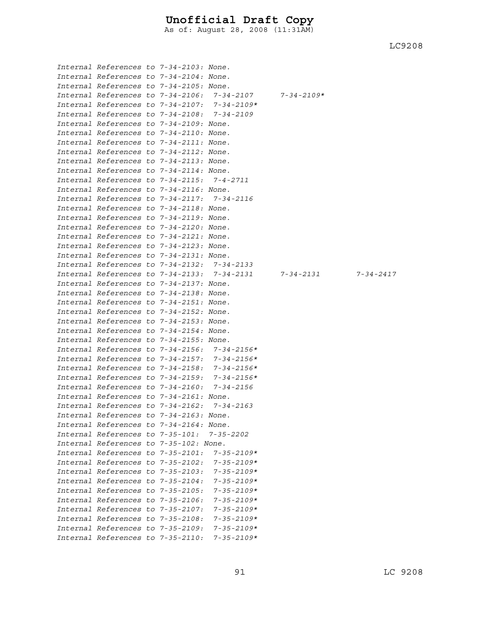As of: August 28, 2008 (11:31AM)

| Internal References to 7-34-2103: None.     |  |                                                        |                                                                 |  |
|---------------------------------------------|--|--------------------------------------------------------|-----------------------------------------------------------------|--|
| Internal References to 7-34-2104: None.     |  |                                                        |                                                                 |  |
| Internal References to 7-34-2105: None.     |  |                                                        |                                                                 |  |
|                                             |  | Internal References to 7-34-2106: 7-34-2107 7-34-2109* |                                                                 |  |
|                                             |  | Internal References to 7-34-2107: 7-34-2109*           |                                                                 |  |
| Internal References to 7-34-2108: 7-34-2109 |  |                                                        |                                                                 |  |
| Internal References to 7-34-2109: None.     |  |                                                        |                                                                 |  |
| Internal References to 7-34-2110: None.     |  |                                                        |                                                                 |  |
| Internal References to 7-34-2111: None.     |  |                                                        |                                                                 |  |
| Internal References to 7-34-2112: None.     |  |                                                        |                                                                 |  |
| Internal References to 7-34-2113: None.     |  |                                                        |                                                                 |  |
| Internal References to 7-34-2114: None.     |  |                                                        |                                                                 |  |
| Internal References to 7-34-2115: 7-4-2711  |  |                                                        |                                                                 |  |
| Internal References to 7-34-2116: None.     |  |                                                        |                                                                 |  |
| Internal References to 7-34-2117: 7-34-2116 |  |                                                        |                                                                 |  |
| Internal References to 7-34-2118: None.     |  |                                                        |                                                                 |  |
| Internal References to 7-34-2119: None.     |  |                                                        |                                                                 |  |
| Internal References to 7-34-2120: None.     |  |                                                        |                                                                 |  |
| Internal References to 7-34-2121: None.     |  |                                                        |                                                                 |  |
| Internal References to 7-34-2123: None.     |  |                                                        |                                                                 |  |
| Internal References to 7-34-2131: None.     |  |                                                        |                                                                 |  |
| Internal References to 7-34-2132: 7-34-2133 |  |                                                        |                                                                 |  |
|                                             |  |                                                        | Internal References to 7-34-2133: 7-34-2131 7-34-2131 7-34-2417 |  |
| Internal References to 7-34-2137: None.     |  |                                                        |                                                                 |  |
| Internal References to 7-34-2138: None.     |  |                                                        |                                                                 |  |
| Internal References to 7-34-2151: None.     |  |                                                        |                                                                 |  |
| Internal References to 7-34-2152: None.     |  |                                                        |                                                                 |  |
| Internal References to 7-34-2153: None.     |  |                                                        |                                                                 |  |
| Internal References to 7-34-2154: None.     |  |                                                        |                                                                 |  |
| Internal References to 7-34-2155: None.     |  |                                                        |                                                                 |  |
|                                             |  | Internal References to 7-34-2156: 7-34-2156*           |                                                                 |  |
|                                             |  | Internal References to 7-34-2157: 7-34-2156*           |                                                                 |  |
|                                             |  | Internal References to 7-34-2158: 7-34-2156*           |                                                                 |  |
|                                             |  | Internal References to 7-34-2159: 7-34-2156*           |                                                                 |  |
| Internal References to 7-34-2160: 7-34-2156 |  |                                                        |                                                                 |  |
| Internal References to 7-34-2161: None.     |  |                                                        |                                                                 |  |
| Internal References to 7-34-2162: 7-34-2163 |  |                                                        |                                                                 |  |
| Internal References to 7-34-2163: None.     |  |                                                        |                                                                 |  |
| Internal References to 7-34-2164: None.     |  |                                                        |                                                                 |  |
| Internal References to 7-35-101: 7-35-2202  |  |                                                        |                                                                 |  |
| Internal References to 7-35-102: None.      |  |                                                        |                                                                 |  |
| Internal References to 7-35-2101:           |  | $7 - 35 - 2109*$                                       |                                                                 |  |
| Internal References to 7-35-2102:           |  | $7 - 35 - 2109*$                                       |                                                                 |  |
| Internal References to 7-35-2103:           |  | $7 - 35 - 2109*$                                       |                                                                 |  |
| Internal References to 7-35-2104:           |  | $7 - 35 - 2109*$                                       |                                                                 |  |
| Internal References to 7-35-2105:           |  | $7 - 35 - 2109*$                                       |                                                                 |  |
| Internal References to 7-35-2106:           |  | $7 - 35 - 2109*$                                       |                                                                 |  |
| Internal References to 7-35-2107:           |  | $7 - 35 - 2109*$                                       |                                                                 |  |
| Internal References to 7-35-2108:           |  | $7 - 35 - 2109*$                                       |                                                                 |  |
| Internal References to 7-35-2109:           |  | $7 - 35 - 2109*$                                       |                                                                 |  |
| Internal References to 7-35-2110:           |  | $7 - 35 - 2109*$                                       |                                                                 |  |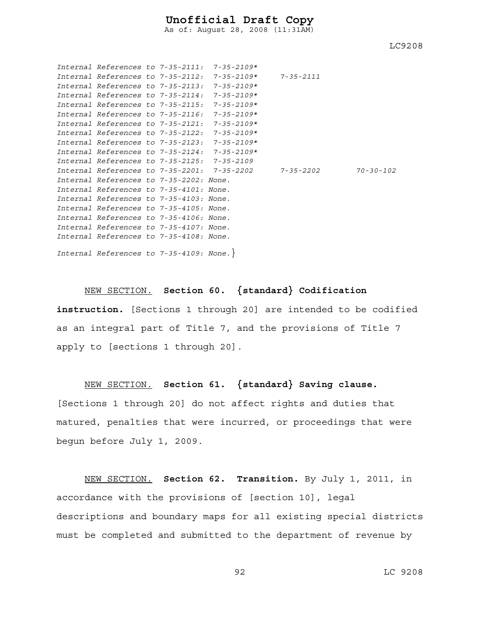As of: August 28, 2008 (11:31AM)

LC9208

|                                         |  | Internal References to $7-35-2111: 7-35-2109*$ |           |                 |
|-----------------------------------------|--|------------------------------------------------|-----------|-----------------|
| Internal References to 7-35-2112:       |  | 7-35-2109*                                     | 7-35-2111 |                 |
| Internal References to 7-35-2113:       |  | $7 - 35 - 2109*$                               |           |                 |
| Internal References to 7-35-2114:       |  | $7 - 35 - 2109*$                               |           |                 |
| Internal References to 7-35-2115:       |  | $7 - 35 - 2109*$                               |           |                 |
| $Internal$ References to $7-35-2116$    |  | $7 - 35 - 2109*$                               |           |                 |
| Internal References to 7-35-2121:       |  | $7 - 35 - 2109*$                               |           |                 |
| Internal References to 7-35-2122:       |  | $7 - 35 - 2109*$                               |           |                 |
| Internal References to 7-35-2123:       |  | $7 - 35 - 2109*$                               |           |                 |
| Internal References to 7-35-2124:       |  | 7-35-2109*                                     |           |                 |
| Internal References to 7-35-2125:       |  | 7-35-2109                                      |           |                 |
|                                         |  | Internal References to 7-35-2201: 7-35-2202    | 7-35-2202 | $70 - 30 - 102$ |
| Internal References to 7-35-2202: None. |  |                                                |           |                 |
| Internal References to 7-35-4101: None. |  |                                                |           |                 |
| Internal References to 7-35-4103: None. |  |                                                |           |                 |
| Internal References to 7-35-4105: None. |  |                                                |           |                 |
| Internal References to 7-35-4106: None. |  |                                                |           |                 |
| Internal References to 7-35-4107: None. |  |                                                |           |                 |
| Internal References to 7-35-4108: None. |  |                                                |           |                 |
| Internal References to 7-35-4109: None. |  |                                                |           |                 |

NEW SECTION. **Section 60. {standard} Codification instruction.** [Sections 1 through 20] are intended to be codified as an integral part of Title 7, and the provisions of Title 7 apply to [sections 1 through 20].

#### NEW SECTION. **Section 61. {standard} Saving clause.**

[Sections 1 through 20] do not affect rights and duties that matured, penalties that were incurred, or proceedings that were begun before July 1, 2009.

NEW SECTION. **Section 62. Transition.** By July 1, 2011, in accordance with the provisions of [section 10], legal descriptions and boundary maps for all existing special districts must be completed and submitted to the department of revenue by